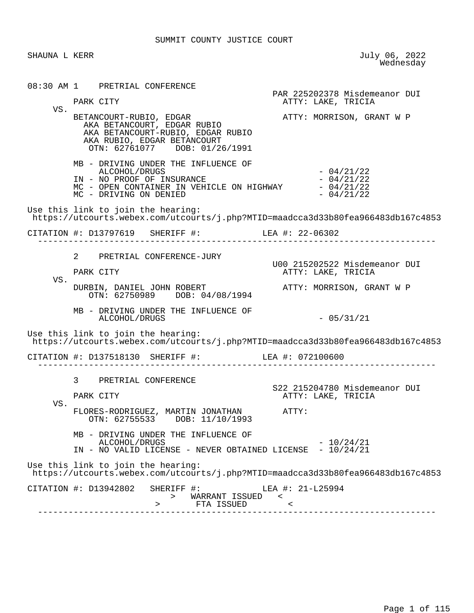SHAUNA L KERR July 06, 2022<br>Wednesday wednesday and the contract of the Mednesday of the Mednesday of the Mednesday of the Mednesday of the  $\sim$  08:30 AM 1 PRETRIAL CONFERENCE PAR 225202378 Misdemeanor DUI ATTY: LAKE, TRICIA VS. BETANCOURT-RUBIO, EDGAR ATTY: MORRISON, GRANT W P AKA BETANCOURT, EDGAR RUBIO AKA BETANCOURT-RUBIO, EDGAR RUBIO AKA RUBIO, EDGAR BETANCOURT OTN: 62761077 DOB: 01/26/1991 MB - DRIVING UNDER THE INFLUENCE OF  $ALCOHOL/DRUGS$  - 04/21/22<br>NO PROOF OF INSURANCE - - - - - 04/21/22 IN - NO PROOF OF INSURANCE<br>MC - OPEN CONTAINER IN VEHICLE ON HIGHWAY - 04/21/22 MC - OPEN CONTAINER IN VEHICLE ON HIGHWAY  $- 04/21/22$ <br>MC - DRIVING ON DENIED MC - DRIVING ON DENIED Use this link to join the hearing: https://utcourts.webex.com/utcourts/j.php?MTID=maadcca3d33b80fea966483db167c4853 CITATION #: D13797619 SHERIFF #: LEA #: 22-06302 ------------------------------------------------------------------------------ 2 PRETRIAL CONFERENCE-JURY U00 215202522 Misdemeanor DUI ATTY: LAKE, TRICIA VS. DURBIN, DANIEL JOHN ROBERT ATTY: MORRISON, GRANT W P OTN: 62750989 DOB: 04/08/1994 MB - DRIVING UNDER THE INFLUENCE OF ALCOHOL/DRUGS - 05/31/21 Use this link to join the hearing: https://utcourts.webex.com/utcourts/j.php?MTID=maadcca3d33b80fea966483db167c4853 CITATION #: D137518130 SHERIFF #: LEA #: 072100600 ------------------------------------------------------------------------------ 3 PRETRIAL CONFERENCE S22 215204780 Misdemeanor DUI<br>PARK CITY CITY CONSECTION ATTY: LAKE, TRICIA ATTY: LAKE, TRICIA VS. FLORES-RODRIGUEZ, MARTIN JONATHAN ATTY: OTN: 62755533 DOB: 11/10/1993 MB - DRIVING UNDER THE INFLUENCE OF ALCOHOL/DRUGS - 10/24/21 IN - NO VALID LICENSE - NEVER OBTAINED LICENSE - 10/24/21 Use this link to join the hearing: https://utcourts.webex.com/utcourts/j.php?MTID=maadcca3d33b80fea966483db167c4853 CITATION #: D13942802 SHERIFF #: LEA #: 21-L25994 > WARRANT ISSUED < > FTA ISSUED < ------------------------------------------------------------------------------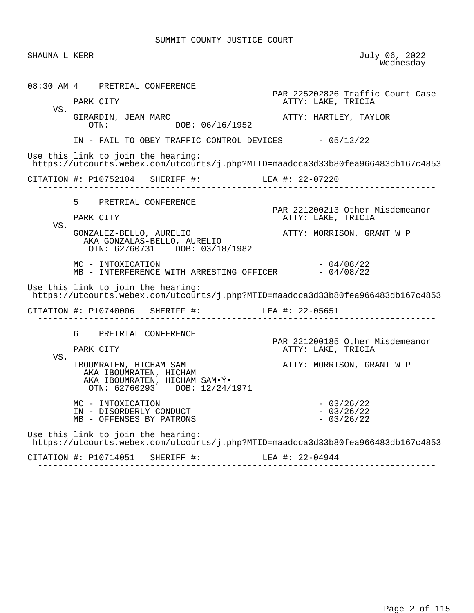| SHAUNA L KERR |                                                                                                                        | July 06, 2022<br>Wednesday                             |
|---------------|------------------------------------------------------------------------------------------------------------------------|--------------------------------------------------------|
|               | 08:30 AM 4 PRETRIAL CONFERENCE<br>PARK CITY                                                                            | PAR 225202826 Traffic Court Case<br>ATTY: LAKE, TRICIA |
| VS.           | GIRARDIN, JEAN MARC<br>OTN: DOB: 06/16/1952                                                                            | ATTY: HARTLEY, TAYLOR                                  |
|               | IN - FAIL TO OBEY TRAFFIC CONTROL DEVICES - 05/12/22                                                                   |                                                        |
|               | Use this link to join the hearing:<br>https://utcourts.webex.com/utcourts/j.php?MTID=maadcca3d33b80fea966483db167c4853 |                                                        |
|               | CITATION #: P10752104 SHERIFF #: LEA #: 22-07220                                                                       |                                                        |
|               | 5 PRETRIAL CONFERENCE                                                                                                  | PAR 221200213 Other Misdemeanor                        |
| VS.           | PARK CITY                                                                                                              | ATTY: LAKE, TRICIA                                     |
|               | GONZALEZ-BELLO, AURELIO<br>AKA GONZALAS-BELLO, AURELIO<br>OTN: 62760731 DOB: 03/18/1982                                | ATTY: MORRISON, GRANT W P                              |
|               | MC - INTOXICATION<br>MB - INTERFERENCE WITH ARRESTING OFFICER - 04/08/22                                               | $-04/08/22$                                            |
|               | Use this link to join the hearing:<br>https://utcourts.webex.com/utcourts/j.php?MTID=maadcca3d33b80fea966483db167c4853 |                                                        |
|               | CITATION #: P10740006 SHERIFF #: LEA #: 22-05651<br>______________________________                                     |                                                        |
| VS.           | 6 PRETRIAL CONFERENCE<br>PARK CITY                                                                                     | PAR 221200185 Other Misdemeanor<br>ATTY: LAKE, TRICIA  |
|               | IBOUMRATEN, HICHAM SAM<br>AKA IBOUMRATEN, HICHAM<br>AKA IBOUMRATEN, HICHAM SAM. Ý.<br>OTN: 62760293 DOB: 12/24/1971    | ATTY: MORRISON, GRANT W P                              |
|               | MC - INTOXICATION<br>IN - DISORDERLY CONDUCT<br>MB - OFFENSES BY PATRONS                                               | $-03/26/22$<br>$-03/26/22$<br>$-03/26/22$              |
|               | Use this link to join the hearing:<br>https://utcourts.webex.com/utcourts/j.php?MTID=maadcca3d33b80fea966483db167c4853 |                                                        |
|               |                                                                                                                        |                                                        |

------------------------------------------------------------------------------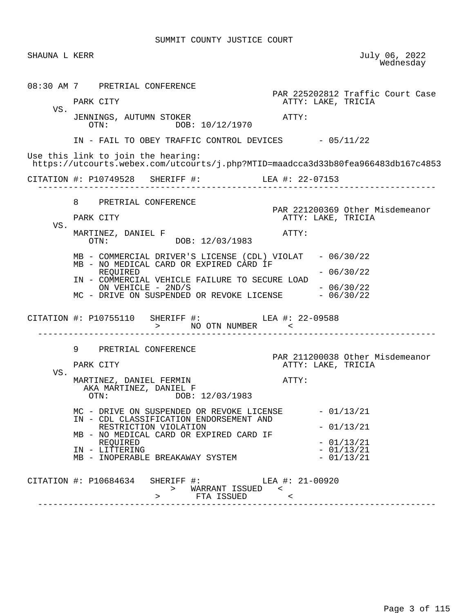| SHAUNA L KERR |                                                                                                                        | July 06, 2022<br>Wednesday                            |
|---------------|------------------------------------------------------------------------------------------------------------------------|-------------------------------------------------------|
|               | 08:30 AM 7 PRETRIAL CONFERENCE                                                                                         | PAR 225202812 Traffic Court Case                      |
| VS.           | PARK CITY                                                                                                              | ATTY: LAKE, TRICIA                                    |
|               | JENNINGS, AUTUMN STOKER<br>OTN: DOB: 10/12/1970                                                                        | ATTY:                                                 |
|               | IN - FAIL TO OBEY TRAFFIC CONTROL DEVICES - 05/11/22                                                                   |                                                       |
|               | Use this link to join the hearing:<br>https://utcourts.webex.com/utcourts/j.php?MTID=maadcca3d33b80fea966483db167c4853 |                                                       |
|               | CITATION #: P10749528 SHERIFF #: LEA #: 22-07153                                                                       |                                                       |
|               | 8 PRETRIAL CONFERENCE                                                                                                  |                                                       |
|               | PARK CITY                                                                                                              | PAR 221200369 Other Misdemeanor<br>ATTY: LAKE, TRICIA |
| VS.           | MARTINEZ, DANIEL F<br>DOB: 12/03/1983<br>OTN:                                                                          | ATTY:                                                 |
|               | MB - COMMERCIAL DRIVER'S LICENSE (CDL) VIOLAT - 06/30/22                                                               |                                                       |
|               | MB - NO MEDICAL CARD OR EXPIRED CARD IF<br>REOUIRED                                                                    | $-06/30/22$                                           |
|               | IN - COMMERCIAL VEHICLE FAILURE TO SECURE LOAD<br>ON VEHICLE - 2ND/S<br>MC - DRIVE ON SUSPENDED OR REVOKE LICENSE      | $-06/30/22$<br>$-06/30/22$                            |
|               | CITATION #: P10755110 SHERIFF #: LEA #: 22-09588<br>$>$ $\frac{1}{N}$ oth number $\frac{1}{N}$<br>-------------------  |                                                       |
|               | 9<br>PRETRIAL CONFERENCE                                                                                               |                                                       |
|               | PARK CITY                                                                                                              | PAR 211200038 Other Misdemeanor<br>ATTY: LAKE, TRICIA |
| VS.           | MARTINEZ, DANIEL FERMIN<br>AKA MARTINEZ, DANIEL F<br>OTN: DOB: 12/03/1983                                              | ATTY:                                                 |
|               | MC - DRIVE ON SUSPENDED OR REVOKE LICENSE<br>IN - CDL CLASSIFICATION ENDORSEMENT AND                                   | $-01/13/21$                                           |
|               | RESTRICTION VIOLATION                                                                                                  | $-01/13/21$                                           |
|               | MB - NO MEDICAL CARD OR EXPIRED CARD IF<br>REQUIRED                                                                    | $-01/13/21$                                           |
|               | IN - LITTERING<br>MB - INOPERABLE BREAKAWAY SYSTEM                                                                     | $-01/13/21$<br>$-01/13/21$                            |
|               | CITATION #: P10684634 SHERIFF #: LEA #: 21-00920<br>> WARRANT ISSUED <<br>FTA ISSUED <                                 |                                                       |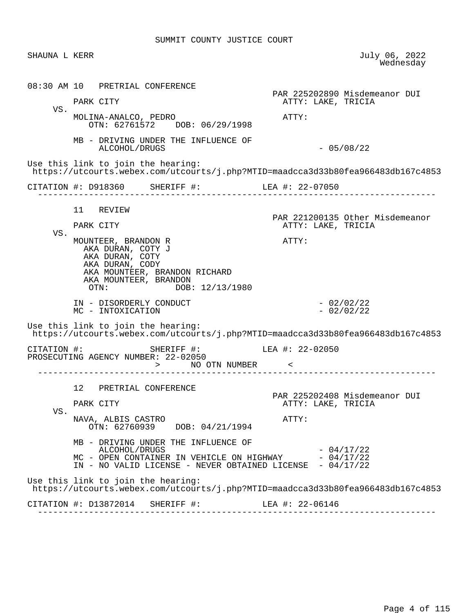|     | SHAUNA L KERR                                                                                                                                                                | July 06, 2022<br>Wednesday                                                       |
|-----|------------------------------------------------------------------------------------------------------------------------------------------------------------------------------|----------------------------------------------------------------------------------|
|     | 08:30 AM 10 PRETRIAL CONFERENCE                                                                                                                                              | PAR 225202890 Misdemeanor DUI                                                    |
| VS. | PARK CITY                                                                                                                                                                    | ATTY: LAKE, TRICIA                                                               |
|     | MOLINA-ANALCO, PEDRO<br>OTN: 62761572 DOB: 06/29/1998                                                                                                                        | ATTY:                                                                            |
|     | MB - DRIVING UNDER THE INFLUENCE OF<br>ALCOHOL/DRUGS                                                                                                                         | $-05/08/22$                                                                      |
|     | Use this link to join the hearing:                                                                                                                                           | https://utcourts.webex.com/utcourts/j.php?MTID=maadcca3d33b80fea966483db167c4853 |
|     | CITATION #: D918360 SHERIFF #: LEA #: 22-07050                                                                                                                               |                                                                                  |
|     |                                                                                                                                                                              |                                                                                  |
|     | 11 REVIEW                                                                                                                                                                    | PAR 221200135 Other Misdemeanor                                                  |
| VS. | PARK CITY                                                                                                                                                                    | ATTY: LAKE, TRICIA                                                               |
|     | AKA DURAN, COTY J<br>AKA DURAN, COTY<br>AKA DURAN, CODY<br>AKA MOUNTEER, BRANDON RICHARD<br>AKA MOUNTEER, BRANDON<br>DOB: 12/13/1980<br>$\text{OTN}:$                        |                                                                                  |
|     | IN - DISORDERLY CONDUCT<br>MC - INTOXICATION                                                                                                                                 | $-02/02/22$<br>$-02/02/22$                                                       |
|     | Use this link to join the hearing:                                                                                                                                           |                                                                                  |
|     |                                                                                                                                                                              |                                                                                  |
|     | SHERIFF #: LEA #: 22-02050<br>CITATION #:                                                                                                                                    | https://utcourts.webex.com/utcourts/j.php?MTID=maadcca3d33b80fea966483db167c4853 |
|     | PROSECUTING AGENCY NUMBER: 22-02050<br>> NO OTN NUMBER <                                                                                                                     |                                                                                  |
|     | 12 PRETRIAL CONFERENCE                                                                                                                                                       |                                                                                  |
|     | PARK CITY                                                                                                                                                                    | PAR 225202408 Misdemeanor DUI<br>ATTY: LAKE, TRICIA                              |
| VS. | NAVA, ALBIS CASTRO<br>OTN: 62760939 DOB: 04/21/1994                                                                                                                          | ATTY:                                                                            |
|     | MB - DRIVING UNDER THE INFLUENCE OF<br>ALCOHOL/DRUGS<br>$MC$ - OPEN CONTAINER IN VEHICLE ON HIGHWAY $-04/17/22$<br>IN - NO VALID LICENSE - NEVER OBTAINED LICENSE - 04/17/22 | $-04/17/22$                                                                      |
|     | Use this link to join the hearing:                                                                                                                                           | https://utcourts.webex.com/utcourts/j.php?MTID=maadcca3d33b80fea966483db167c4853 |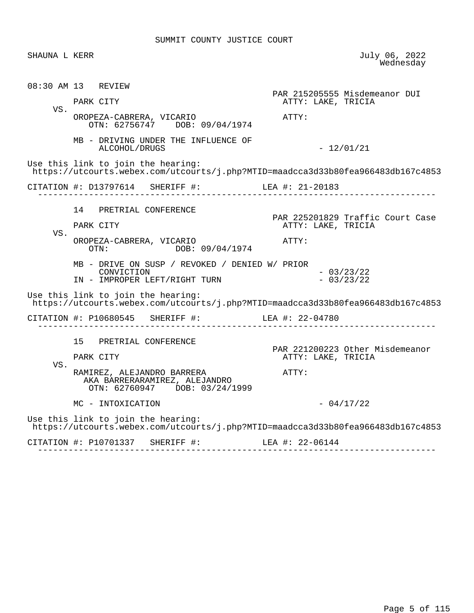| SHAUNA L KERR |                                                                                                                        | July 06, 2022<br>Wednesday                             |
|---------------|------------------------------------------------------------------------------------------------------------------------|--------------------------------------------------------|
|               | 08:30 AM 13 REVIEW                                                                                                     | PAR 215205555 Misdemeanor DUI                          |
|               | PARK CITY                                                                                                              | ATTY: LAKE, TRICIA                                     |
| VS.           | OROPEZA-CABRERA, VICARIO<br>OTN: 62756747 DOB: 09/04/1974                                                              | ATTY:                                                  |
|               | MB - DRIVING UNDER THE INFLUENCE OF<br>ALCOHOL/DRUGS                                                                   | $-12/01/21$                                            |
|               | Use this link to join the hearing:<br>https://utcourts.webex.com/utcourts/j.php?MTID=maadcca3d33b80fea966483db167c4853 |                                                        |
|               |                                                                                                                        |                                                        |
|               | 14 PRETRIAL CONFERENCE                                                                                                 |                                                        |
|               | PARK CITY                                                                                                              | PAR 225201829 Traffic Court Case<br>ATTY: LAKE, TRICIA |
| VS.           | OROPEZA-CABRERA, VICARIO<br>OTN: DOB: 09/04/1974                                                                       | ATTY:                                                  |
|               | MB - DRIVE ON SUSP / REVOKED / DENIED W/ PRIOR<br>CONVICTION<br>IN - IMPROPER LEFT/RIGHT TURN                          | $-03/23/22$<br>$-03/23/22$                             |
|               | Use this link to join the hearing:<br>https://utcourts.webex.com/utcourts/j.php?MTID=maadcca3d33b80fea966483db167c4853 |                                                        |
|               | CITATION #: P10680545 SHERIFF #: LEA #: 22-04780                                                                       |                                                        |
|               | 15 PRETRIAL CONFERENCE                                                                                                 |                                                        |
|               | PARK CITY                                                                                                              | PAR 221200223 Other Misdemeanor<br>ATTY: LAKE, TRICIA  |
| VS.           | RAMIREZ, ALEJANDRO BARRERA<br>AKA BARRERARAMIREZ, ALEJANDRO<br>OTN: 62760947 DOB: 03/24/1999                           | $\mathtt{ATTY}$ :                                      |
|               | MC - INTOXICATION                                                                                                      | $-04/17/22$                                            |
|               |                                                                                                                        |                                                        |
|               | Use this link to join the hearing:<br>https://utcourts.webex.com/utcourts/j.php?MTID=maadcca3d33b80fea966483db167c4853 |                                                        |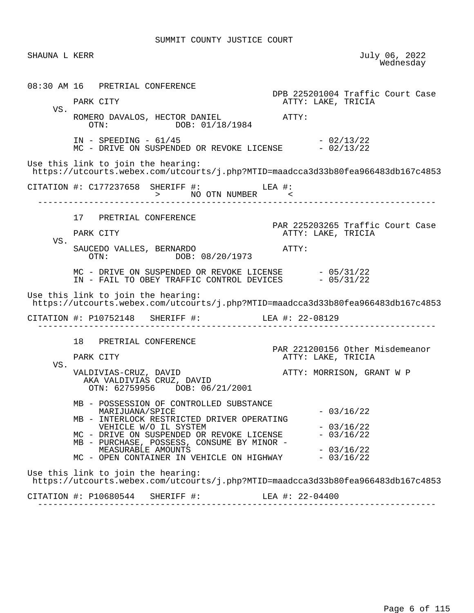SHAUNA L KERR JULY 06, 2022<br>Wednesday wednesday and the contract of the Mednesday of the Mednesday of the Mednesday of the Mednesday of the  $\sim$  08:30 AM 16 PRETRIAL CONFERENCE DPB 225201004 Traffic Court Case PARK CITY THE RESERVE TO A PARK CITY ATTY: LAKE, TRICIA VS. ROMERO DAVALOS, HECTOR DANIEL ATTY:<br>OTN: DOB: 01/18/1984 DOB: 01/18/1984 IN - SPEEDING - 61/45 - 2/13/22  $MC$  - DRIVE ON SUSPENDED OR REVOKE LICENSE  $-02/13/22$  Use this link to join the hearing: https://utcourts.webex.com/utcourts/j.php?MTID=maadcca3d33b80fea966483db167c4853 CITATION #: C177237658 SHERIFF #: LEA #: > NO OTN NUMBER  $-$  ------------------------------------------------------------------------------ 17 PRETRIAL CONFERENCE PAR 225203265 Traffic Court Case<br>PARK CITY COURT COURT ATTY: LAKE, TRICIA ATTY: LAKE, TRICIA VS. SAUCEDO VALLES, BERNARDO ATTY: OTN: DOB: 08/20/1973  $MC - DRIVE ON SUBPENDED OR REVOKE LICENSE  $-05/31/22$$ IN - FAIL TO OBEY TRAFFIC CONTROL DEVICES  $-05/31/22$  Use this link to join the hearing: https://utcourts.webex.com/utcourts/j.php?MTID=maadcca3d33b80fea966483db167c4853 CITATION #: P10752148 SHERIFF #: LEA #: 22-08129 ------------------------------------------------------------------------------ 18 PRETRIAL CONFERENCE PAR 221200156 Other Misdemeanor ATTY: LAKE, TRICIA VS. VALDIVIAS-CRUZ, DAVID **ATTY: MORRISON, GRANT W** P AKA VALDIVIAS CRUZ, DAVID OTN: 62759956 DOB: 06/21/2001 MB - POSSESSION OF CONTROLLED SUBSTANCE MARIJUANA/SPICE - 03/16/22 MB - INTERLOCK RESTRICTED DRIVER OPERATING VEHICLE W/O IL SYSTEM<br>DRIVE ON SUSPENDED OR REVOKE LICENSE  $-03/16/22$ MC - DRIVE ON SUSPENDED OR REVOKE LICENSE MB - PURCHASE, POSSESS, CONSUME BY MINOR - MEASURABLE AMOUNTS<br>OPEN CONTAINER IN VEHICLE ON HIGHWAY - 03/16/22 MC - OPEN CONTAINER IN VEHICLE ON HIGHWAY Use this link to join the hearing: https://utcourts.webex.com/utcourts/j.php?MTID=maadcca3d33b80fea966483db167c4853 CITATION #: P10680544 SHERIFF #: LEA #: 22-04400 ------------------------------------------------------------------------------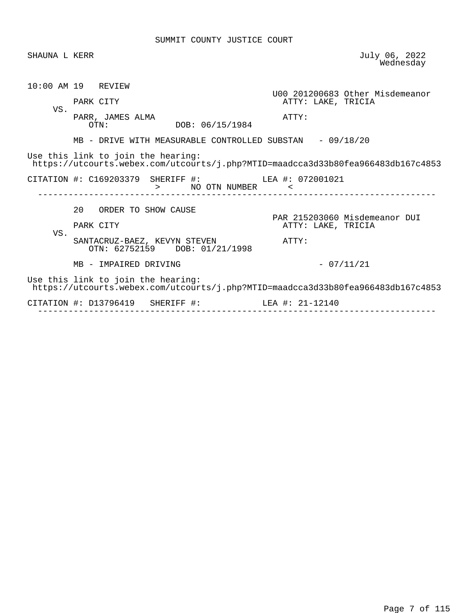| SHAUNA L KERR      |           |                                                                                                                        |                   |       |                    |                                 | July 06, 2022<br>Wednesday |
|--------------------|-----------|------------------------------------------------------------------------------------------------------------------------|-------------------|-------|--------------------|---------------------------------|----------------------------|
| 10:00 AM 19 REVIEW |           |                                                                                                                        |                   |       |                    | U00 201200683 Other Misdemeanor |                            |
| VS.                | PARK CITY |                                                                                                                        |                   |       | ATTY: LAKE, TRICIA |                                 |                            |
|                    |           | PARR, JAMES ALMA<br>OTN:                                                                                               | DOB: 06/15/1984   | ATTY: |                    |                                 |                            |
|                    |           | MB - DRIVE WITH MEASURABLE CONTROLLED SUBSTAN - 09/18/20                                                               |                   |       |                    |                                 |                            |
|                    |           | Use this link to join the hearing:<br>https://utcourts.webex.com/utcourts/j.php?MTID=maadcca3d33b80fea966483db167c4853 |                   |       |                    |                                 |                            |
|                    |           |                                                                                                                        |                   |       |                    |                                 |                            |
|                    |           | CITATION #: C169203379 SHERIFF #: LEA #: 072001021                                                                     | > NO OTN NUMBER < |       |                    |                                 |                            |
|                    |           | 20 ORDER TO SHOW CAUSE                                                                                                 |                   |       |                    |                                 |                            |
|                    | PARK CITY |                                                                                                                        |                   |       | ATTY: LAKE, TRICIA | PAR 215203060 Misdemeanor DUI   |                            |
| VS.                |           | SANTACRUZ-BAEZ, KEVYN STEVEN<br>OTN: 62752159 DOB: 01/21/1998                                                          |                   | ATTY: |                    |                                 |                            |
|                    |           | MB - IMPAIRED DRIVING                                                                                                  |                   |       | $-07/11/21$        |                                 |                            |
|                    |           | Use this link to join the hearing:<br>https://utcourts.webex.com/utcourts/j.php?MTID=maadcca3d33b80fea966483db167c4853 |                   |       |                    |                                 |                            |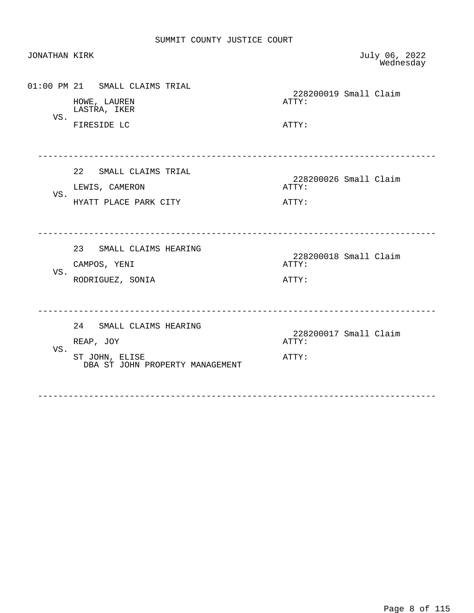| <b>JONATHAN KIRK</b> |                                                                                           |                | July 06, 2022<br>Wednesday |
|----------------------|-------------------------------------------------------------------------------------------|----------------|----------------------------|
| VS.                  | 01:00 PM 21 SMALL CLAIMS TRIAL<br>HOWE, LAUREN<br>LASTRA, IKER<br>FIRESIDE LC             | ATTY:<br>ATTY: | 228200019 Small Claim      |
| VS.                  | 22 SMALL CLAIMS TRIAL<br>LEWIS, CAMERON<br>HYATT PLACE PARK CITY                          | ATTY:<br>ATTY: | 228200026 Small Claim      |
| VS.                  | 23 SMALL CLAIMS HEARING<br>CAMPOS, YENI<br>RODRIGUEZ, SONIA                               | ATTY:<br>ATTY: | 228200018 Small Claim      |
| VS.                  | 24 SMALL CLAIMS HEARING<br>REAP, JOY<br>ST JOHN, ELISE<br>DBA ST JOHN PROPERTY MANAGEMENT | ATTY:<br>ATTY: | 228200017 Small Claim      |

------------------------------------------------------------------------------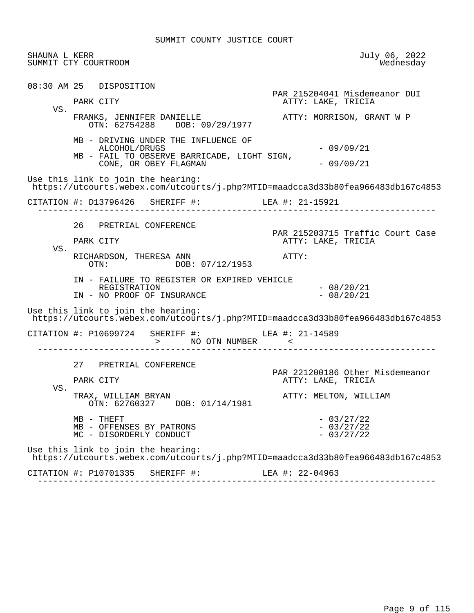| SHAUNA L KERR | SUMMIT CTY COURTROOM                                                                                                         | July 06, 2022<br>Wednesday                             |
|---------------|------------------------------------------------------------------------------------------------------------------------------|--------------------------------------------------------|
|               | 08:30 AM 25 DISPOSITION<br>PARK CITY                                                                                         | PAR 215204041 Misdemeanor DUI<br>ATTY: LAKE, TRICIA    |
| VS.           | FRANKS, JENNIFER DANIELLE<br>OTN: 62754288 DOB: 09/29/1977                                                                   | ATTY: MORRISON, GRANT W P                              |
|               | MB - DRIVING UNDER THE INFLUENCE OF<br>ALCOHOL/DRUGS<br>MB - FAIL TO OBSERVE BARRICADE, LIGHT SIGN,<br>CONE, OR OBEY FLAGMAN | $-09/09/21$<br>$-09/09/21$                             |
|               | Use this link to join the hearing:<br>https://utcourts.webex.com/utcourts/j.php?MTID=maadcca3d33b80fea966483db167c4853       |                                                        |
|               | CITATION #: D13796426 SHERIFF #: LEA #: 21-15921                                                                             |                                                        |
|               | 26 PRETRIAL CONFERENCE<br>PARK CITY                                                                                          | PAR 215203715 Traffic Court Case<br>ATTY: LAKE, TRICIA |
| VS.           | RICHARDSON, THERESA ANN<br>OTN: DOB: 07/12/1953                                                                              | ATTY:                                                  |
|               | IN - FAILURE TO REGISTER OR EXPIRED VEHICLE<br>REGISTRATION<br>IN - NO PROOF OF INSURANCE                                    | $-08/20/21$<br>$-08/20/21$                             |
|               | Use this link to join the hearing:<br>https://utcourts.webex.com/utcourts/j.php?MTID=maadcca3d33b80fea966483db167c4853       |                                                        |
|               | CITATION #: P10699724 SHERIFF #: LEA #: 21-14589<br>> NO OTN NUMBER                                                          |                                                        |
|               | 27 PRETRIAL CONFERENCE<br>PARK CITY                                                                                          | PAR 221200186 Other Misdemeanor<br>ATTY: LAKE, TRICIA  |
| VS.           | TRAX, WILLIAM BRYAN<br>OTN: 62760327 DOB: 01/14/1981                                                                         | ATTY: MELTON, WILLIAM                                  |
|               | MB - THEFT<br>MB - OFFENSES BY PATRONS<br>MC - DISORDERLY CONDUCT                                                            | $-03/27/22$<br>$-03/27/22$<br>$-03/27/22$              |
|               | Use this link to join the hearing:<br>https://utcourts.webex.com/utcourts/j.php?MTID=maadcca3d33b80fea966483db167c4853       |                                                        |
|               | CITATION #: P10701335<br>SHERIFF #:                                                                                          | LEA #: 22-04963                                        |

------------------------------------------------------------------------------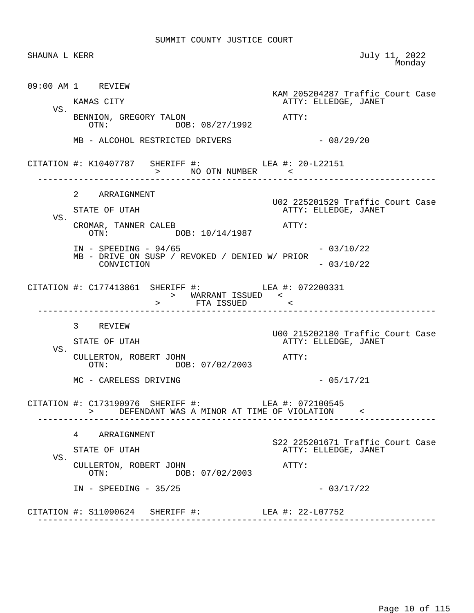|     | SHAUNA L KERR                                                                                        | July 11, 2022<br>Monday                                  |
|-----|------------------------------------------------------------------------------------------------------|----------------------------------------------------------|
|     | 09:00 AM 1 REVIEW                                                                                    | KAM 205204287 Traffic Court Case                         |
| VS. | KAMAS CITY                                                                                           | ATTY: ELLEDGE, JANET                                     |
|     | BENNION, GREGORY TALON<br>OTN: DOB: 08/27/1992                                                       | ATTY:                                                    |
|     | MB - ALCOHOL RESTRICTED DRIVERS                                                                      | $-08/29/20$                                              |
|     | CITATION #: K10407787 SHERIFF #: LEA #: 20-L22151<br>> NO OTN NUMBER                                 |                                                          |
|     | 2 ARRAIGNMENT                                                                                        |                                                          |
| VS. | STATE OF UTAH                                                                                        | U02 225201529 Traffic Court Case<br>ATTY: ELLEDGE, JANET |
|     | CROMAR, TANNER CALEB<br>OTN: $DDOB: 10/14/1987$                                                      | ATTY:                                                    |
|     | $IN - SPEEDING - 94/65$                                                                              | $-03/10/22$                                              |
|     | MB - DRIVE ON SUSP / REVOKED / DENIED W/ PRIOR<br>CONVICTION                                         | $-03/10/22$                                              |
|     | CITATION #: C177413861 SHERIFF #: LEA #: 072200331<br>> WARRANT ISSUED <<br>> FTA ISSUED <           |                                                          |
|     | 3 REVIEW                                                                                             |                                                          |
| VS. | STATE OF UTAH                                                                                        | U00 215202180 Traffic Court Case<br>ATTY: ELLEDGE, JANET |
|     | CULLERTON, ROBERT JOHN<br>OTN: DOB: 07/02/2003                                                       | $ATTY$ :                                                 |
|     | MC - CARELESS DRIVING                                                                                | $-05/17/21$                                              |
|     | CITATION #: C173190976 SHERIFF #: LEA #: 072100545<br>> DEFENDANT WAS A MINOR AT TIME OF VIOLATION < |                                                          |
|     |                                                                                                      |                                                          |
|     | 4 ARRAIGNMENT                                                                                        |                                                          |
|     | STATE OF UTAH                                                                                        | S22 225201671 Traffic Court Case<br>ATTY: ELLEDGE, JANET |
| VS. | CULLERTON, ROBERT JOHN<br>DOB: 07/02/2003<br>$\text{OTN}:$                                           | ATTY:                                                    |
|     | $IN - SPEEDING - 35/25$                                                                              | $-03/17/22$                                              |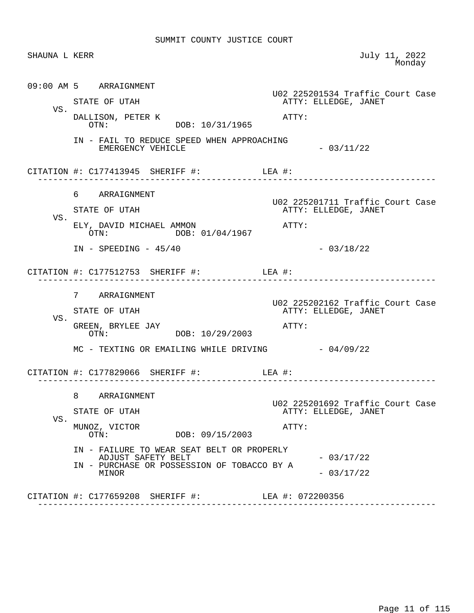| SHAUNA L KERR |                                                                  | July 11, 2022<br>Monday                                  |
|---------------|------------------------------------------------------------------|----------------------------------------------------------|
|               | 09:00 AM 5 ARRAIGNMENT                                           | U02 225201534 Traffic Court Case                         |
| VS.           | STATE OF UTAH                                                    | ATTY: ELLEDGE, JANET                                     |
|               | DALLISON, PETER K<br>OTN: DOB: 10/31/1965                        | ATTY:                                                    |
|               | IN - FAIL TO REDUCE SPEED WHEN APPROACHING<br>EMERGENCY VEHICLE  | $-03/11/22$                                              |
|               | CITATION #: $C177413945$ SHERIFF #: LEA #:                       | ---------------------                                    |
|               | 6 ARRAIGNMENT                                                    |                                                          |
|               | STATE OF UTAH                                                    | U02 225201711 Traffic Court Case<br>ATTY: ELLEDGE, JANET |
| VS.           | ELY, DAVID MICHAEL AMMON<br>DOB: 01/04/1967<br>OTN:              | ATTY:                                                    |
|               | $IN - SPEEDING - 45/40$                                          | $-03/18/22$                                              |
|               | CITATION #: $C177512753$ SHERIFF #: LEA #:                       |                                                          |
|               | 7 ARRAIGNMENT                                                    |                                                          |
|               | STATE OF UTAH                                                    | U02 225202162 Traffic Court Case<br>ATTY: ELLEDGE, JANET |
| VS.           | GREEN, BRYLEE JAY<br>OTN: DOB: 10/29/2003                        | ATTY:                                                    |
|               | MC - TEXTING OR EMAILING WHILE DRIVING $-04/09/22$               |                                                          |
|               | CITATION #: C177829066 SHERIFF #:                                | LEA #:                                                   |
|               | 8 ARRAIGNMENT                                                    |                                                          |
|               | STATE OF UTAH                                                    | U02 225201692 Traffic Court Case<br>ATTY: ELLEDGE, JANET |
| VS.           | MUNOZ, VICTOR<br>DOB: 09/15/2003<br>OTN:                         | ATTY:                                                    |
|               | IN - FAILURE TO WEAR SEAT BELT OR PROPERLY<br>ADJUST SAFETY BELT | $-03/17/22$                                              |
|               | IN - PURCHASE OR POSSESSION OF TOBACCO BY A<br>MINOR             | $-03/17/22$                                              |
|               |                                                                  |                                                          |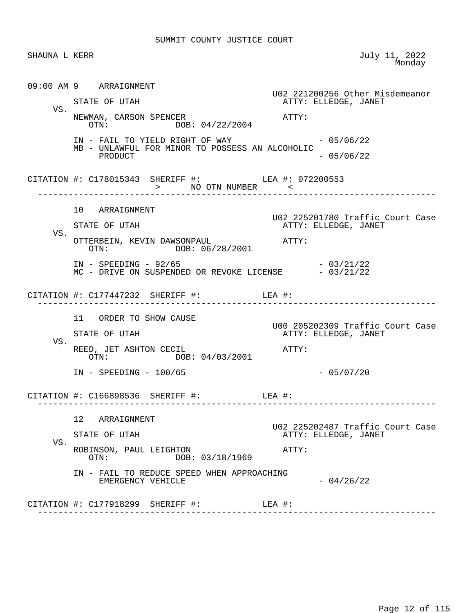| SHAUNA L KERR |                                                                                                           | July 11, 2022<br>Monday                                  |
|---------------|-----------------------------------------------------------------------------------------------------------|----------------------------------------------------------|
|               | 09:00 AM 9 ARRAIGNMENT                                                                                    | U02 221200256 Other Misdemeanor                          |
|               | STATE OF UTAH                                                                                             | ATTY: ELLEDGE, JANET                                     |
| VS.           | NEWMAN, CARSON SPENCER<br>OTN: DOB: 04/22/2004                                                            | $\mathtt{ATTY}$ :                                        |
|               | IN - FAIL TO YIELD RIGHT OF WAY $-05/06/22$<br>MB - UNLAWFUL FOR MINOR TO POSSESS AN ALCOHOLIC<br>PRODUCT | $-05/06/22$                                              |
|               | CITATION #: C178015343 SHERIFF #: LEA #: 072200553                                                        | _______________________                                  |
|               | 10 ARRAIGNMENT                                                                                            |                                                          |
| VS.           | STATE OF UTAH                                                                                             | U02 225201780 Traffic Court Case<br>ATTY: ELLEDGE, JANET |
|               | OTTERBEIN, KEVIN DAWSONPAUL<br>OTN: DOB: 06/28/2001                                                       | ATTY:                                                    |
|               | IN - SPEEDING - 92/65 - 03/21/22<br>MC - DRIVE ON SUSPENDED OR REVOKE LICENSE - 03/21/22                  | $-03/21/22$                                              |
|               | CITATION #: $C177447232$ SHERIFF #: LEA #:                                                                |                                                          |
|               | 11 ORDER TO SHOW CAUSE                                                                                    |                                                          |
|               | STATE OF UTAH                                                                                             | U00 205202309 Traffic Court Case<br>ATTY: ELLEDGE, JANET |
| VS.           | REED, JET ASHTON CECIL<br>OTN: DOB: 04/03/2001                                                            | $\mathtt{ATTY}$ :                                        |
|               | $IN - SPEEDING - 100/65$                                                                                  | $-05/07/20$                                              |
|               | CITATION $\#$ : C166898536 SHERIFF $\#$ :                                                                 | LEA #:                                                   |
|               | 12 <sup>°</sup><br>ARRAIGNMENT                                                                            | U02 225202487 Traffic Court Case                         |
|               | STATE OF UTAH                                                                                             | ATTY: ELLEDGE, JANET                                     |
| VS.           | ROBINSON, PAUL LEIGHTON<br>OTN:<br>DOB: 03/18/1969                                                        | ATTY:                                                    |
|               | IN - FAIL TO REDUCE SPEED WHEN APPROACHING<br>EMERGENCY VEHICLE                                           | $-04/26/22$                                              |
|               | CITATION #: $C177918299$ SHERIFF #: LEA #:                                                                |                                                          |
|               |                                                                                                           |                                                          |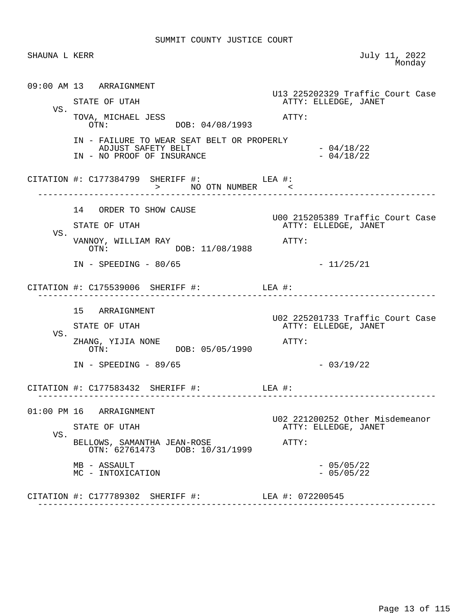| SHAUNA L KERR |                                                                                                | July 11, 2022<br>Monday                                  |
|---------------|------------------------------------------------------------------------------------------------|----------------------------------------------------------|
|               | 09:00 AM 13 ARRAIGNMENT                                                                        | U13 225202329 Traffic Court Case                         |
|               | STATE OF UTAH                                                                                  | ATTY: ELLEDGE, JANET                                     |
| VS.           | TOVA, MICHAEL JESS<br>OTN: DOB: 04/08/1993                                                     | ATTY:                                                    |
|               | IN - FAILURE TO WEAR SEAT BELT OR PROPERLY<br>ADJUST SAFETY BELT<br>IN - NO PROOF OF INSURANCE | $-04/18/22$<br>$-04/18/22$                               |
|               | CITATION #: $C177384799$ SHERIFF #: LEA #:<br>> NO OTN NUMBER <                                |                                                          |
|               | 14 ORDER TO SHOW CAUSE                                                                         | U00 215205389 Traffic Court Case                         |
|               | STATE OF UTAH                                                                                  | ATTY: ELLEDGE, JANET                                     |
| VS.           | VANNOY, WILLIAM RAY<br>OTN: DOB: 11/08/1988                                                    | ATTY:                                                    |
|               | $IN - SPEEDING - 80/65$                                                                        | $-11/25/21$                                              |
|               | CITATION #: $C175539006$ SHERIFF #: LEA #:                                                     |                                                          |
|               | 15 ARRAIGNMENT                                                                                 |                                                          |
|               | STATE OF UTAH                                                                                  | U02 225201733 Traffic Court Case<br>ATTY: ELLEDGE, JANET |
| VS.           | ZHANG, YIJIA NONE<br>DOB: 05/05/1990<br>OTN:                                                   | ATTY:                                                    |
|               | $IN - SPEEDING - 89/65$                                                                        | $-03/19/22$                                              |
|               | CITATION #: $C177583432$ SHERIFF #: LEA #:<br>-----------------------                          | ----------------                                         |
|               | 01:00 PM 16 ARRAIGNMENT                                                                        |                                                          |
|               | STATE OF UTAH                                                                                  | U02 221200252 Other Misdemeanor<br>ATTY: ELLEDGE, JANET  |
| VS.           | BELLOWS, SAMANTHA JEAN-ROSE<br>OTN: 62761473 DOB: 10/31/1999                                   | ATTY:                                                    |
|               | MB - ASSAULT                                                                                   | $-05/05/22$                                              |
|               | MC - INTOXICATION                                                                              | $-05/05/22$                                              |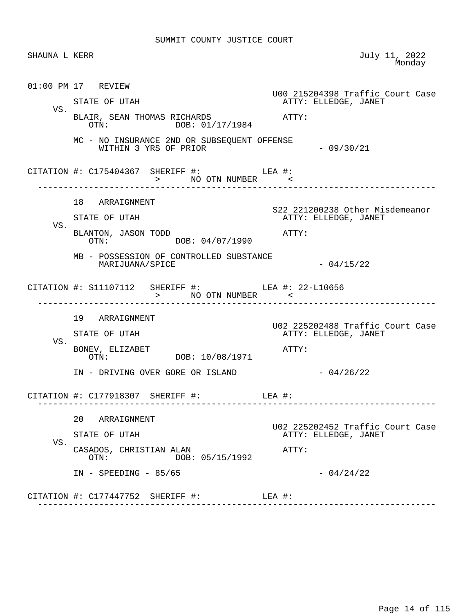|     | SHAUNA L KERR                                                                            | July 11, 2022<br>Monday                                           |
|-----|------------------------------------------------------------------------------------------|-------------------------------------------------------------------|
|     | $01:00$ PM $17$ REVIEW                                                                   | U00 215204398 Traffic Court Case                                  |
| VS. | STATE OF UTAH<br>BLAIR, SEAN THOMAS RICHARDS<br>OTN: DOB: 01/17/1984                     | ATTY: ELLEDGE, JANET<br>ATTY:                                     |
|     | MC - NO INSURANCE 2ND OR SUBSEQUENT OFFENSE<br>WITHIN 3 YRS OF PRIOR                     | $-09/30/21$                                                       |
|     | CITATION #: $C175404367$ SHERIFF #: LEA #:<br>> NO OTN NUMBER <                          |                                                                   |
|     | 18 ARRAIGNMENT                                                                           | S22 221200238 Other Misdemeanor                                   |
| VS. | STATE OF UTAH<br>BLANTON, JASON TODD<br>OTN: DOB: 04/07/1990                             | ATTY: ELLEDGE, JANET<br>ATTY:                                     |
|     | MB - POSSESSION OF CONTROLLED SUBSTANCE<br>MARIJUANA/SPICE                               | $-04/15/22$                                                       |
|     | CITATION #: S11107112 SHERIFF #: LEA #: 22-L10656                                        |                                                                   |
| VS. | 19 ARRAIGNMENT<br>STATE OF UTAH<br>BONEV, ELIZABET<br>OTN: DOB: 10/08/1971               | U02 225202488 Traffic Court Case<br>ATTY: ELLEDGE, JANET<br>ATTY: |
|     | IN - DRIVING OVER GORE OR ISLAND                                                         | $-04/26/22$                                                       |
|     | CITATION #: $C177918307$ SHERIFF #: LEA #:                                               |                                                                   |
| VS. | 20<br>ARRAIGNMENT<br>STATE OF UTAH<br>CASADOS, CHRISTIAN ALAN<br>DOB: 05/15/1992<br>OTN: | U02 225202452 Traffic Court Case<br>ATTY: ELLEDGE, JANET<br>ATTY: |
|     | $IN$ - SPEEDING - 85/65<br>CITATION #: C177447752 SHERIFF #:                             | $-04/24/22$<br>LEA #:                                             |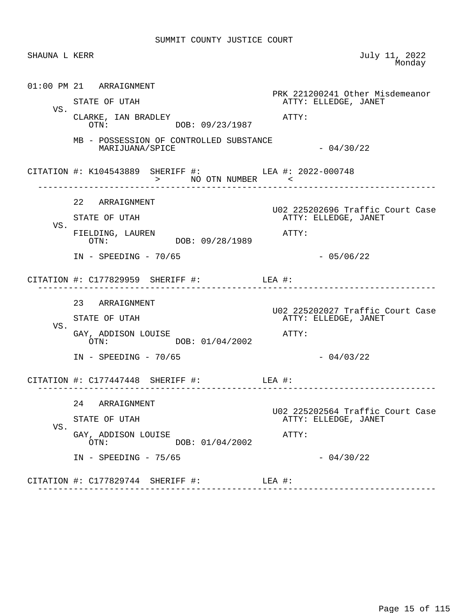| SHAUNA L KERR |                                                                                         | July 11, 2022<br>Monday                                           |
|---------------|-----------------------------------------------------------------------------------------|-------------------------------------------------------------------|
| VS.           | 01:00 PM 21 ARRAIGNMENT<br>STATE OF UTAH<br>CLARKE, IAN BRADLEY<br>OTN: DOB: 09/23/1987 | PRK 221200241 Other Misdemeanor<br>ATTY: ELLEDGE, JANET<br>ATTY:  |
|               | MB - POSSESSION OF CONTROLLED SUBSTANCE<br>MARIJUANA/SPICE                              | $-04/30/22$                                                       |
|               | CITATION #: K104543889 SHERIFF #: LEA #: 2022-000748<br>> NO OTN NUMBER <               |                                                                   |
| VS.           | 22 ARRAIGNMENT<br>STATE OF UTAH<br>FIELDING, LAUREN<br>OTN: DOB: 09/28/1989             | U02 225202696 Traffic Court Case<br>ATTY: ELLEDGE, JANET<br>ATTY: |
|               | $IN - SPEEDING - 70/65$<br>CITATION $\#$ : C177829959 SHERIFF $\#$ : LEA $\#$ :         | $-05/06/22$                                                       |
| VS.           | 23 ARRAIGNMENT<br>STATE OF UTAH<br>GAY, ADDISON LOUISE<br>OTN: DOB: 01/04/2002          | U02 225202027 Traffic Court Case<br>ATTY: ELLEDGE, JANET<br>ATTY: |
|               | $IN - SPEEDING - 70/65$<br>CITATION $\#$ : C177447448 SHERIFF $\#$ :                    | $-04/03/22$<br>LEA #:                                             |
| VS.           | 24 ARRAIGNMENT<br>STATE OF UTAH<br>GAY, ADDISON LOUISE<br>DOB: 01/04/2002<br>OTN:       | U02 225202564 Traffic Court Case<br>ATTY: ELLEDGE, JANET<br>ATTY: |
|               | $IN - SPEEDING - 75/65$<br>CITATION #: C177829744 SHERIFF #:                            | $-04/30/22$<br>LEA #:                                             |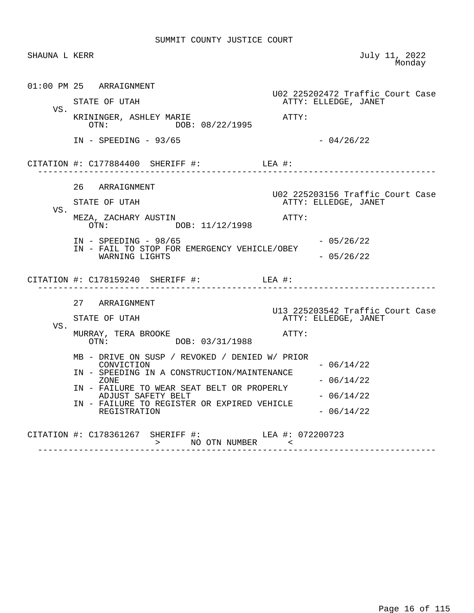| SHAUNA L KERR |                                                                                                                                                                                                                                                        | July 11, 2022<br>Monday                                                          |
|---------------|--------------------------------------------------------------------------------------------------------------------------------------------------------------------------------------------------------------------------------------------------------|----------------------------------------------------------------------------------|
| VS.           | $01:00$ PM 25 ARRAIGNMENT<br>STATE OF UTAH<br>KRININGER, ASHLEY MARIE<br>DOB: 08/22/1995<br>$\text{OTN}$ :                                                                                                                                             | U02 225202472 Traffic Court Case<br>ATTY: ELLEDGE, JANET<br>ATTY:                |
|               | $IN - SPEEDING - 93/65$                                                                                                                                                                                                                                | $-04/26/22$                                                                      |
|               |                                                                                                                                                                                                                                                        | ------------------------                                                         |
| VS.           | 26 ARRAIGNMENT<br>STATE OF UTAH<br>MEZA, ZACHARY AUSTIN<br>OTN: DOB: 11/12/1998<br>$IN - SPEEDING - 98/65$                                                                                                                                             | U02 225203156 Traffic Court Case<br>ATTY: ELLEDGE, JANET<br>ATTY:<br>$-05/26/22$ |
|               | IN - FAIL TO STOP FOR EMERGENCY VEHICLE/OBEY<br>WARNING LIGHTS<br>CITATION #: $C178159240$ SHERIFF #: LEA #:                                                                                                                                           | $-05/26/22$                                                                      |
| VS.           | 27 ARRAIGNMENT<br>STATE OF UTAH<br>MURRAY, TERA BROOKE<br>OTN: DOB: 03/31/1988                                                                                                                                                                         | U13 225203542 Traffic Court Case<br>ATTY: ELLEDGE, JANET<br>ATTY:                |
|               | MB - DRIVE ON SUSP / REVOKED / DENIED W/ PRIOR<br>CONVICTION<br>IN - SPEEDING IN A CONSTRUCTION/MAINTENANCE<br>ZONE<br>IN - FAILURE TO WEAR SEAT BELT OR PROPERLY<br>ADJUST SAFETY BELT<br>IN - FAILURE TO REGISTER OR EXPIRED VEHICLE<br>REGISTRATION | $-06/14/22$<br>$-06/14/22$<br>$-06/14/22$<br>$-06/14/22$                         |
|               | CITATION #: C178361267 SHERIFF #: LEA #: 072200723<br>> NO OTN NUMBER <                                                                                                                                                                                |                                                                                  |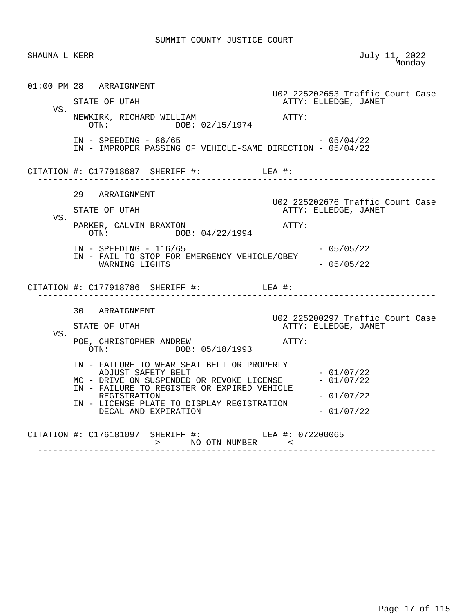| SHAUNA L KERR |                                                                                                                                                                                                                                                    | July 11, 2022<br>Monday                                           |
|---------------|----------------------------------------------------------------------------------------------------------------------------------------------------------------------------------------------------------------------------------------------------|-------------------------------------------------------------------|
| VS.           | $01:00$ PM 28 ARRAIGNMENT<br>STATE OF UTAH<br>NEWKIRK, RICHARD WILLIAM<br>OTN: DOB: 02/15/1974                                                                                                                                                     | U02 225202653 Traffic Court Case<br>ATTY: ELLEDGE, JANET<br>ATTY: |
|               | $IN - SPEEDING - 86/65$<br>IN - IMPROPER PASSING OF VEHICLE-SAME DIRECTION - 05/04/22                                                                                                                                                              | $-05/04/22$                                                       |
|               |                                                                                                                                                                                                                                                    |                                                                   |
| VS.           | 29 ARRAIGNMENT<br>STATE OF UTAH<br>PARKER, CALVIN BRAXTON<br>OTN: DOB: 04/22/1994                                                                                                                                                                  | U02 225202676 Traffic Court Case<br>ATTY: ELLEDGE, JANET<br>ATTY: |
|               | $IN - SPEEDING - 116/65$<br>IN - FAIL TO STOP FOR EMERGENCY VEHICLE/OBEY<br>WARNING LIGHTS                                                                                                                                                         | $-05/05/22$<br>$-05/05/22$                                        |
|               | CITATION #: $C177918786$ SHERIFF #: LEA #:                                                                                                                                                                                                         |                                                                   |
| VS.           | 30 ARRAIGNMENT<br>STATE OF UTAH<br>POE, CHRISTOPHER ANDREW<br>OTN: DOB: 05/18/1993                                                                                                                                                                 | U02 225200297 Traffic Court Case<br>ATTY: ELLEDGE, JANET<br>ATTY: |
|               | IN - FAILURE TO WEAR SEAT BELT OR PROPERLY<br>ADJUST SAFETY BELT<br>MC - DRIVE ON SUSPENDED OR REVOKE LICENSE<br>IN - FAILURE TO REGISTER OR EXPIRED VEHICLE<br>REGISTRATION<br>IN - LICENSE PLATE TO DISPLAY REGISTRATION<br>DECAL AND EXPIRATION | $-01/07/22$<br>$-01/07/22$<br>$-01/07/22$<br>$-01/07/22$          |
|               | CITATION #: C176181097 SHERIFF #: ___ LEA #: 072200065<br>---------------------------                                                                                                                                                              |                                                                   |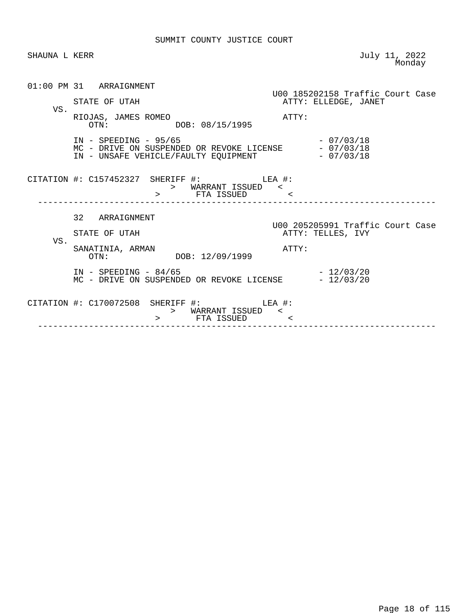| SHAUNA L KERR |                                                                                                                                     | July 11, 2022<br>Monday                               |
|---------------|-------------------------------------------------------------------------------------------------------------------------------------|-------------------------------------------------------|
|               | 01:00 PM 31 ARRAIGNMENT                                                                                                             | U00 185202158 Traffic Court Case                      |
| VS.           | STATE OF UTAH                                                                                                                       | ATTY: ELLEDGE, JANET                                  |
|               | RIOJAS, JAMES ROMEO<br>OTN: DOB: 08/15/1995                                                                                         | ATTY:                                                 |
|               | $IN - SPEEDING - 95/65$<br>MC - DRIVE ON SUSPENDED OR REVOKE LICENSE $-07/03/18$<br>IN - UNSAFE VEHICLE/FAULTY EQUIPMENT - 07/03/18 | $-07/03/18$                                           |
|               | CITATION #: $C157452327$ SHERIFF #: LEA #:<br>> WARRANT ISSUED <<br>> FTA ISSUED <                                                  |                                                       |
|               | 32 ARRAIGNMENT                                                                                                                      |                                                       |
|               | STATE OF UTAH                                                                                                                       | U00 205205991 Traffic Court Case<br>ATTY: TELLES, IVY |
| VS.           | SANATINIA, ARMAN<br>OTN: DOB: 12/09/1999                                                                                            | ATTY:                                                 |
|               | $IN - SPEEDING - 84/65$<br>MC - DRIVE ON SUSPENDED OR REVOKE LICENSE - 12/03/20                                                     | $-12/03/20$                                           |
|               | CITATION #: C170072508 SHERIFF #: LEA #:<br>> WARRANT ISSUED <<br>> FTA ISSUED <                                                    |                                                       |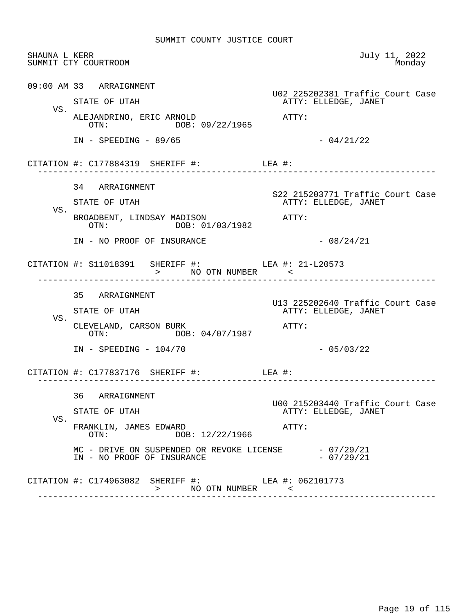| SHAUNA L KERR | SUMMIT CTY COURTROOM                                                                                               | July 11, 2022<br>Monday                                  |
|---------------|--------------------------------------------------------------------------------------------------------------------|----------------------------------------------------------|
|               | 09:00 AM 33 ARRAIGNMENT                                                                                            | U02 225202381 Traffic Court Case                         |
|               | STATE OF UTAH                                                                                                      | ATTY: ELLEDGE, JANET                                     |
| VS.           | ALEJANDRINO, ERIC ARNOLD<br>OTN: DOB: 09/22/1965                                                                   | ATTY:                                                    |
|               | $IN - SPEEDING - 89/65$                                                                                            | $-04/21/22$                                              |
|               | CITATION #: $C177884319$ SHERIFF #: LEA #:                                                                         |                                                          |
|               | 34 ARRAIGNMENT                                                                                                     |                                                          |
| VS.           | STATE OF UTAH                                                                                                      | S22 215203771 Traffic Court Case<br>ATTY: ELLEDGE, JANET |
|               | BROADBENT, LINDSAY MADISON ATTY:<br>DOB: 01/03/1982<br>OTN:                                                        |                                                          |
|               | IN - NO PROOF OF INSURANCE                                                                                         | $-08/24/21$                                              |
|               | CITATION #: S11018391 SHERIFF #: LEA #: 21-L20573<br>>          NO  OTN   NUMBER             <                     |                                                          |
|               | 35 ARRAIGNMENT                                                                                                     |                                                          |
| VS.           | STATE OF UTAH                                                                                                      | U13 225202640 Traffic Court Case<br>ATTY: ELLEDGE, JANET |
|               | CLEVELAND, CARSON BURK<br>OTN: DOB: 04/07/1987                                                                     | ATTY:                                                    |
|               | $IN - SPEEDING - 104/70$                                                                                           | $-05/03/22$                                              |
|               | CITATION #: $C177837176$ SHERIFF #: LEA #:                                                                         |                                                          |
|               | 36 ARRAIGNMENT                                                                                                     | U00 215203440 Traffic Court Case                         |
| VS.           | STATE OF UTAH                                                                                                      | ATTY: ELLEDGE, JANET                                     |
|               | FRANKLIN, JAMES EDWARD<br>DOB: 12/22/1966<br>$\cap T N$ :                                                          | ATTY:                                                    |
|               | MC - DRIVE ON SUSPENDED OR REVOKE LICENSE - 07/29/21<br>IN - NO PROOF OF INSURANCE                                 | $-07/29/21$                                              |
|               | CITATION #: C174963082 SHERIFF #: LEA #: 062101773<br>NO OTN NUMBER <<br>$\rightarrow$ $\rightarrow$ $\rightarrow$ |                                                          |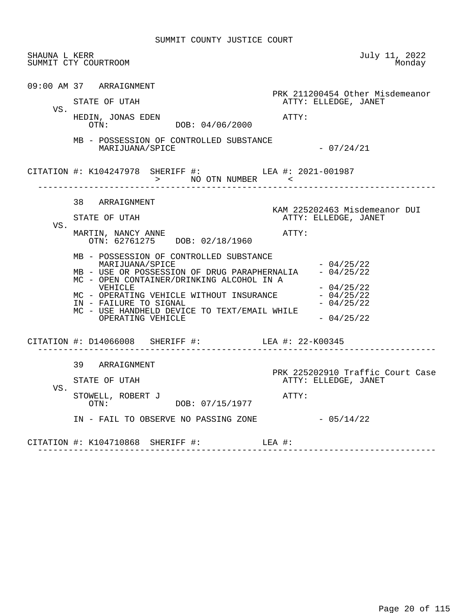| SHAUNA L KERR | SUMMIT CTY COURTROOM                                                                                                                                                                                                                                                                                                                                                                                               | July 11, 2022<br>Monday                                                                                                                   |
|---------------|--------------------------------------------------------------------------------------------------------------------------------------------------------------------------------------------------------------------------------------------------------------------------------------------------------------------------------------------------------------------------------------------------------------------|-------------------------------------------------------------------------------------------------------------------------------------------|
| VS.           | 09:00 AM 37 ARRAIGNMENT<br>STATE OF UTAH<br>HEDIN, JONAS EDEN<br>OTN: DOB: 04/06/2000                                                                                                                                                                                                                                                                                                                              | PRK 211200454 Other Misdemeanor<br>ATTY: ELLEDGE, JANET<br>ATTY:                                                                          |
|               | MB - POSSESSION OF CONTROLLED SUBSTANCE<br>MARIJUANA/SPICE                                                                                                                                                                                                                                                                                                                                                         | $-07/24/21$                                                                                                                               |
|               | CITATION #: K104247978 SHERIFF #: LEA #: 2021-001987                                                                                                                                                                                                                                                                                                                                                               |                                                                                                                                           |
| VS.           | 38 ARRAIGNMENT<br>STATE OF UTAH<br>MARTIN, NANCY ANNE<br>OTN: 62761275 DOB: 02/18/1960<br>MB - POSSESSION OF CONTROLLED SUBSTANCE<br>MARIJUANA/SPICE<br>MB - USE OR POSSESSION OF DRUG PARAPHERNALIA - 04/25/22<br>MC - OPEN CONTAINER/DRINKING ALCOHOL IN A<br>VEHICLE<br>MC - OPERATING VEHICLE WITHOUT INSURANCE<br>IN - FAILURE TO SIGNAL<br>MC - USE HANDHELD DEVICE TO TEXT/EMAIL WHILE<br>OPERATING VEHICLE | KAM 225202463 Misdemeanor DUI<br>ATTY: ELLEDGE, JANET<br>ATTY:<br>$-04/25/22$<br>$-04/25/22$<br>$-04/25/22$<br>$-04/25/22$<br>$-04/25/22$ |
|               | CITATION #: D14066008 SHERIFF #: LEA #: 22-K00345                                                                                                                                                                                                                                                                                                                                                                  |                                                                                                                                           |
| VS.           | 39 ARRAIGNMENT<br>STATE OF UTAH<br>STOWELL, ROBERT J<br>OTN: DOB: 07/15/1977<br>IN - FAIL TO OBSERVE NO PASSING ZONE                                                                                                                                                                                                                                                                                               | PRK 225202910 Traffic Court Case<br>ATTY: ELLEDGE, JANET<br>ATTY:<br>$-05/14/22$                                                          |
|               | CITATION #: K104710868 SHERIFF #: LEA #:                                                                                                                                                                                                                                                                                                                                                                           |                                                                                                                                           |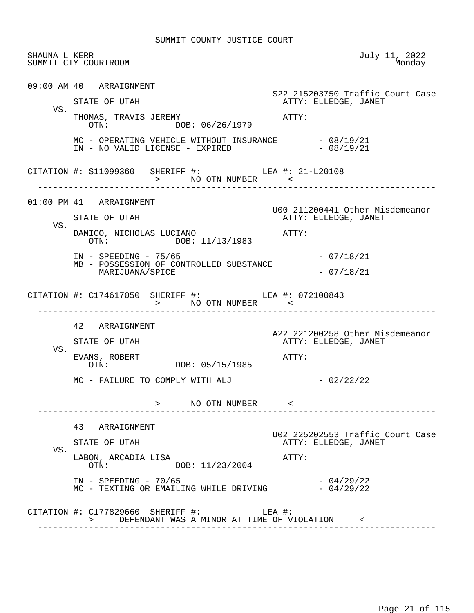|     | SHAUNA L KERR<br>SUMMIT CTY COURTROOM                                                   | July 11, 2022<br>Monday                                 |
|-----|-----------------------------------------------------------------------------------------|---------------------------------------------------------|
|     | 09:00 AM 40 ARRAIGNMENT                                                                 | S22 215203750 Traffic Court Case                        |
|     | STATE OF UTAH                                                                           | ATTY: ELLEDGE, JANET                                    |
| VS. | THOMAS, TRAVIS JEREMY<br>OTN: DOB: 06/26/1979                                           | ATTY:                                                   |
|     | MC - OPERATING VEHICLE WITHOUT INSURANCE $-08/19/21$<br>IN - NO VALID LICENSE - EXPIRED | $-08/19/21$                                             |
|     | CITATION #: S11099360 SHERIFF #: LEA #: 21-L20108<br>> NO OTN NUMBER <                  |                                                         |
|     | $01:00$ PM $41$ ARRAIGNMENT                                                             |                                                         |
|     | STATE OF UTAH                                                                           | U00 211200441 Other Misdemeanor<br>ATTY: ELLEDGE, JANET |
| VS. | DAMICO, NICHOLAS LUCIANO<br>OTN: DOB: 11/13/1983                                        | ATTY:                                                   |
|     | $IN - SPEEDING - 75/65$<br>MB - POSSESSION OF CONTROLLED SUBSTANCE                      | $-07/18/21$                                             |
|     | MARIJUANA/SPICE                                                                         | $-07/18/21$                                             |
|     | CITATION #: C174617050 SHERIFF #: LEA #: 072100843<br>> NO OTN NUMBER <                 |                                                         |
|     |                                                                                         |                                                         |
|     | 42 ARRAIGNMENT                                                                          |                                                         |
|     | STATE OF UTAH                                                                           | ATTY: ELLEDGE, JANET                                    |
| VS. | EVANS, ROBERT<br>OTN: DOB: 05/15/1985                                                   | A22 221200258 Other Misdemeanor<br>ATTY:                |
|     | MC - FAILURE TO COMPLY WITH ALJ                                                         | $-02/22/22$                                             |
|     | > NO OTN NUMBER <                                                                       |                                                         |
|     | 43 ARRAIGNMENT                                                                          |                                                         |
|     | STATE OF UTAH                                                                           | ATTY: ELLEDGE, JANET                                    |
| VS. | LABON, ARCADIA LISA<br>DOB: 11/23/2004<br>OTN:                                          | U02 225202553 Traffic Court Case<br>ATTY:               |
|     | $IN - SPEEDING - 70/65$<br>MC - TEXTING OR EMAILING WHILE DRIVING                       | $-04/29/22$<br>$-04/29/22$                              |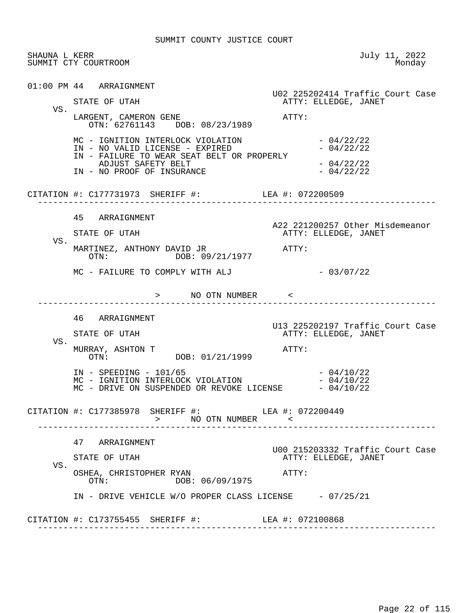| SHAUNA L KERR | SUMMIT CTY COURTROOM                                                                                                                 | July 11, 2022<br>Monday                                  |
|---------------|--------------------------------------------------------------------------------------------------------------------------------------|----------------------------------------------------------|
|               | 01:00 PM 44 ARRAIGNMENT                                                                                                              | U02 225202414 Traffic Court Case                         |
| VS.           | STATE OF UTAH                                                                                                                        | ATTY: ELLEDGE, JANET                                     |
|               | LARGENT, CAMERON GENE<br>OTN: 62761143 DOB: 08/23/1989                                                                               | ATTY:                                                    |
|               | MC - IGNITION INTERLOCK VIOLATION<br>IN - NO VALID LICENSE - EXPIRED<br>IN - FAILURE TO WEAR SEAT BELT OR PROPERLY                   | $-04/22/22$<br>$-04/22/22$                               |
|               | ADJUST SAFETY BELT<br>IN - NO PROOF OF INSURANCE                                                                                     | $-04/22/22$<br>$-04/22/22$                               |
|               | CITATION #: C177731973 SHERIFF #: LEA #: 072200509                                                                                   |                                                          |
|               | 45 ARRAIGNMENT                                                                                                                       | A22 221200257 Other Misdemeanor                          |
| VS.           | STATE OF UTAH                                                                                                                        | ATTY: ELLEDGE, JANET                                     |
|               | MARTINEZ, ANTHONY DAVID JR<br>OTN: DOB: 09/21/1977                                                                                   | ATTY:                                                    |
|               | MC - FAILURE TO COMPLY WITH ALJ                                                                                                      | $-03/07/22$                                              |
|               | > NO OTN NUMBER <                                                                                                                    |                                                          |
|               | 46 ARRAIGNMENT                                                                                                                       | U13 225202197 Traffic Court Case                         |
| VS.           | STATE OF UTAH                                                                                                                        | ATTY: ELLEDGE, JANET                                     |
|               | MURRAY, ASHTON T<br>OTN: DOB: 01/21/1999                                                                                             | ATTY:                                                    |
|               | $IN - SPEEDING - 101/65$<br>MC - IGNITION INTERLOCK VIOLATION $-04/10/22$<br>$MC$ - DRIVE ON SUSPENDED OR REVOKE LICENSE $-04/10/22$ | $-04/10/22$                                              |
|               | CITATION #: C177385978 SHERIFF #: LEA #: 072200449<br>> NO OTN NUMBER <                                                              |                                                          |
|               | 47 ARRAIGNMENT                                                                                                                       |                                                          |
|               | STATE OF UTAH                                                                                                                        | U00 215203332 Traffic Court Case<br>ATTY: ELLEDGE, JANET |
|               |                                                                                                                                      |                                                          |
| VS.           | OSHEA, CHRISTOPHER RYAN<br>DOB: 06/09/1975<br>OTN:                                                                                   | ATTY:                                                    |
|               | IN - DRIVE VEHICLE W/O PROPER CLASS LICENSE - 07/25/21                                                                               |                                                          |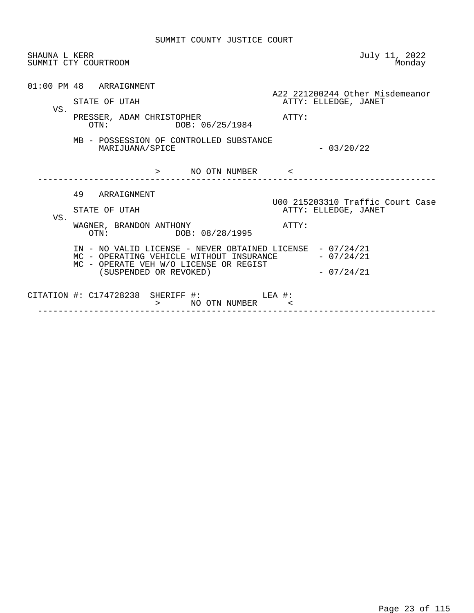| SHAUNA L KERR | SUMMIT CTY COURTROOM                                                                                                                                                                                                                                               | July 11, 2022<br>Monday                                                                        |
|---------------|--------------------------------------------------------------------------------------------------------------------------------------------------------------------------------------------------------------------------------------------------------------------|------------------------------------------------------------------------------------------------|
| VS.           | $01:00$ PM $48$ ARRAIGNMENT<br>STATE OF UTAH<br>PRESSER, ADAM CHRISTOPHER<br>DOB: 06/25/1984<br>OTN:<br>MB - POSSESSION OF CONTROLLED SUBSTANCE<br>MARIJUANA/SPICE                                                                                                 | A22 221200244 Other Misdemeanor<br>ATTY: ELLEDGE, JANET<br>ATTY:<br>$-03/20/22$                |
|               | NO OTN NUMBER <<br>$\geq$                                                                                                                                                                                                                                          |                                                                                                |
| VS.           | 49 ARRAIGNMENT<br>STATE OF UTAH<br>WAGNER, BRANDON ANTHONY<br>DOB: 08/28/1995<br>OTN:<br>IN - NO VALID LICENSE - NEVER OBTAINED LICENSE - 07/24/21<br>MC - OPERATING VEHICLE WITHOUT INSURANCE<br>MC - OPERATE VEH W/O LICENSE OR REGIST<br>(SUSPENDED OR REVOKED) | U00 215203310 Traffic Court Case<br>ATTY: ELLEDGE, JANET<br>ATTY:<br>- 07/24/21<br>$-07/24/21$ |
|               | CITATION #: $C174728238$ SHERIFF #: LEA #:<br>NO OTN NUMBER <<br>$\geq$                                                                                                                                                                                            |                                                                                                |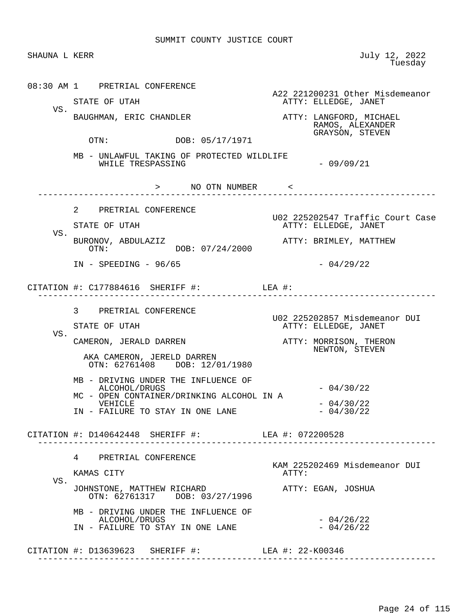| 08:30 AM 1 PRETRIAL CONFERENCE<br>ATTY: ELLEDGE, JANET<br>STATE OF UTAH<br>VS.<br>BAUGHMAN, ERIC CHANDLER<br>ATTY: LANGFORD, MICHAEL<br>RAMOS, ALEXANDER<br>GRAYSON, STEVEN<br>OTN: DOB: 05/17/1971<br>MB - UNLAWFUL TAKING OF PROTECTED WILDLIFE<br>WHILE TRESPASSING<br>$-09/09/21$<br>> NO OTN NUMBER <<br>2 PRETRIAL CONFERENCE<br>ATTY: ELLEDGE, JANET<br>STATE OF UTAH<br>VS.<br>BURONOV, ABDULAZIZ<br>ATTY: BRIMLEY, MATTHEW<br>DOB: 07/24/2000<br>OTN:<br>$-04/29/22$<br>$IN - SPEEDING - 96/65$<br>CITATION #: $C177884616$ SHERIFF #: LEA #:<br>3 PRETRIAL CONFERENCE<br>U02 225202857 Misdemeanor DUI<br>ATTY: ELLEDGE, JANET<br>STATE OF UTAH<br>VS.<br>CAMERON, JERALD DARREN<br>ATTY: MORRISON, THERON<br>NEWTON, STEVEN<br>AKA CAMERON, JERELD DARREN<br>OTN: 62761408 DOB: 12/01/1980<br>MB - DRIVING UNDER THE INFLUENCE OF<br>$-04/30/22$<br>ALCOHOL/DRUGS<br>MC - OPEN CONTAINER/DRINKING ALCOHOL IN A<br>$-04/30/22$<br>VEHICLE<br>IN - FAILURE TO STAY IN ONE LANE<br>$-04/30/22$<br>CITATION #: D140642448 SHERIFF #: LEA #: 072200528<br>4 PRETRIAL CONFERENCE<br>KAM 225202469 Misdemeanor DUI<br>ATTY:<br>KAMAS CITY<br>VS.<br>JOHNSTONE, MATTHEW RICHARD<br>ATTY: EGAN, JOSHUA<br>OTN: 62761317 DOB: 03/27/1996<br>MB - DRIVING UNDER THE INFLUENCE OF<br>$-04/26/22$<br>ALCOHOL/DRUGS<br>$-04/26/22$<br>IN - FAILURE TO STAY IN ONE LANE<br>CITATION #: D13639623 SHERIFF #: LEA #: 22-K00346 | SHAUNA L KERR | July 12, 2022<br>Tuesday         |
|--------------------------------------------------------------------------------------------------------------------------------------------------------------------------------------------------------------------------------------------------------------------------------------------------------------------------------------------------------------------------------------------------------------------------------------------------------------------------------------------------------------------------------------------------------------------------------------------------------------------------------------------------------------------------------------------------------------------------------------------------------------------------------------------------------------------------------------------------------------------------------------------------------------------------------------------------------------------------------------------------------------------------------------------------------------------------------------------------------------------------------------------------------------------------------------------------------------------------------------------------------------------------------------------------------------------------------------------------------------------------------------------------------------------------|---------------|----------------------------------|
|                                                                                                                                                                                                                                                                                                                                                                                                                                                                                                                                                                                                                                                                                                                                                                                                                                                                                                                                                                                                                                                                                                                                                                                                                                                                                                                                                                                                                          |               | A22 221200231 Other Misdemeanor  |
|                                                                                                                                                                                                                                                                                                                                                                                                                                                                                                                                                                                                                                                                                                                                                                                                                                                                                                                                                                                                                                                                                                                                                                                                                                                                                                                                                                                                                          |               |                                  |
|                                                                                                                                                                                                                                                                                                                                                                                                                                                                                                                                                                                                                                                                                                                                                                                                                                                                                                                                                                                                                                                                                                                                                                                                                                                                                                                                                                                                                          |               |                                  |
|                                                                                                                                                                                                                                                                                                                                                                                                                                                                                                                                                                                                                                                                                                                                                                                                                                                                                                                                                                                                                                                                                                                                                                                                                                                                                                                                                                                                                          |               |                                  |
|                                                                                                                                                                                                                                                                                                                                                                                                                                                                                                                                                                                                                                                                                                                                                                                                                                                                                                                                                                                                                                                                                                                                                                                                                                                                                                                                                                                                                          |               | U02 225202547 Traffic Court Case |
|                                                                                                                                                                                                                                                                                                                                                                                                                                                                                                                                                                                                                                                                                                                                                                                                                                                                                                                                                                                                                                                                                                                                                                                                                                                                                                                                                                                                                          |               |                                  |
|                                                                                                                                                                                                                                                                                                                                                                                                                                                                                                                                                                                                                                                                                                                                                                                                                                                                                                                                                                                                                                                                                                                                                                                                                                                                                                                                                                                                                          |               |                                  |
|                                                                                                                                                                                                                                                                                                                                                                                                                                                                                                                                                                                                                                                                                                                                                                                                                                                                                                                                                                                                                                                                                                                                                                                                                                                                                                                                                                                                                          |               |                                  |
|                                                                                                                                                                                                                                                                                                                                                                                                                                                                                                                                                                                                                                                                                                                                                                                                                                                                                                                                                                                                                                                                                                                                                                                                                                                                                                                                                                                                                          |               |                                  |
|                                                                                                                                                                                                                                                                                                                                                                                                                                                                                                                                                                                                                                                                                                                                                                                                                                                                                                                                                                                                                                                                                                                                                                                                                                                                                                                                                                                                                          |               |                                  |
|                                                                                                                                                                                                                                                                                                                                                                                                                                                                                                                                                                                                                                                                                                                                                                                                                                                                                                                                                                                                                                                                                                                                                                                                                                                                                                                                                                                                                          |               |                                  |
|                                                                                                                                                                                                                                                                                                                                                                                                                                                                                                                                                                                                                                                                                                                                                                                                                                                                                                                                                                                                                                                                                                                                                                                                                                                                                                                                                                                                                          |               |                                  |
|                                                                                                                                                                                                                                                                                                                                                                                                                                                                                                                                                                                                                                                                                                                                                                                                                                                                                                                                                                                                                                                                                                                                                                                                                                                                                                                                                                                                                          |               |                                  |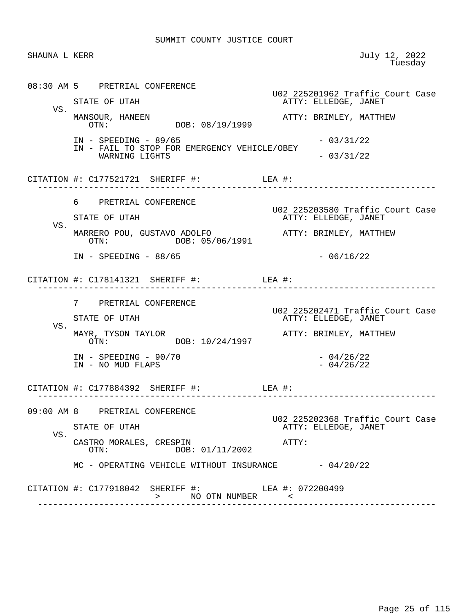SHAUNA L KERR July 12, 2022<br>Tuesday en de la construcción de la construcción de la construcción de la construcción de la construcción de la construcción de la construcción de la construcción de la construcción de la construcción de la construcción de la cons 08:30 AM 5 PRETRIAL CONFERENCE U02 225201962 Traffic Court Case ATTY: ELLEDGE, JANET VS.<br>MANSOUR, HANEEN MANSOUR, HANEEN ATTY: BRIMLEY, MATTHEW DOB: 08/19/1999 IN - SPEEDING - 89/65 - 03/31/22 IN - FAIL TO STOP FOR EMERGENCY VEHICLE/OBEY  $WARNING LIGHTS$   $-03/31/22$ CITATION #: C177521721 SHERIFF #: LEA #: ------------------------------------------------------------------------------ 6 PRETRIAL CONFERENCE U02 225203580 Traffic Court Case ATTY: ELLEDGE, JANET VS. MARRERO POU, GUSTAVO ADOLFO ATTY: BRIMLEY, MATTHEW DOB: 05/06/1991  $IN - SPEEDING - 88/65$  - 06/16/22 CITATION #: C178141321 SHERIFF #: LEA #: ------------------------------------------------------------------------------ 7 PRETRIAL CONFERENCE U02 225202471 Traffic Court Case ATTY: ELLEDGE, JANET VS.<br>MAYR, TYSON TAYLOR MAYR, TYSON TAYLOR ATTY: BRIMLEY, MATTHEW DOB: 10/24/1997 IN - SPEEDING - 90/70 - 04/26/22<br>IN - NO MUD FLAPS - 04/26/22  $IN - NO MUD FLAPS$  CITATION #: C177884392 SHERIFF #: LEA #: ------------------------------------------------------------------------------ 09:00 AM 8 PRETRIAL CONFERENCE U02 225202368 Traffic Court Case ATTY: ELLEDGE, JANET VS. CASTRO MORALES, CRESPIN <br>
OTN: DOB: 01/11/2002 ATTY: DOB: 01/11/2002  $MC - OPERATING VEHICLE WITHOUT INSURANCE -  $04/20/22$$ CITATION #: C177918042 SHERIFF #: LEA #: 072200499 > NO OTN NUMBER < ------------------------------------------------------------------------------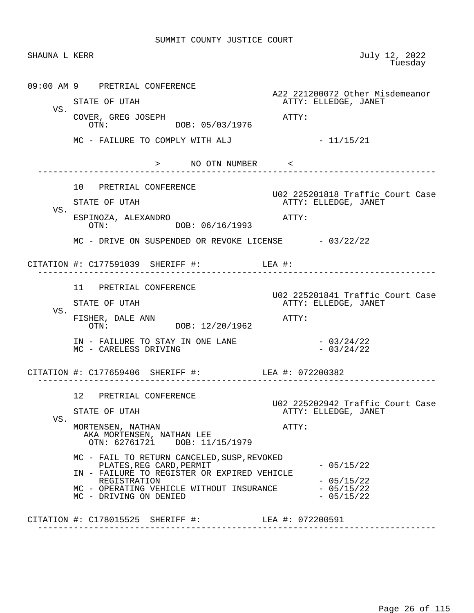| SHAUNA L KERR |                                                                                    | July 12, 2022<br>Tuesday                                 |
|---------------|------------------------------------------------------------------------------------|----------------------------------------------------------|
|               | 09:00 AM 9 PRETRIAL CONFERENCE                                                     | A22 221200072 Other Misdemeanor                          |
| VS.           | STATE OF UTAH                                                                      | ATTY: ELLEDGE, JANET                                     |
|               | COVER, GREG JOSEPH<br>OTN: DOB: 05/03/1976                                         | ATTY:                                                    |
|               | MC - FAILURE TO COMPLY WITH ALJ                                                    | $-11/15/21$                                              |
|               | > NO OTN NUMBER <                                                                  |                                                          |
|               | 10 PRETRIAL CONFERENCE                                                             |                                                          |
|               | STATE OF UTAH                                                                      | U02 225201818 Traffic Court Case<br>ATTY: ELLEDGE, JANET |
| VS.           | ESPINOZA, ALEXANDRO<br>DOB: 06/16/1993<br>OTN:                                     | ATTY:                                                    |
|               | $MC$ - DRIVE ON SUSPENDED OR REVOKE LICENSE $-03/22/22$                            |                                                          |
|               | CITATION #: $C177591039$ SHERIFF #: LEA #:                                         |                                                          |
|               | 11 PRETRIAL CONFERENCE                                                             |                                                          |
|               | STATE OF UTAH                                                                      | U02 225201841 Traffic Court Case<br>ATTY: ELLEDGE, JANET |
| VS.           | FISHER, DALE ANN<br>DOB: 12/20/1962<br>OTN:                                        | ATTY:                                                    |
|               | IN - FAILURE TO STAY IN ONE LANE<br>MC - CARELESS DRIVING                          | $-03/24/22$<br>$-03/24/22$                               |
|               | CITATION #: C177659406 SHERIFF #: LEA #: 072200382                                 |                                                          |
|               | 12 PRETRIAL CONFERENCE                                                             |                                                          |
|               | STATE OF UTAH                                                                      | U02 225202942 Traffic Court Case<br>ATTY: ELLEDGE, JANET |
| VS.           | MORTENSEN, NATHAN<br>AKA MORTENSEN, NATHAN LEE<br>OTN: 62761721 DOB: 11/15/1979    | ATTY:                                                    |
|               | MC - FAIL TO RETURN CANCELED, SUSP, REVOKED                                        | $-05/15/22$                                              |
|               | PLATES, REG CARD, PERMIT<br>IN - FAILURE TO REGISTER OR EXPIRED VEHICLE            |                                                          |
|               | REGISTRATION<br>MC - OPERATING VEHICLE WITHOUT INSURANCE<br>MC - DRIVING ON DENIED | $-05/15/22$<br>$-05/15/22$<br>$-05/15/22$                |
|               | CITATION #: C178015525 SHERIFF #: LEA #: 072200591                                 |                                                          |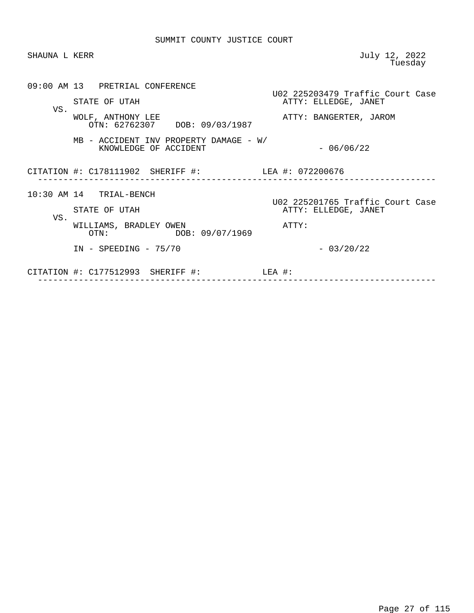| SHAUNA L KERR |                                                                 | July 12, 2022<br>Tuesday                                 |
|---------------|-----------------------------------------------------------------|----------------------------------------------------------|
| VS.           | 09:00 AM 13 PRETRIAL CONFERENCE<br>STATE OF UTAH                | U02 225203479 Traffic Court Case<br>ATTY: ELLEDGE, JANET |
|               | WOLF, ANTHONY LEE<br>OTN: 62762307 DOB: 09/03/1987              | ATTY: BANGERTER, JAROM                                   |
|               | MB - ACCIDENT INV PROPERTY DAMAGE - W/<br>KNOWLEDGE OF ACCIDENT | $-06/06/22$                                              |
|               | CITATION #: C178111902 SHERIFF #: LEA #: 072200676              |                                                          |
|               | 10:30 AM 14 TRIAL-BENCH                                         | U02 225201765 Traffic Court Case                         |
| VS.           | STATE OF UTAH                                                   | ATTY: ELLEDGE, JANET                                     |
|               | WILLIAMS, BRADLEY OWEN<br>DOB: 09/07/1969<br>OTN:               | ATTY:                                                    |
|               | $IN - SPEEDING - 75/70$                                         | $-03/20/22$                                              |
|               | CITATION $\#$ : C177512993 SHERIFF $\#$ :                       | LEA #:                                                   |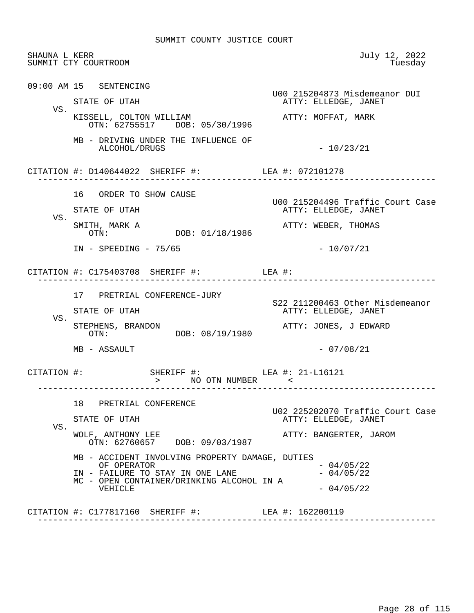| SHAUNA L KERR | SUMMIT CTY COURTROOM                                                                                                                                                                                             | July 12, 2022<br>Tuesday                                            |
|---------------|------------------------------------------------------------------------------------------------------------------------------------------------------------------------------------------------------------------|---------------------------------------------------------------------|
|               | 09:00 AM 15 SENTENCING<br>STATE OF UTAH                                                                                                                                                                          | U00 215204873 Misdemeanor DUI<br>ATTY: ELLEDGE, JANET               |
| VS.           | KISSELL, COLTON WILLIAM<br>OTN: 62755517 DOB: 05/30/1996                                                                                                                                                         | ATTY: MOFFAT, MARK                                                  |
|               | MB - DRIVING UNDER THE INFLUENCE OF<br>ALCOHOL/DRUGS                                                                                                                                                             | $-10/23/21$                                                         |
|               | CITATION #: D140644022 SHERIFF #: LEA #: 072101278                                                                                                                                                               |                                                                     |
| VS.           | 16 ORDER TO SHOW CAUSE<br>STATE OF UTAH                                                                                                                                                                          | U00 215204496 Traffic Court Case<br>ATTY: ELLEDGE, JANET            |
|               | SMITH, MARK A<br>DOB: 01/18/1986<br>OTN:                                                                                                                                                                         | ATTY: WEBER, THOMAS                                                 |
|               | $IN - SPEEDING - 75/65$<br>CITATION #: $C175403708$ SHERIFF #: LEA #:                                                                                                                                            | $-10/07/21$                                                         |
| VS.           | 17 PRETRIAL CONFERENCE-JURY<br>STATE OF UTAH                                                                                                                                                                     | S22 211200463 Other Misdemeanor<br>ATTY: ELLEDGE, JANET             |
|               | STEPHENS, BRANDON<br>OTN: DOB: 08/19/1980                                                                                                                                                                        | ATTY: JONES, J EDWARD                                               |
|               | MB - ASSAULT                                                                                                                                                                                                     | $-07/08/21$                                                         |
| CITATION #:   | SHERIFF #: LEA #: 21-L16121<br>> NO OTN NUMBER <<br>---------------------                                                                                                                                        |                                                                     |
| VS.           | 18 PRETRIAL CONFERENCE<br>STATE OF UTAH                                                                                                                                                                          | U02 225202070 Traffic Court Case<br>ATTY: ELLEDGE, JANET            |
|               | WOLF, ANTHONY LEE<br>OTN: 62760657 DOB: 09/03/1987<br>MB - ACCIDENT INVOLVING PROPERTY DAMAGE, DUTIES<br>OF OPERATOR<br>IN - FAILURE TO STAY IN ONE LANE<br>MC - OPEN CONTAINER/DRINKING ALCOHOL IN A<br>VEHICLE | ATTY: BANGERTER, JAROM<br>$-04/05/22$<br>$-04/05/22$<br>$-04/05/22$ |
|               |                                                                                                                                                                                                                  |                                                                     |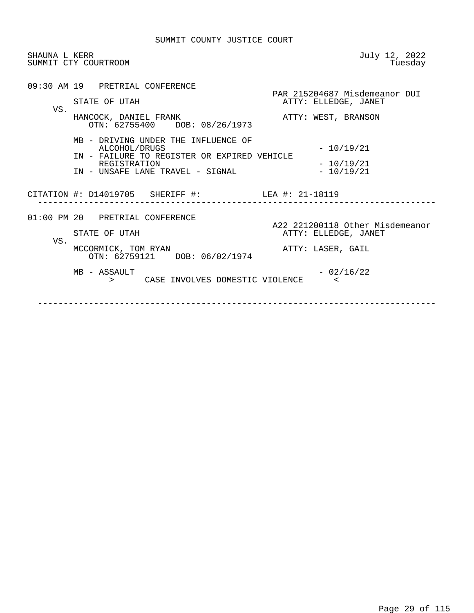| SHAUNA L KERR | SUMMIT CTY COURTROOM                                                                                                                                    | July 12, 2022<br>Tuesday                                |
|---------------|---------------------------------------------------------------------------------------------------------------------------------------------------------|---------------------------------------------------------|
| VS.           | 09:30 AM 19 PRETRIAL CONFERENCE<br>STATE OF UTAH                                                                                                        | PAR 215204687 Misdemeanor DUI<br>ATTY: ELLEDGE, JANET   |
|               | HANCOCK, DANIEL FRANK<br>OTN: 62755400 DOB: 08/26/1973                                                                                                  | ATTY: WEST, BRANSON                                     |
|               | MB - DRIVING UNDER THE INFLUENCE OF<br>ALCOHOL/DRUGS<br>IN - FAILURE TO REGISTER OR EXPIRED VEHICLE<br>REGISTRATION<br>IN - UNSAFE LANE TRAVEL - SIGNAL | $-10/19/21$<br>$-10/19/21$<br>$-10/19/21$               |
|               | CITATION #: D14019705 SHERIFF #: LEA #: 21-18119                                                                                                        |                                                         |
| VS.           | 01:00 PM 20 PRETRIAL CONFERENCE<br>STATE OF UTAH                                                                                                        | A22 221200118 Other Misdemeanor<br>ATTY: ELLEDGE, JANET |
|               | MCCORMICK, TOM RYAN<br>OTN: 62759121 DOB: 06/02/1974                                                                                                    | ATTY: LASER, GAIL                                       |
|               | MB - ASSAULT<br>CASE INVOLVES DOMESTIC VIOLENCE<br>$>$ and $\sim$ $\sim$                                                                                | $-02/16/22$<br>$\epsilon$                               |
|               |                                                                                                                                                         |                                                         |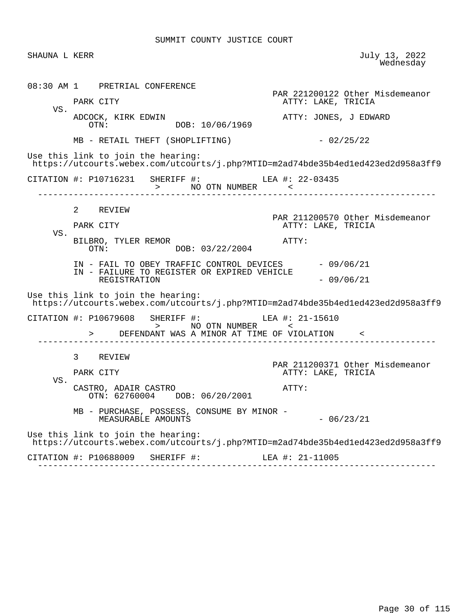| SHAUNA L KERR |                                                                                                                        | July 13, 2022<br>Wednesday                            |
|---------------|------------------------------------------------------------------------------------------------------------------------|-------------------------------------------------------|
| VS.           | 08:30 AM 1 PRETRIAL CONFERENCE<br>PARK CITY                                                                            | PAR 221200122 Other Misdemeanor<br>ATTY: LAKE, TRICIA |
|               | ADCOCK, KIRK EDWIN<br>OTN: DOB: 10/06/1969                                                                             | ATTY: JONES, J EDWARD                                 |
|               | MB - RETAIL THEFT (SHOPLIFTING)                                                                                        | $-02/25/22$                                           |
|               | Use this link to join the hearing:<br>https://utcourts.webex.com/utcourts/j.php?MTID=m2ad74bde35b4ed1ed423ed2d958a3ff9 |                                                       |
|               | CITATION #: P10716231 SHERIFF #: LEA #: 22-03435<br>> NO OTN NUMBER <                                                  |                                                       |
|               | 2 REVIEW                                                                                                               | PAR 211200570 Other Misdemeanor                       |
|               | PARK CITY                                                                                                              | ATTY: LAKE, TRICIA                                    |
| VS.           | BILBRO, TYLER REMOR<br>OTN: $-$ ---- Adrian DOB: 03/22/2004                                                            | ATTY:                                                 |
|               | IN - FAIL TO OBEY TRAFFIC CONTROL DEVICES - 09/06/21<br>IN - FAILURE TO REGISTER OR EXPIRED VEHICLE<br>REGISTRATION    | $-09/06/21$                                           |
|               | Use this link to join the hearing:<br>https://utcourts.webex.com/utcourts/j.php?MTID=m2ad74bde35b4ed1ed423ed2d958a3ff9 |                                                       |
|               | CITATION #: P10679608 SHERIFF #: LEA #: 21-15610<br>> NO OTN NUMBER <                                                  |                                                       |
|               | > DEFENDANT WAS A MINOR AT TIME OF VIOLATION <                                                                         |                                                       |
|               | 3 REVIEW                                                                                                               |                                                       |
|               | PARK CITY                                                                                                              | PAR 211200371 Other Misdemeanor<br>ATTY: LAKE, TRICIA |
| VS.           | CASTRO, ADAIR CASTRO<br>$OTN: 62760004$ DOB: $06/20/2001$                                                              | ATTY:                                                 |
|               | MB - PURCHASE, POSSESS, CONSUME BY MINOR -<br>MEASURABLE AMOUNTS                                                       | $-06/23/21$                                           |
|               | Use this link to join the hearing:<br>https://utcourts.webex.com/utcourts/j.php?MTID=m2ad74bde35b4ed1ed423ed2d958a3ff9 |                                                       |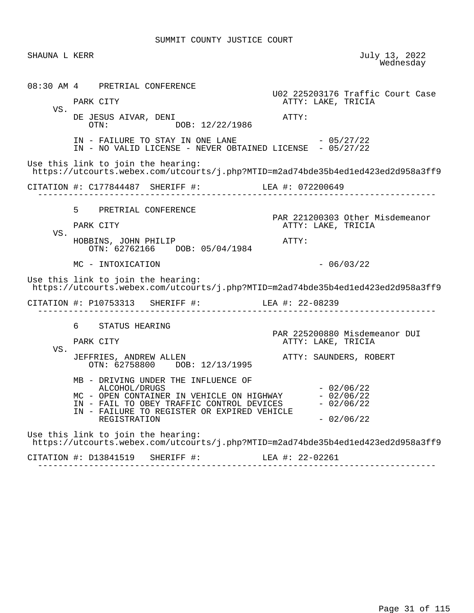| SHAUNA L KERR |                                                                                                                                                                                                               | July 13, 2022<br>Wednesday                               |
|---------------|---------------------------------------------------------------------------------------------------------------------------------------------------------------------------------------------------------------|----------------------------------------------------------|
|               | 08:30 AM 4 PRETRIAL CONFERENCE                                                                                                                                                                                | U02 225203176 Traffic Court Case                         |
| VS.           | PARK CITY                                                                                                                                                                                                     | ATTY: LAKE, TRICIA                                       |
|               | DE JESUS AIVAR, DENI<br>DOB: 12/22/1986<br>OTN:                                                                                                                                                               | ATTY:                                                    |
|               | IN - FAILURE TO STAY IN ONE LANE $- 05/27/22$<br>IN - NO VALID LICENSE - NEVER OBTAINED LICENSE - 05/27/22                                                                                                    |                                                          |
|               | Use this link to join the hearing:<br>https://utcourts.webex.com/utcourts/j.php?MTID=m2ad74bde35b4ed1ed423ed2d958a3ff9                                                                                        |                                                          |
|               | CITATION #: C177844487 SHERIFF #: LEA #: 072200649                                                                                                                                                            |                                                          |
|               | 5 PRETRIAL CONFERENCE                                                                                                                                                                                         |                                                          |
| VS.           | PARK CITY                                                                                                                                                                                                     | PAR 221200303 Other Misdemeanor<br>ATTY: LAKE, TRICIA    |
|               | HOBBINS, JOHN PHILIP<br>OTN: 62762166 DOB: 05/04/1984                                                                                                                                                         | ATTY:                                                    |
|               | MC - INTOXICATION                                                                                                                                                                                             | $-06/03/22$                                              |
|               | Use this link to join the hearing:<br>https://utcourts.webex.com/utcourts/j.php?MTID=m2ad74bde35b4ed1ed423ed2d958a3ff9                                                                                        |                                                          |
|               | CITATION #: P10753313 SHERIFF #: LEA #: 22-08239                                                                                                                                                              |                                                          |
|               | 6 STATUS HEARING                                                                                                                                                                                              |                                                          |
|               | PARK CITY                                                                                                                                                                                                     | PAR 225200880 Misdemeanor DUI<br>ATTY: LAKE, TRICIA      |
| VS.           | JEFFRIES, ANDREW ALLEN<br>OTN: 62758800 DOB: 12/13/1995                                                                                                                                                       | ATTY: SAUNDERS, ROBERT                                   |
|               | MB - DRIVING UNDER THE INFLUENCE OF<br>ALCOHOL/DRUGS<br>MC - OPEN CONTAINER IN VEHICLE ON HIGHWAY<br>IN - FAIL TO OBEY TRAFFIC CONTROL DEVICES<br>IN - FAILURE TO REGISTER OR EXPIRED VEHICLE<br>REGISTRATION | $-02/06/22$<br>$-02/06/22$<br>$-02/06/22$<br>$-02/06/22$ |
|               | Use this link to join the hearing:<br>https://utcourts.webex.com/utcourts/j.php?MTID=m2ad74bde35b4ed1ed423ed2d958a3ff9                                                                                        |                                                          |
|               |                                                                                                                                                                                                               |                                                          |

 CITATION #: D13841519 SHERIFF #: LEA #: 22-02261 ------------------------------------------------------------------------------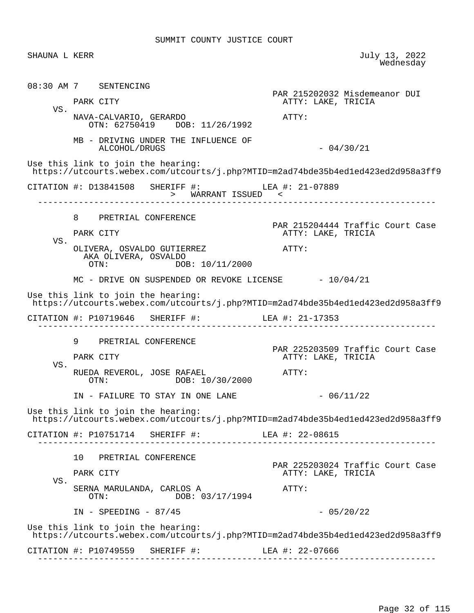SHAUNA L KERR July 13, 2022<br>Wednesday wednesday and the contract of the Mednesday of the Mednesday of the Mednesday of the Mednesday of the  $\sim$  08:30 AM 7 SENTENCING PAR 215202032 Misdemeanor DUI ATTY: LAKE, TRICIA VS. NAVA-CALVARIO, GERARDO ATTY: OTN: 62750419 DOB: 11/26/1992 MB - DRIVING UNDER THE INFLUENCE OF ALCOHOL/DRUGS - 04/30/21 Use this link to join the hearing: https://utcourts.webex.com/utcourts/j.php?MTID=m2ad74bde35b4ed1ed423ed2d958a3ff9 CITATION #: D13841508 SHERIFF #: LEA #: 21-07889 > WARRANT ISSUED < ------------------------------------------------------------------------------ 8 PRETRIAL CONFERENCE PAR 215204444 Traffic Court Case<br>PARK CITY COURT COURT ATTY: LAKE, TRICIA ATTY: LAKE, TRICIA VS. OLIVERA, OSVALDO GUTIERREZ  $\overline{A}$ TTY: AKA OLIVERA, OSVALDO<br>OTN: DOB: 10/11/2000  $MC$  - DRIVE ON SUSPENDED OR REVOKE LICENSE  $-10/04/21$  Use this link to join the hearing: https://utcourts.webex.com/utcourts/j.php?MTID=m2ad74bde35b4ed1ed423ed2d958a3ff9 CITATION #: P10719646 SHERIFF #: LEA #: 21-17353 ------------------------------------------------------------------------------ 9 PRETRIAL CONFERENCE PAR 225203509 Traffic Court Case ATTY: LAKE, TRICIA VS. RUEDA REVEROL, JOSE RAFAEL **ATTY:**  OTN: DOB: 10/30/2000 IN - FAILURE TO STAY IN ONE LANE  $- 06/11/22$  Use this link to join the hearing: https://utcourts.webex.com/utcourts/j.php?MTID=m2ad74bde35b4ed1ed423ed2d958a3ff9 CITATION #: P10751714 SHERIFF #: LEA #: 22-08615 ------------------------------------------------------------------------------ 10 PRETRIAL CONFERENCE PAR 225203024 Traffic Court Case PARK CITY THE RESERVE TO A PARK CITY ATTY: LAKE, TRICIA VS. SERNA MARULANDA, CARLOS A ATTY: DOB: 03/17/1994  $IN - SPEEDING - 87/45$  - 05/20/22 Use this link to join the hearing: https://utcourts.webex.com/utcourts/j.php?MTID=m2ad74bde35b4ed1ed423ed2d958a3ff9 CITATION #: P10749559 SHERIFF #: LEA #: 22-07666 ------------------------------------------------------------------------------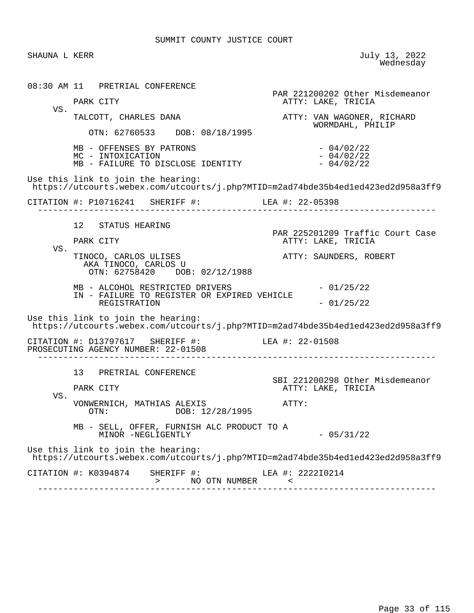SHAUNA L KERR July 13, 2022<br>Wednesday wednesday and the contract of the Mednesday of the Mednesday of the Mednesday of the Mednesday of the  $\sim$  08:30 AM 11 PRETRIAL CONFERENCE PAR 221200202 Other Misdemeanor ATTY: LAKE, TRICIA VS.<br>TALCOTT, CHARLES DANA ATTY: VAN WAGONER, RICHARD WORMDAHL, PHILIP OTN: 62760533 DOB: 08/18/1995  $MB - OFFENSES BY PARTRONS$ <br>  $MC - INTOXICATION$ <br>  $- 04/02/22$  $MC - INTOXICATION$ <br>  $MB - FAILURE TO DISCLOSE IDENTITY$  - 04/02/22 MB - FAILURE TO DISCLOSE IDENTITY Use this link to join the hearing: https://utcourts.webex.com/utcourts/j.php?MTID=m2ad74bde35b4ed1ed423ed2d958a3ff9 CITATION #: P10716241 SHERIFF #: LEA #: 22-05398 ------------------------------------------------------------------------------ 12 STATUS HEARING PAR 225201209 Traffic Court Case<br>PARK CITY ATTY: LAKE, TRICIA ATTY: LAKE, TRICIA VS. TINOCO, CARLOS ULISES ATTY: SAUNDERS, ROBERT AKA TINOCO, CARLOS U OTN: 62758420 DOB: 02/12/1988  $MB - ALCOHOL RESTRICTED DRIVERS - 01/25/22$  IN - FAILURE TO REGISTER OR EXPIRED VEHICLE REGISTRATION  $-01/25/22$  Use this link to join the hearing: https://utcourts.webex.com/utcourts/j.php?MTID=m2ad74bde35b4ed1ed423ed2d958a3ff9 CITATION #: D13797617 SHERIFF #: LEA #: 22-01508 PROSECUTING AGENCY NUMBER: 22-01508 ------------------------------------------------------------------------------ 13 PRETRIAL CONFERENCE SBI 221200298 Other Misdemeanor ATTY: LAKE, TRICIA VS. VONWERNICH, MATHIAS ALEXIS<br>
OTN: OTN: DOR: 12/28/1995 DOB: 12/28/1995 MB - SELL, OFFER, FURNISH ALC PRODUCT TO A MINOR -NEGLIGENTLY  $-05/31/22$  Use this link to join the hearing: https://utcourts.webex.com/utcourts/j.php?MTID=m2ad74bde35b4ed1ed423ed2d958a3ff9 CITATION #: K0394874 SHERIFF #: LEA #: 222210214 > NO OTN NUMBER  $\sim$ ------------------------------------------------------------------------------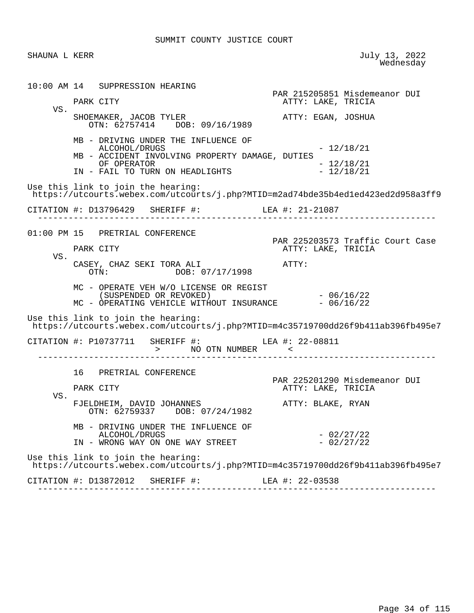SHAUNA L KERR July 13, 2022<br>Wednesday wednesday and the contract of the Mednesday of the Mednesday of the Mednesday of the Mednesday of the  $\sim$  10:00 AM 14 SUPPRESSION HEARING PAR 215205851 Misdemeanor DUI ATTY: LAKE, TRICIA VS. SHOEMAKER, JACOB TYLER ATTY: EGAN, JOSHUA OTN: 62757414 DOB: 09/16/1989 MB - DRIVING UNDER THE INFLUENCE OF ALCOHOL/DRUGS - 12/18/21 MB - ACCIDENT INVOLVING PROPERTY DAMAGE, DUTIES OF OPERATOR - 12/18/21 IN - FAIL TO TURN ON HEADLIGHTS Use this link to join the hearing: https://utcourts.webex.com/utcourts/j.php?MTID=m2ad74bde35b4ed1ed423ed2d958a3ff9 CITATION #: D13796429 SHERIFF #: LEA #: 21-21087 ------------------------------------------------------------------------------ 01:00 PM 15 PRETRIAL CONFERENCE PAR 225203573 Traffic Court Case PARK CITY THE RESERVE TO A PARK CITY ATTY: LAKE, TRICIA VS. CASEY, CHAZ SEKI TORA ALI ATTY: DOB: 07/17/1998 MC - OPERATE VEH W/O LICENSE OR REGIST (SUSPENDED OR REVOKED) - 06/16/22<br>OPERATING VEHICLE WITHOUT INSURANCE - 06/16/22 MC - OPERATING VEHICLE WITHOUT INSURANCE Use this link to join the hearing: https://utcourts.webex.com/utcourts/j.php?MTID=m4c35719700dd26f9b411ab396fb495e7 CITATION #: P10737711 SHERIFF #: LEA #: 22-08811 > NO OTN NUMBER < ------------------------------------------------------------------------------ 16 PRETRIAL CONFERENCE PAR 225201290 Misdemeanor DUI<br>PARK CITY CITY CONSECTION ATTY: LAKE, TRICIA ATTY: LAKE, TRICIA VS. FJELDHEIM, DAVID JOHANNES ATTY: BLAKE, RYAN OTN: 62759337 DOB: 07/24/1982 MB - DRIVING UNDER THE INFLUENCE OF ALCOHOL/DRUGS - 02/27/22<br>WRONG WAY ON ONE WAY STREET - - 02/27/22 IN - WRONG WAY ON ONE WAY STREET Use this link to join the hearing: https://utcourts.webex.com/utcourts/j.php?MTID=m4c35719700dd26f9b411ab396fb495e7 CITATION #: D13872012 SHERIFF #: LEA #: 22-03538 ------------------------------------------------------------------------------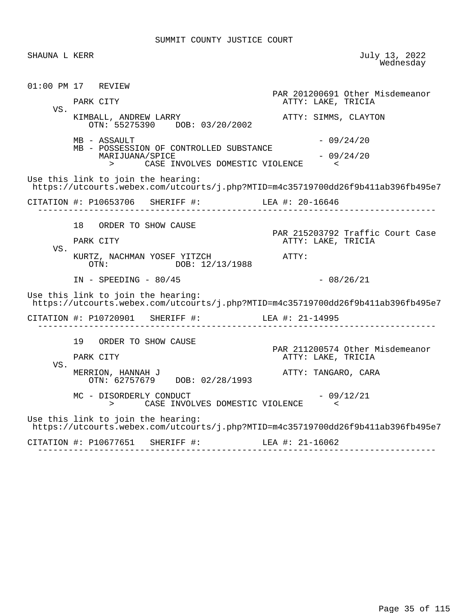SHAUNA L KERR July 13, 2022<br>Wednesday wednesday and the contract of the Mednesday of the Mednesday of the Mednesday of the Mednesday of the  $\sim$  01:00 PM 17 REVIEW PAR 201200691 Other Misdemeanor PARK CITY THE RESERVE TO A PARK CITY ATTY: LAKE, TRICIA VS. KIMBALL, ANDREW LARRY **ATTY: SIMMS, CLAYTON**  OTN: 55275390 DOB: 03/20/2002  $MB - ASSAULT$  - 09/24/20 MB - POSSESSION OF CONTROLLED SUBSTANCE  $MARIJUANA/SPICE$   $-09/24/20$  > CASE INVOLVES DOMESTIC VIOLENCE < Use this link to join the hearing: https://utcourts.webex.com/utcourts/j.php?MTID=m4c35719700dd26f9b411ab396fb495e7 CITATION #: P10653706 SHERIFF #: LEA #: 20-16646 ------------------------------------------------------------------------------ 18 ORDER TO SHOW CAUSE PAR 215203792 Traffic Court Case<br>PARK CITY ATTY: LAKE, TRICIA ATTY: LAKE, TRICIA VS. KURTZ, NACHMAN YOSEF YITZCH ATTY:<br>OTN: DOB: 12/13/1988 DOB: 12/13/1988 IN - SPEEDING - 80/45 - 200 - 200 - 2010 Use this link to join the hearing: https://utcourts.webex.com/utcourts/j.php?MTID=m4c35719700dd26f9b411ab396fb495e7 CITATION #: P10720901 SHERIFF #: LEA #: 21-14995 ------------------------------------------------------------------------------ 19 ORDER TO SHOW CAUSE PAR 211200574 Other Misdemeanor ATTY: LAKE, TRICIA VS. MERRION, HANNAH J **ATTY: TANGARO, CARA**  OTN: 62757679 DOB: 02/28/1993  $MC - DISORDERLY CONDUCT$  - 09/12/21 > CASE INVOLVES DOMESTIC VIOLENCE < Use this link to join the hearing: https://utcourts.webex.com/utcourts/j.php?MTID=m4c35719700dd26f9b411ab396fb495e7 CITATION #: P10677651 SHERIFF #: LEA #: 21-16062 ------------------------------------------------------------------------------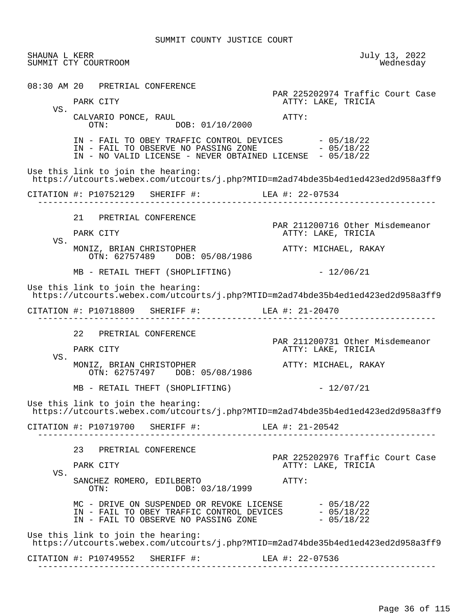| SHAUNA L KERR<br>SUMMIT CTY COURTROOM |    |                                                                                  |                                                                                                                                                                      | July 13, 2022<br>Wednesday |
|---------------------------------------|----|----------------------------------------------------------------------------------|----------------------------------------------------------------------------------------------------------------------------------------------------------------------|----------------------------|
|                                       |    | 08:30 AM 20 PRETRIAL CONFERENCE                                                  | PAR 225202974 Traffic Court Case                                                                                                                                     |                            |
| VS.                                   |    | PARK CITY                                                                        | ATTY: LAKE, TRICIA                                                                                                                                                   |                            |
|                                       |    | CALVARIO PONCE, RAUL<br>DOB: 01/10/2000<br>OTN:                                  | ATTY:                                                                                                                                                                |                            |
|                                       |    | IN - FAIL TO OBSERVE NO PASSING ZONE                                             | IN - FAIL TO OBEY TRAFFIC CONTROL DEVICES - 05/18/22<br>- 05/18/22<br>IN - NO VALID LICENSE - NEVER OBTAINED LICENSE - 05/18/22                                      |                            |
|                                       |    | Use this link to join the hearing:                                               | https://utcourts.webex.com/utcourts/j.php?MTID=m2ad74bde35b4ed1ed423ed2d958a3ff9                                                                                     |                            |
|                                       |    | CITATION #: P10752129 SHERIFF #: LEA #: 22-07534                                 |                                                                                                                                                                      |                            |
|                                       | 21 | PRETRIAL CONFERENCE                                                              | PAR 211200716 Other Misdemeanor                                                                                                                                      |                            |
| VS.                                   |    | PARK CITY                                                                        | ATTY: LAKE, TRICIA                                                                                                                                                   |                            |
|                                       |    | MONIZ, BRIAN CHRISTOPHER<br>OTN: 62757489 DOB: 05/08/1986                        | ATTY: MICHAEL, RAKAY                                                                                                                                                 |                            |
|                                       |    | MB - RETAIL THEFT (SHOPLIFTING)                                                  | $-12/06/21$                                                                                                                                                          |                            |
|                                       |    | Use this link to join the hearing:                                               | https://utcourts.webex.com/utcourts/j.php?MTID=m2ad74bde35b4ed1ed423ed2d958a3ff9                                                                                     |                            |
|                                       |    | CITATION #: P10718809 SHERIFF #: LEA #: 21-20470                                 |                                                                                                                                                                      |                            |
|                                       |    | 22 PRETRIAL CONFERENCE                                                           |                                                                                                                                                                      |                            |
|                                       |    | PARK CITY                                                                        | PAR 211200731 Other Misdemeanor<br>ATTY: LAKE, TRICIA                                                                                                                |                            |
| VS.                                   |    | MONIZ, BRIAN CHRISTOPHER<br>OTN: 62757497 DOB: 05/08/1986                        | ATTY: MICHAEL, RAKAY                                                                                                                                                 |                            |
|                                       |    | MB - RETAIL THEFT (SHOPLIFTING)                                                  | $-12/07/21$                                                                                                                                                          |                            |
|                                       |    | Use this link to join the hearing:                                               | https://utcourts.webex.com/utcourts/j.php?MTID=m2ad74bde35b4ed1ed423ed2d958a3ff9                                                                                     |                            |
|                                       |    | CITATION #: P10719700 SHERIFF #: LEA #: 21-20542                                 |                                                                                                                                                                      |                            |
| VS.                                   |    | 23 PRETRIAL CONFERENCE                                                           |                                                                                                                                                                      |                            |
|                                       |    | PARK CITY                                                                        | PAR 225202976 Traffic Court Case<br>ATTY: LAKE, TRICIA                                                                                                               |                            |
|                                       |    | SANCHEZ ROMERO, EDILBERTO<br>DOB: 03/18/1999<br>OTN:                             | ATTY:                                                                                                                                                                |                            |
|                                       |    |                                                                                  | MC - DRIVE ON SUSPENDED OR REVOKE LICENSE $-$ 05/18/22<br>IN - FAIL TO OBEY TRAFFIC CONTROL DEVICES $-$ 05/18/22<br>IN - FAIL TO OBSERVE NO PASSING ZONE $-05/18/22$ |                            |
|                                       |    | Use this link to join the hearing:                                               |                                                                                                                                                                      |                            |
|                                       |    | https://utcourts.webex.com/utcourts/j.php?MTID=m2ad74bde35b4ed1ed423ed2d958a3ff9 |                                                                                                                                                                      |                            |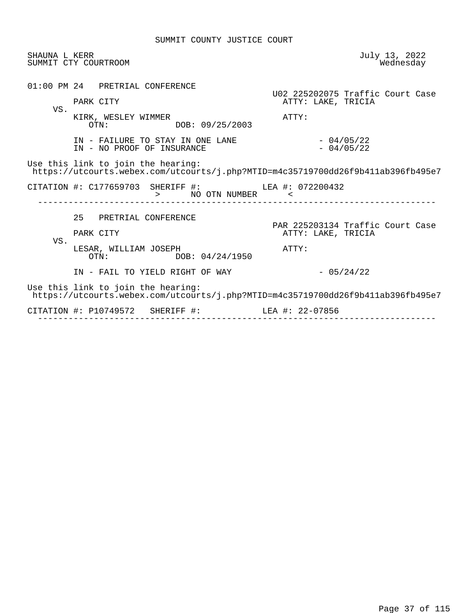| SHAUNA L KERR | SUMMIT CTY COURTROOM                                                                                                   | July 13, 2022<br>Wednesday                                      |
|---------------|------------------------------------------------------------------------------------------------------------------------|-----------------------------------------------------------------|
| VS.           | 01:00 PM 24 PRETRIAL CONFERENCE<br>PARK CITY<br>KIRK, WESLEY WIMMER<br>DOB: 09/25/2003<br>OTN:                         | U02 225202075 Traffic Court Case<br>ATTY: LAKE, TRICIA<br>ATTY: |
|               | IN - FAILURE TO STAY IN ONE LANE<br>IN - NO PROOF OF INSURANCE                                                         | $-04/05/22$<br>$-04/05/22$                                      |
|               | Use this link to join the hearing:<br>https://utcourts.webex.com/utcourts/j.php?MTID=m4c35719700dd26f9b411ab396fb495e7 |                                                                 |
|               | CITATION #: C177659703 SHERIFF #: LEA #: 072200432<br>> NO OTN NUMBER <                                                |                                                                 |
| VS.           | 25 PRETRIAL CONFERENCE<br>PARK CITY<br>LESAR, WILLIAM JOSEPH                                                           | PAR 225203134 Traffic Court Case<br>ATTY: LAKE, TRICIA<br>ATTY: |
|               | OTN:<br>DOB: 04/24/1950<br>IN - FAIL TO YIELD RIGHT OF WAY                                                             | $-05/24/22$                                                     |
|               | Use this link to join the hearing:<br>https://utcourts.webex.com/utcourts/j.php?MTID=m4c35719700dd26f9b411ab396fb495e7 |                                                                 |
|               | CITATION #: P10749572 SHERIFF #: LEA #: 22-07856                                                                       |                                                                 |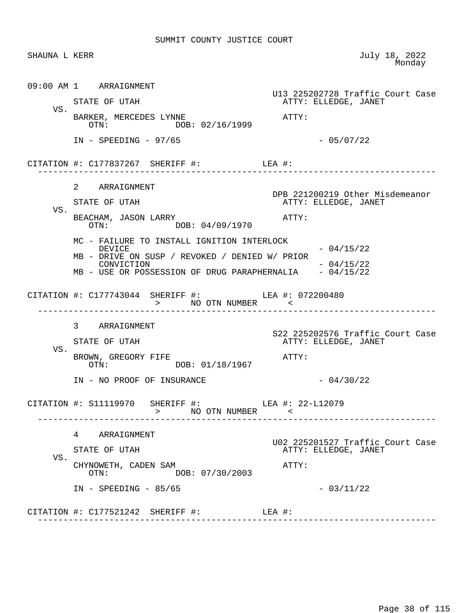|     | SHAUNA L KERR                                                                                                                                                                   | July 18, 2022<br>Monday                                  |
|-----|---------------------------------------------------------------------------------------------------------------------------------------------------------------------------------|----------------------------------------------------------|
|     | 09:00 AM 1 ARRAIGNMENT<br>STATE OF UTAH                                                                                                                                         | U13 225202728 Traffic Court Case<br>ATTY: ELLEDGE, JANET |
| VS. | BARKER, MERCEDES LYNNE<br>DOB: 02/16/1999<br>OTN:                                                                                                                               | $\mathtt{ATTY}$ :                                        |
|     | $IN - SPEEDING - 97/65$                                                                                                                                                         | $-05/07/22$                                              |
|     | CITATION #: $C177837267$ SHERIFF #: LEA #:                                                                                                                                      |                                                          |
| VS. | 2 ARRAIGNMENT<br>STATE OF UTAH                                                                                                                                                  | DPB 221200219 Other Misdemeanor<br>ATTY: ELLEDGE, JANET  |
|     | BEACHAM, JASON LARRY<br>OTN: DOB: 04/09/1970                                                                                                                                    | $\mathtt{ATTY}$ :                                        |
|     | MC - FAILURE TO INSTALL IGNITION INTERLOCK<br>DEVICE<br>MB - DRIVE ON SUSP / REVOKED / DENIED W/ PRIOR<br>CONVICTION<br>MB - USE OR POSSESSION OF DRUG PARAPHERNALIA - 04/15/22 | $-04/15/22$<br>$-04/15/22$                               |
|     | CITATION #: C177743044 SHERIFF #: LEA #: 072200480<br>> NO OTN NUMBER <                                                                                                         |                                                          |
|     | 3 ARRAIGNMENT                                                                                                                                                                   |                                                          |
|     | STATE OF UTAH                                                                                                                                                                   | S22 225202576 Traffic Court Case                         |
|     |                                                                                                                                                                                 | ATTY: ELLEDGE, JANET                                     |
| VS. | BROWN, GREGORY FIFE<br>OTN: DOB: 01/18/1967                                                                                                                                     | ATTY:                                                    |
|     | IN - NO PROOF OF INSURANCE                                                                                                                                                      | $-04/30/22$                                              |
|     | CITATION #: S11119970 SHERIFF #: LEA #: 22-L12079<br>> NO OTN NUMBER <                                                                                                          |                                                          |
|     | 4 ARRAIGNMENT                                                                                                                                                                   |                                                          |
|     | STATE OF UTAH                                                                                                                                                                   | ATTY: ELLEDGE, JANET                                     |
| VS. | CHYNOWETH, CADEN SAM<br>DOB: 07/30/2003<br>OTN:                                                                                                                                 | ATTY:                                                    |
|     | $IN - SPEEDING - 85/65$                                                                                                                                                         | U02 225201527 Traffic Court Case<br>$-03/11/22$          |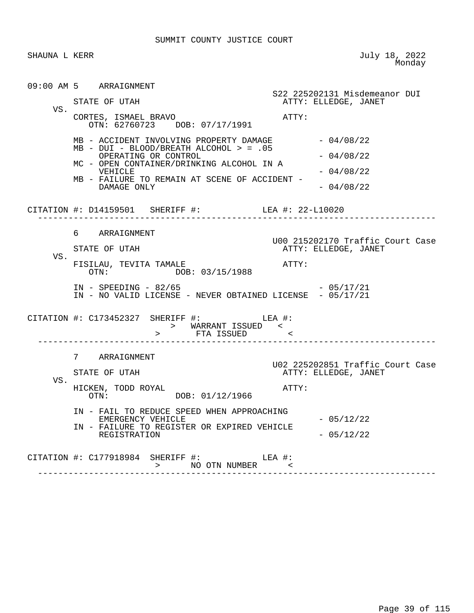SHAUNA L KERR JULY 18, 2022 e a comparative contract of the Monday Monday

|     | 09:00 AM 5 ARRAIGNMENT                                                               |                                                          |
|-----|--------------------------------------------------------------------------------------|----------------------------------------------------------|
|     | STATE OF UTAH                                                                        | S22 225202131 Misdemeanor DUI<br>ATTY: ELLEDGE, JANET    |
| VS. | CORTES, ISMAEL BRAVO<br>OTN: 62760723 DOB: 07/17/1991                                | ATTY:                                                    |
|     | MB - ACCIDENT INVOLVING PROPERTY DAMAGE<br>MB - DUI - BLOOD/BREATH ALCOHOL > = .05   | - 04/08/22                                               |
|     | OPERATING OR CONTROL<br>MC - OPEN CONTAINER/DRINKING ALCOHOL IN A                    | $-04/08/22$                                              |
|     | VEHICLE                                                                              | $-04/08/22$                                              |
|     | MB - FAILURE TO REMAIN AT SCENE OF ACCIDENT -<br>DAMAGE ONLY                         | $-04/08/22$                                              |
|     | CITATION #: D14159501 SHERIFF #: LEA #: 22-L10020                                    |                                                          |
|     | 6 ARRAIGNMENT                                                                        |                                                          |
|     | STATE OF UTAH                                                                        | U00 215202170 Traffic Court Case<br>ATTY: ELLEDGE, JANET |
| VS. | FISILAU, TEVITA TAMALE<br>OTN: DOB: 03/15/1988                                       | $\mathtt{ATTY}$ :                                        |
|     | $IN - SPEEDING - 82/65$<br>IN - NO VALID LICENSE - NEVER OBTAINED LICENSE - 05/17/21 | - 05/17/21                                               |
|     | CITATION #: $C173452327$ SHERIFF #: LEA #:                                           |                                                          |
|     | 7 ARRAIGNMENT                                                                        |                                                          |
|     | STATE OF UTAH                                                                        | U02 225202851 Traffic Court Case<br>ATTY: ELLEDGE, JANET |
| VS. | HICKEN, TODD ROYAL<br>OTN: DOB: 01/12/1966                                           | ATTY:                                                    |
|     | IN - FAIL TO REDUCE SPEED WHEN APPROACHING<br>EMERGENCY VEHICLE                      | $-05/12/22$                                              |
|     | IN - FAILURE TO REGISTER OR EXPIRED VEHICLE<br>REGISTRATION                          | $-05/12/22$                                              |
|     | CITATION #: C177918984 SHERIFF #: LEA #:                                             | -------------------------------------                    |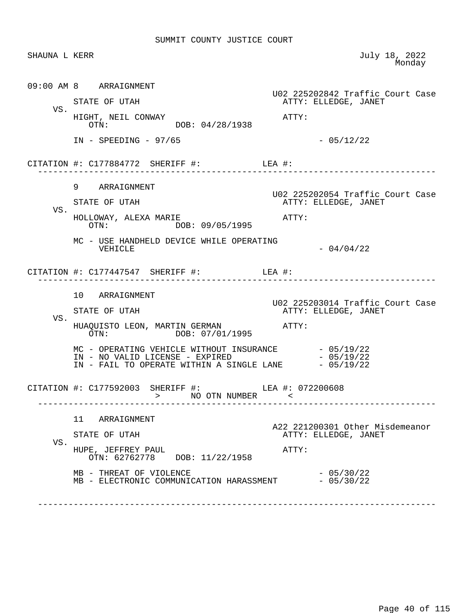| SHAUNA L KERR |                                                                                                                                                              | July 18, 2022<br>Monday                                  |
|---------------|--------------------------------------------------------------------------------------------------------------------------------------------------------------|----------------------------------------------------------|
|               | 09:00 AM 8 ARRAIGNMENT                                                                                                                                       | U02 225202842 Traffic Court Case                         |
| VS.           | STATE OF UTAH                                                                                                                                                | ATTY: ELLEDGE, JANET                                     |
|               | HIGHT, NEIL CONWAY<br>OTN: DOB: 04/28/1938                                                                                                                   | ATTY:                                                    |
|               | $IN - SPEEDING - 97/65$                                                                                                                                      | $-05/12/22$                                              |
|               | CITATION #: $C177884772$ SHERIFF #: LEA #:                                                                                                                   |                                                          |
|               | 9 ARRAIGNMENT                                                                                                                                                |                                                          |
| VS.           | STATE OF UTAH                                                                                                                                                | U02 225202054 Traffic Court Case<br>ATTY: ELLEDGE, JANET |
|               | HOLLOWAY, ALEXA MARIE<br>OTN: DOB: 09/05/1995                                                                                                                | $\mathtt{ATTY}$ :                                        |
|               | MC - USE HANDHELD DEVICE WHILE OPERATING<br>VEHICLE                                                                                                          | $-04/04/22$                                              |
|               | CITATION #: $C177447547$ SHERIFF #: LEA #:                                                                                                                   |                                                          |
|               | 10 ARRAIGNMENT                                                                                                                                               |                                                          |
|               | STATE OF UTAH                                                                                                                                                | U02 225203014 Traffic Court Case<br>ATTY: ELLEDGE, JANET |
| VS.           |                                                                                                                                                              |                                                          |
|               | MC - OPERATING VEHICLE WITHOUT INSURANCE $-05/19/22$<br>IN - NO VALID LICENSE - EXPIRED $-05/19/22$<br>IN - FAIL TO OPERATE WITHIN A SINGLE LANE $-05/19/22$ |                                                          |
|               | CITATION #: C177592003 SHERIFF #: LEA #: 072200608                                                                                                           |                                                          |
|               | 11<br>ARRAIGNMENT                                                                                                                                            |                                                          |
| VS.           | STATE OF UTAH                                                                                                                                                | A22 221200301 Other Misdemeanor<br>ATTY: ELLEDGE, JANET  |
|               | HUPE, JEFFREY PAUL<br>OTN: 62762778 DOB: 11/22/1958                                                                                                          | ATTY:                                                    |
|               |                                                                                                                                                              |                                                          |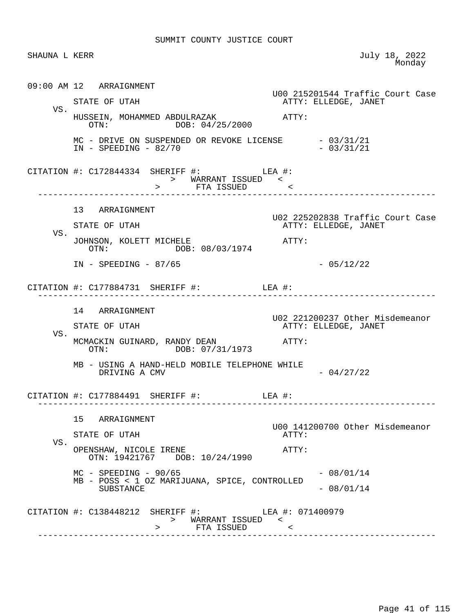| SHAUNA L KERR |                                                                                            | July 18, 2022<br>Monday                                  |
|---------------|--------------------------------------------------------------------------------------------|----------------------------------------------------------|
|               | 09:00 AM 12 ARRAIGNMENT                                                                    | U00 215201544 Traffic Court Case                         |
| VS.           | STATE OF UTAH                                                                              | ATTY: ELLEDGE, JANET                                     |
|               | HUSSEIN, MOHAMMED ABDULRAZAK<br>OTN: DOB: 04/25/2000                                       | $ATTY$ :                                                 |
|               | MC - DRIVE ON SUSPENDED OR REVOKE LICENSE - 03/31/21<br>$IN - SPEEDING - 82/70$            | $-03/31/21$                                              |
|               | CITATION #: $C172844334$ SHERIFF #: LEA #:<br>> WARRANT ISSUED <<br>> FTA ISSUED <         |                                                          |
|               | 13 ARRAIGNMENT                                                                             |                                                          |
|               | STATE OF UTAH                                                                              | U02 225202838 Traffic Court Case<br>ATTY: ELLEDGE, JANET |
| VS.           | JOHNSON, KOLETT MICHELE<br>OTN: DOB: 08/03/1974                                            | ATTY:                                                    |
|               | $IN - SPEEDING - 87/65$                                                                    | $-05/12/22$                                              |
|               | CITATION #: $C177884731$ SHERIFF #: LEA #:                                                 |                                                          |
|               | 14 ARRAIGNMENT                                                                             | U02 221200237 Other Misdemeanor                          |
| VS.           | STATE OF UTAH                                                                              | ATTY: ELLEDGE, JANET                                     |
|               | MCMACKIN GUINARD, RANDY DEAN<br>OTN: DOB: 07/31/1973                                       | ATTY:                                                    |
|               | MB - USING A HAND-HELD MOBILE TELEPHONE WHILE<br>DRIVING A CMV                             | $-04/27/22$                                              |
|               | CITATION #: $C177884491$ SHERIFF #: LEA #:                                                 |                                                          |
|               | 15 ARRAIGNMENT                                                                             | U00 141200700 Other Misdemeanor                          |
| VS.           | STATE OF UTAH                                                                              | ATTY:                                                    |
|               | OPENSHAW, NICOLE IRENE<br>OTN: 19421767 DOB: 10/24/1990                                    | ATTY:                                                    |
|               | $MC$ - SPEEDING - 90/65                                                                    | $-08/01/14$                                              |
|               | MB - POSS < 1 OZ MARIJUANA, SPICE, CONTROLLED<br>SUBSTANCE                                 | $-08/01/14$                                              |
|               | CITATION #: C138448212 SHERIFF #: LEA #: 071400979<br>> WARRANT ISSUED <<br>> FTA ISSUED < |                                                          |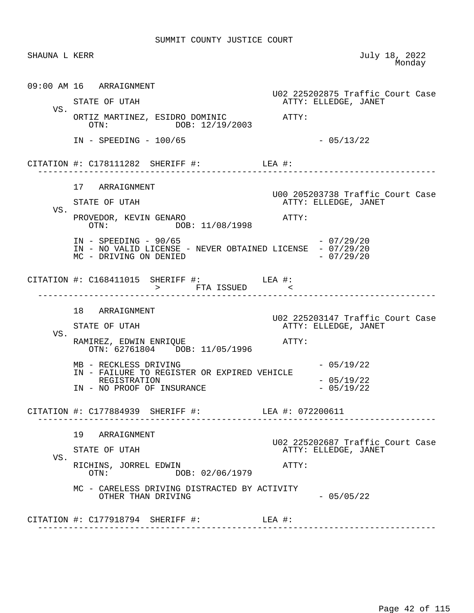| SHAUNA L KERR |                                                                                                                | July 18, 2022<br>Monday                                  |
|---------------|----------------------------------------------------------------------------------------------------------------|----------------------------------------------------------|
|               | 09:00 AM 16 ARRAIGNMENT                                                                                        | U02 225202875 Traffic Court Case                         |
|               | STATE OF UTAH                                                                                                  | ATTY: ELLEDGE, JANET                                     |
| VS.           | ORTIZ MARTINEZ, ESIDRO DOMINIC ATTY:<br>OTN: DOB: 12/19/2003                                                   |                                                          |
|               | $IN - SPEEDING - 100/65$                                                                                       | $-05/13/22$                                              |
|               | CITATION #: $C178111282$ SHERIFF #: LEA #:                                                                     |                                                          |
|               | 17 ARRAIGNMENT                                                                                                 |                                                          |
|               | STATE OF UTAH                                                                                                  | U00 205203738 Traffic Court Case<br>ATTY: ELLEDGE, JANET |
| VS.           | PROVEDOR, KEVIN GENARO<br>OTN: DOB: 11/08/1998                                                                 | ATTY:                                                    |
|               | $IN - SPEEDING - 90/65$<br>IN - NO VALID LICENSE - NEVER OBTAINED LICENSE - 07/29/20<br>MC - DRIVING ON DENIED | $-07/29/20$<br>$-07/29/20$                               |
|               | CITATION #: $C168411015$ SHERIFF #: LEA #:<br>> FTA ISSUED <                                                   |                                                          |
|               | 18 ARRAIGNMENT                                                                                                 |                                                          |
|               | STATE OF UTAH                                                                                                  | U02 225203147 Traffic Court Case<br>ATTY: ELLEDGE, JANET |
| VS.           | RAMIREZ, EDWIN ENRIQUE<br>OTN: 62761804 DOB: 11/05/1996                                                        | ATTY:                                                    |
|               | MB - RECKLESS DRIVING<br>IN - FAILURE TO REGISTER OR EXPIRED VEHICLE                                           | $-05/19/22$                                              |
|               | REGISTRATION<br>IN - NO PROOF OF INSURANCE                                                                     | $-05/19/22$<br>$-05/19/22$                               |
|               | CITATION #: C177884939 SHERIFF #: LEA #: 072200611                                                             |                                                          |
|               | 19 ARRAIGNMENT                                                                                                 |                                                          |
|               | STATE OF UTAH                                                                                                  | U02 225202687 Traffic Court Case<br>ATTY: ELLEDGE, JANET |
| VS.           | RICHINS, JORREL EDWIN<br>DOB: 02/06/1979<br>$\cap T N$ :                                                       | ATTY:                                                    |
|               | MC - CARELESS DRIVING DISTRACTED BY ACTIVITY<br>OTHER THAN DRIVING                                             | $-05/05/22$                                              |
|               | CITATION #: $C177918794$ SHERIFF #: LEA #:                                                                     |                                                          |
|               |                                                                                                                |                                                          |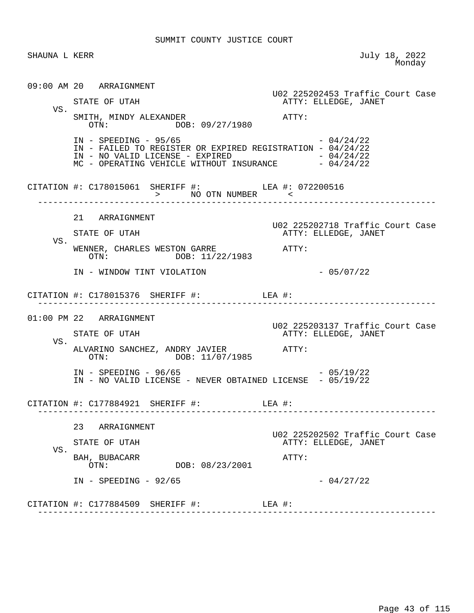| SHAUNA L KERR |                                                                                                                                                                                                | July 18, 2022<br>Monday                                  |
|---------------|------------------------------------------------------------------------------------------------------------------------------------------------------------------------------------------------|----------------------------------------------------------|
|               | 09:00 AM 20 ARRAIGNMENT                                                                                                                                                                        | U02 225202453 Traffic Court Case                         |
|               | STATE OF UTAH                                                                                                                                                                                  | ATTY: ELLEDGE, JANET                                     |
| VS.           | SMITH, MINDY ALEXANDER<br>OTN: DOB: 09/27/1980                                                                                                                                                 | ATTY:                                                    |
|               | $IN - SPEEDING - 95/65$<br>IN - FAILED TO REGISTER OR EXPIRED REGISTRATION - 04/24/22<br>IN - NO VALID LICENSE - EXPIRED $-$ 04/24/22<br>MC - OPERATING VEHICLE WITHOUT INSURANCE $-$ 04/24/22 | $-04/24/22$                                              |
|               | CITATION #: C178015061 SHERIFF #: LEA #: 072200516<br>> NO OTN NUMBER <                                                                                                                        |                                                          |
|               | 21 ARRAIGNMENT                                                                                                                                                                                 |                                                          |
|               | STATE OF UTAH                                                                                                                                                                                  | U02 225202718 Traffic Court Case<br>ATTY: ELLEDGE, JANET |
| VS.           | WENNER, CHARLES WESTON GARRE<br>OTN: DOB: 11/22/1983                                                                                                                                           | ATTY:                                                    |
|               | IN - WINDOW TINT VIOLATION                                                                                                                                                                     | $-05/07/22$                                              |
|               | CITATION #: $C178015376$ SHERIFF #: LEA #:                                                                                                                                                     |                                                          |
|               | 01:00 PM 22 ARRAIGNMENT                                                                                                                                                                        |                                                          |
|               | STATE OF UTAH                                                                                                                                                                                  | U02 225203137 Traffic Court Case<br>ATTY: ELLEDGE, JANET |
| VS.           | ALVARINO SANCHEZ, ANDRY JAVIER ATTY:<br>OTN: DOB: 11/07/1985                                                                                                                                   |                                                          |
|               | $IN - SPEEDING - 96/65$<br>IN - NO VALID LICENSE - NEVER OBTAINED LICENSE - 05/19/22                                                                                                           | $-05/19/22$                                              |
|               | CITATION #: C177884921 SHERIFF #:                                                                                                                                                              | LEA #:                                                   |
|               | 23<br>ARRAIGNMENT                                                                                                                                                                              |                                                          |
|               | STATE OF UTAH                                                                                                                                                                                  | U02 225202502 Traffic Court Case<br>ATTY: ELLEDGE, JANET |
| VS.           | BAH, BUBACARR<br>DOB: 08/23/2001<br>OTN:                                                                                                                                                       | ATTY:                                                    |
|               | $IN - SPEEDING - 92/65$                                                                                                                                                                        | $-04/27/22$                                              |
|               | CITATION #: C177884509 SHERIFF #:<br>$LEA$ #:                                                                                                                                                  |                                                          |
|               |                                                                                                                                                                                                |                                                          |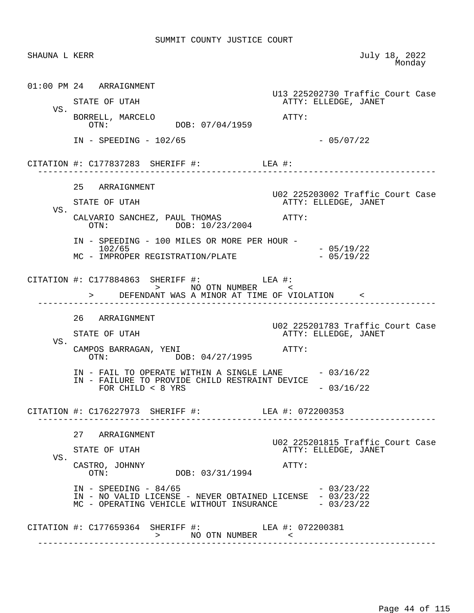|     | SHAUNA L KERR                                                                                                                               | July 18, 2022<br>Monday          |
|-----|---------------------------------------------------------------------------------------------------------------------------------------------|----------------------------------|
|     | 01:00 PM 24 ARRAIGNMENT                                                                                                                     | U13 225202730 Traffic Court Case |
| VS. | STATE OF UTAH                                                                                                                               | ATTY: ELLEDGE, JANET             |
|     | BORRELL, MARCELO<br>DOB: 07/04/1959<br>OTN:                                                                                                 | ATTY:                            |
|     | $IN - SPEEDING - 102/65$                                                                                                                    | $-05/07/22$                      |
|     | CITATION #: $C177837283$ SHERIFF #: LEA #:                                                                                                  |                                  |
|     | 25 ARRAIGNMENT                                                                                                                              | U02 225203002 Traffic Court Case |
| VS. | STATE OF UTAH                                                                                                                               | ATTY: ELLEDGE, JANET             |
|     | CALVARIO SANCHEZ, PAUL THOMAS ATTY:<br>OTN: DOB: 10/23/2004                                                                                 |                                  |
|     | IN - SPEEDING - 100 MILES OR MORE PER HOUR -<br>102/65                                                                                      | $-05/19/22$                      |
|     | MC - IMPROPER REGISTRATION/PLATE                                                                                                            | $-05/19/22$                      |
|     | CITATION #: C177884863 SHERIFF #: LEA #:                                                                                                    |                                  |
|     | > DEFENDANT WAS A MINOR AT TIME OF VIOLATION <                                                                                              |                                  |
|     | 26 ARRAIGNMENT                                                                                                                              | U02 225201783 Traffic Court Case |
|     | STATE OF UTAH                                                                                                                               | ATTY: ELLEDGE, JANET             |
| VS. | CAMPOS BARRAGAN, YENI<br>OTN: DOB: 04/27/1995                                                                                               | ATTY:                            |
|     | IN - FAIL TO OPERATE WITHIN A SINGLE LANE $-03/16/22$                                                                                       |                                  |
|     | IN - FAILURE TO PROVIDE CHILD RESTRAINT DEVICE<br>FOR CHILD $< 8$ YRS                                                                       | $-03/16/22$                      |
|     | CITATION #: C176227973 SHERIFF #: LEA #: 072200353                                                                                          |                                  |
|     | 27 ARRAIGNMENT                                                                                                                              | U02 225201815 Traffic Court Case |
| VS. | STATE OF UTAH                                                                                                                               | ATTY: ELLEDGE, JANET             |
|     | CASTRO, JOHNNY<br>DOB: 03/31/1994<br>$\cap T N$ :                                                                                           | ATTY:                            |
|     | $IN - SPEEDING - 84/65$<br>IN - NO VALID LICENSE - NEVER OBTAINED LICENSE - 03/23/22<br>MC - OPERATING VEHICLE WITHOUT INSURANCE - 03/23/22 | $-03/23/22$                      |
|     |                                                                                                                                             |                                  |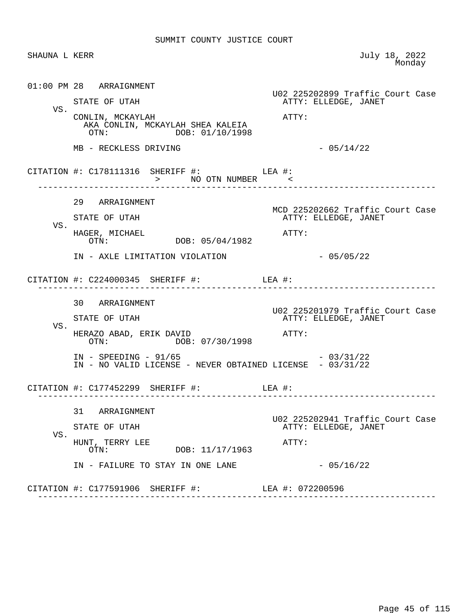| SHAUNA L KERR |                                                                                                                                                                                                                                                                                                                                                                                                                                                    | July 18, 2022<br>Monday                                  |
|---------------|----------------------------------------------------------------------------------------------------------------------------------------------------------------------------------------------------------------------------------------------------------------------------------------------------------------------------------------------------------------------------------------------------------------------------------------------------|----------------------------------------------------------|
|               | 01:00 PM 28 ARRAIGNMENT<br>STATE OF UTAH                                                                                                                                                                                                                                                                                                                                                                                                           | U02 225202899 Traffic Court Case<br>ATTY: ELLEDGE, JANET |
| VS.           | CONLIN, MCKAYLAH<br>AKA CONLIN, MCKAYLAH SHEA KALEIA<br>DOB: 01/10/1998<br>OTN:                                                                                                                                                                                                                                                                                                                                                                    | ATTY:                                                    |
|               | MB - RECKLESS DRIVING                                                                                                                                                                                                                                                                                                                                                                                                                              | $-05/14/22$                                              |
|               | $\begin{tabular}{lllllll} \multicolumn{2}{c}{\texttt{CITATION}} &\texttt{#}: &\texttt{C178111316} &\texttt{SHERIFF} &\texttt{#}: &\texttt{LEA} &\texttt{#}: &\texttt{NUMBER} &\texttt{<} \\ & & & & & \texttt{NO OTN NUMBER} & &\texttt{<} \\ \multicolumn{2}{c}{\texttt{N0 OTN NUMBER}} & & & & \texttt{S.} & \texttt{S.} & \texttt{S.} & \texttt{S.} & \texttt{S.} & \texttt{S.} \\ \multicolumn{2}{c}{\texttt{N0 OTN NUMBER}} & & & & \texttt{$ |                                                          |
|               | 29 ARRAIGNMENT<br>STATE OF UTAH                                                                                                                                                                                                                                                                                                                                                                                                                    | MCD 225202662 Traffic Court Case<br>ATTY: ELLEDGE, JANET |
| VS.           | HAGER, MICHAEL<br>OTN: DOB: 05/04/1982                                                                                                                                                                                                                                                                                                                                                                                                             | ATTY:                                                    |
|               | IN - AXLE LIMITATION VIOLATION                                                                                                                                                                                                                                                                                                                                                                                                                     | $-05/05/22$                                              |
|               | CITATION #: $C224000345$ SHERIFF #: LEA #:                                                                                                                                                                                                                                                                                                                                                                                                         |                                                          |
|               | 30 ARRAIGNMENT<br>STATE OF UTAH                                                                                                                                                                                                                                                                                                                                                                                                                    | U02 225201979 Traffic Court Case<br>ATTY: ELLEDGE, JANET |
| VS.           | HERAZO ABAD, ERIK DAVID<br>OTN: DOB: 07/30/1998                                                                                                                                                                                                                                                                                                                                                                                                    | ATTY:                                                    |
|               | $IN - SPEEDING - 91/65$<br>IN - NO VALID LICENSE - NEVER OBTAINED LICENSE - 03/31/22                                                                                                                                                                                                                                                                                                                                                               | $-03/31/22$                                              |
|               | CITATION #: $C177452299$ SHERIFF #: LEA #:                                                                                                                                                                                                                                                                                                                                                                                                         | ----------------------                                   |
|               | 31 ARRAIGNMENT                                                                                                                                                                                                                                                                                                                                                                                                                                     |                                                          |
| VS.           | STATE OF UTAH                                                                                                                                                                                                                                                                                                                                                                                                                                      | U02 225202941 Traffic Court Case<br>ATTY: ELLEDGE, JANET |
|               | HUNT, TERRY LEE<br>DOB: 11/17/1963<br>OTN:                                                                                                                                                                                                                                                                                                                                                                                                         | ATTY:                                                    |
|               | IN - FAILURE TO STAY IN ONE LANE                                                                                                                                                                                                                                                                                                                                                                                                                   | $-05/16/22$                                              |
|               | CITATION $\#$ : C177591906 SHERIFF $\#$ :                                                                                                                                                                                                                                                                                                                                                                                                          | LEA #: 072200596                                         |
|               |                                                                                                                                                                                                                                                                                                                                                                                                                                                    |                                                          |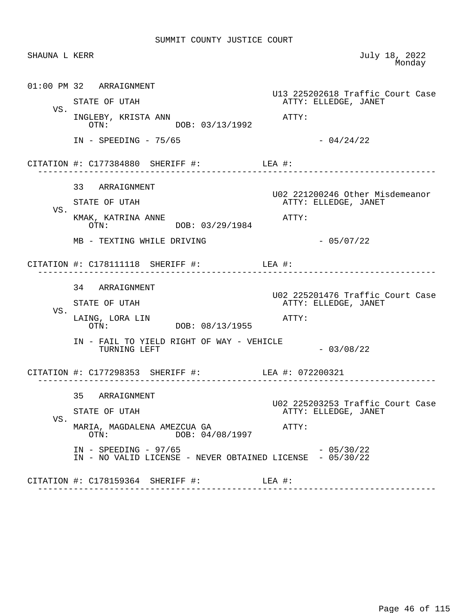| SHAUNA L KERR |                                                                                      | July 18, 2022<br>Monday                                  |
|---------------|--------------------------------------------------------------------------------------|----------------------------------------------------------|
|               | 01:00 PM 32 ARRAIGNMENT                                                              | U13 225202618 Traffic Court Case                         |
| VS.           | STATE OF UTAH                                                                        | ATTY: ELLEDGE, JANET                                     |
|               | INGLEBY, KRISTA ANN<br>DOB: 03/13/1992<br>OTN:                                       | ATTY:                                                    |
|               | $IN - SPEEDING - 75/65$                                                              | $-04/24/22$                                              |
|               | CITATION #: C177384880 SHERIFF #: LEA #:<br>--------------------------------------   |                                                          |
|               | 33 ARRAIGNMENT                                                                       | U02 221200246 Other Misdemeanor                          |
| VS.           | STATE OF UTAH                                                                        | ATTY: ELLEDGE, JANET                                     |
|               | KMAK, KATRINA ANNE<br>DOB: 03/29/1984<br>OTN:                                        | ATTY:                                                    |
|               | MB - TEXTING WHILE DRIVING                                                           | $-05/07/22$                                              |
|               | CITATION #: $C178111118$ SHERIFF #: LEA #:<br>_____________________                  |                                                          |
|               | 34 ARRAIGNMENT                                                                       |                                                          |
|               | STATE OF UTAH                                                                        | U02 225201476 Traffic Court Case<br>ATTY: ELLEDGE, JANET |
| VS.           | LAING, LORA LIN<br>OTN: DOB: 08/13/1955                                              | ATTY:                                                    |
|               | IN - FAIL TO YIELD RIGHT OF WAY - VEHICLE<br>TURNING LEFT                            | $-03/08/22$                                              |
|               | CITATION #: C177298353 SHERIFF #: LEA #: 072200321                                   |                                                          |
|               | 35<br>ARRAIGNMENT                                                                    |                                                          |
|               | STATE OF UTAH                                                                        | U02 225203253 Traffic Court Case<br>ATTY: ELLEDGE, JANET |
| VS.           | MARIA, MAGDALENA AMEZCUA GA<br>DOB: 04/08/1997<br>OTN:                               | ATTY:                                                    |
|               | $IN - SPEEDING - 97/65$<br>IN - NO VALID LICENSE - NEVER OBTAINED LICENSE - 05/30/22 | $-05/30/22$                                              |
|               | CITATION #: C178159364 SHERIFF #:                                                    | LEA #:                                                   |
|               |                                                                                      |                                                          |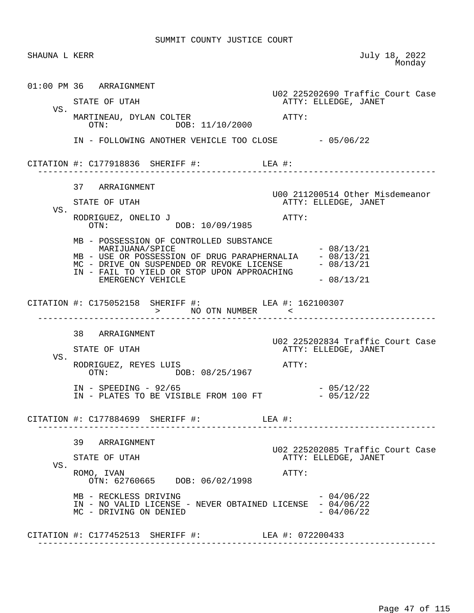|     | SHAUNA L KERR                                                                                                                                                                                                                          | July 18, 2022<br>Monday                                           |
|-----|----------------------------------------------------------------------------------------------------------------------------------------------------------------------------------------------------------------------------------------|-------------------------------------------------------------------|
|     | 01:00 PM 36 ARRAIGNMENT<br>STATE OF UTAH                                                                                                                                                                                               | U02 225202690 Traffic Court Case<br>ATTY: ELLEDGE, JANET          |
| VS. | MARTINEAU, DYLAN COLTER<br>OTN: DOB: 11/10/2000                                                                                                                                                                                        | ATTY:                                                             |
|     | IN - FOLLOWING ANOTHER VEHICLE TOO CLOSE - 05/06/22                                                                                                                                                                                    |                                                                   |
|     | CITATION #: $C177918836$ SHERIFF #: LEA #:                                                                                                                                                                                             |                                                                   |
| VS. | 37 ARRAIGNMENT<br>STATE OF UTAH<br>RODRIGUEZ, ONELIO J<br>DOB: 10/09/1985<br>OTN:                                                                                                                                                      | U00 211200514 Other Misdemeanor<br>ATTY: ELLEDGE, JANET<br>ATTY:  |
|     | MB - POSSESSION OF CONTROLLED SUBSTANCE<br>MARIJUANA/SPICE<br>MB - USE OR POSSESSION OF DRUG PARAPHERNALIA - 08/13/21<br>MC - DRIVE ON SUSPENDED OR REVOKE LICENSE<br>IN - FAIL TO YIELD OR STOP UPON APPROACHING<br>EMERGENCY VEHICLE | $-08/13/21$<br>$-08/13/21$<br>$-08/13/21$                         |
|     | CITATION #: C175052158 SHERIFF #: LEA #: 162100307<br>> NO OTN NUMBER <                                                                                                                                                                |                                                                   |
|     |                                                                                                                                                                                                                                        |                                                                   |
| VS. | 38 ARRAIGNMENT<br>STATE OF UTAH<br>RODRIGUEZ, REYES LUIS                                                                                                                                                                               | U02 225202834 Traffic Court Case<br>ATTY: ELLEDGE, JANET<br>ATTY: |
|     | OTN: DOB: 08/25/1967<br>$IN - SPEEDING - 92/65$<br>IN - PLATES TO BE VISIBLE FROM 100 FT                                                                                                                                               | $-05/12/22$<br>$-05/12/22$                                        |
|     | CITATION #: $C177884699$ SHERIFF #: LEA #:                                                                                                                                                                                             |                                                                   |
| VS. | 39 ARRAIGNMENT<br>STATE OF UTAH<br>ROMO, IVAN<br>OTN: 62760665 DOB: 06/02/1998                                                                                                                                                         | ATTY: ELLEDGE, JANET<br>ATTY:                                     |
|     | MB - RECKLESS DRIVING<br>IN - NO VALID LICENSE - NEVER OBTAINED LICENSE - 04/06/22<br>MC - DRIVING ON DENIED                                                                                                                           | U02 225202085 Traffic Court Case<br>$-04/06/22$<br>$-04/06/22$    |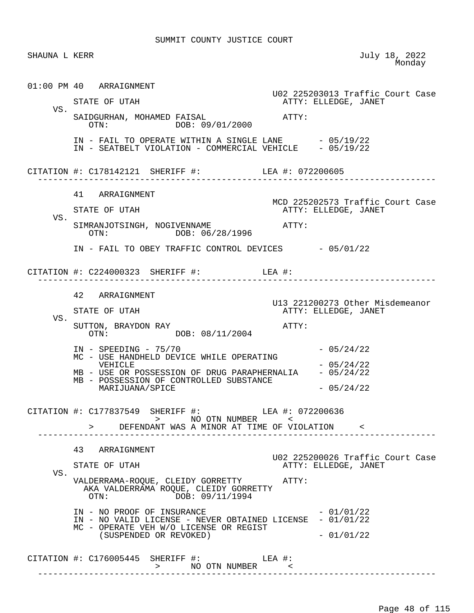| SHAUNA L KERR |                                                                                                                                                                                                                                                                                                                           | July 18, 2022<br>Monday                                                         |
|---------------|---------------------------------------------------------------------------------------------------------------------------------------------------------------------------------------------------------------------------------------------------------------------------------------------------------------------------|---------------------------------------------------------------------------------|
| VS.           | 01:00 PM 40 ARRAIGNMENT<br>STATE OF UTAH<br>SAIDGURHAN, MOHAMED FAISAL<br>OTN: DOB: 09/01/2000                                                                                                                                                                                                                            | U02 225203013 Traffic Court Case<br>ATTY: ELLEDGE, JANET<br>ATTY:               |
|               | IN - FAIL TO OPERATE WITHIN A SINGLE LANE $-05/19/22$<br>IN - SEATBELT VIOLATION - COMMERCIAL VEHICLE $-05/19/22$                                                                                                                                                                                                         |                                                                                 |
|               | CITATION #: C178142121 SHERIFF #: LEA #: 072200605                                                                                                                                                                                                                                                                        |                                                                                 |
| VS.           | 41 ARRAIGNMENT<br>STATE OF UTAH<br>SIMRANJOTSINGH, NOGIVENNAME<br>OTN: DOB: 06/28/1996                                                                                                                                                                                                                                    | MCD 225202573 Traffic Court Case<br>ATTY: ELLEDGE, JANET<br>ATTY:               |
|               | IN - FAIL TO OBEY TRAFFIC CONTROL DEVICES - 05/01/22<br>CITATION #: $C224000323$ SHERIFF #: LEA #:                                                                                                                                                                                                                        |                                                                                 |
| VS.           | 42 ARRAIGNMENT<br>STATE OF UTAH<br>SUTTON, BRAYDON RAY<br>OTN: DOB: 08/11/2004<br>$IN - SPEEDING - 75/70$                                                                                                                                                                                                                 | U13 221200273 Other Misdemeanor<br>ATTY: ELLEDGE, JANET<br>ATTY:<br>$-05/24/22$ |
|               | MC - USE HANDHELD DEVICE WHILE OPERATING<br>VEHICLE<br>MB - USE OR POSSESSION OF DRUG PARAPHERNALIA<br>MB - POSSESSION OF CONTROLLED SUBSTANCE<br>MARIJUANA/SPICE<br>CITATION #: C177837549 SHERIFF #: LEA #: 072200636<br>>            NO   OTN   NUMBER             <<br>> DEFENDANT WAS A MINOR AT TIME OF VIOLATION < | $-05/24/22$<br>$-05/24/22$<br>$-05/24/22$                                       |
| VS.           | _______________<br>43 ARRAIGNMENT<br>STATE OF UTAH<br>VALDERRAMA-ROQUE, CLEIDY GORRETTY ATTY:                                                                                                                                                                                                                             | U02 225200026 Traffic Court Case<br>ATTY: ELLEDGE, JANET                        |
|               | AKA VALDERRAMA ROQUE, CLEIDY GORRETTY<br>DOB: 09/11/1994<br>OTN:<br>IN - NO PROOF OF INSURANCE<br>IN - NO VALID LICENSE - NEVER OBTAINED LICENSE - 01/01/22<br>MC - OPERATE VEH W/O LICENSE OR REGIST<br>(SUSPENDED OR REVOKED)                                                                                           | $-01/01/22$<br>$-01/01/22$                                                      |
|               | CITATION #: $C176005445$ SHERIFF #: LEA #:<br>>          NO  OTN  NUMBER            <                                                                                                                                                                                                                                     |                                                                                 |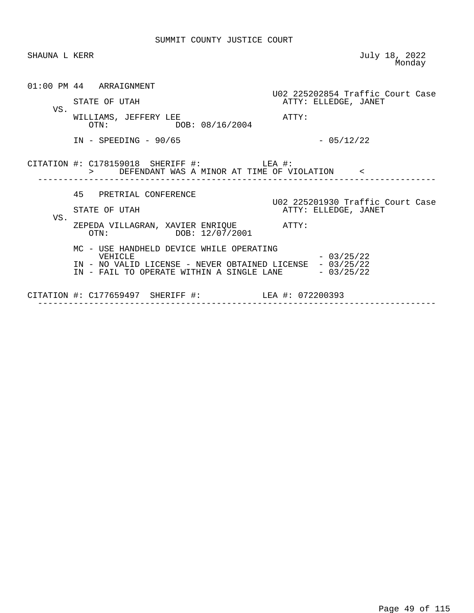| SHAUNA L KERR |                                                                                                                                                                           | July 18, 2022<br>Monday                                  |
|---------------|---------------------------------------------------------------------------------------------------------------------------------------------------------------------------|----------------------------------------------------------|
|               | 01:00 PM 44 ARRAIGNMENT<br>STATE OF UTAH                                                                                                                                  | U02 225202854 Traffic Court Case<br>ATTY: ELLEDGE, JANET |
| VS.           | WILLIAMS, JEFFERY LEE<br>OTN: DOB: 08/16/2004                                                                                                                             | ATTY:                                                    |
|               | $IN - SPEEDING - 90/65$                                                                                                                                                   | $-05/12/22$                                              |
|               | CITATION #: $C178159018$ SHERIFF #: LEA #:<br>> DEFENDANT WAS A MINOR AT TIME OF VIOLATION <                                                                              |                                                          |
| VS.           | 45 PRETRIAL CONFERENCE<br>STATE OF UTAH                                                                                                                                   | U02 225201930 Traffic Court Case<br>ATTY: ELLEDGE, JANET |
|               | ZEPEDA VILLAGRAN, XAVIER ENRIQUE<br>ATTY:<br>OTN: DOB: 12/07/2001                                                                                                         |                                                          |
|               | MC - USE HANDHELD DEVICE WHILE OPERATING<br>VEHICLE<br>IN - NO VALID LICENSE - NEVER OBTAINED LICENSE - 03/25/22<br>IN - FAIL TO OPERATE WITHIN A SINGLE LANE $-03/25/22$ | $-03/25/22$                                              |
|               | CITATION #: C177659497 SHERIFF #: LEA #: 072200393                                                                                                                        |                                                          |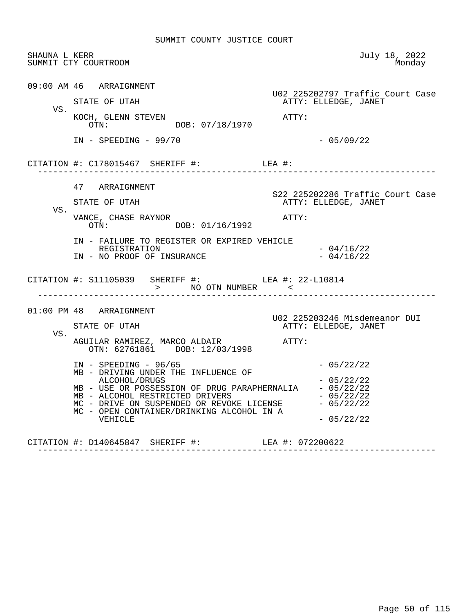| SHAUNA L KERR | SUMMIT CTY COURTROOM                                                                                                                                                                                             | July 18, 2022<br>Monday                                  |
|---------------|------------------------------------------------------------------------------------------------------------------------------------------------------------------------------------------------------------------|----------------------------------------------------------|
| VS.           | 09:00 AM 46 ARRAIGNMENT<br>STATE OF UTAH                                                                                                                                                                         | U02 225202797 Traffic Court Case<br>ATTY: ELLEDGE, JANET |
|               | KOCH, GLENN STEVEN<br>OTN: DOB: 07/18/1970                                                                                                                                                                       | ATTY:                                                    |
|               | $IN - SPEEDING - 99/70$                                                                                                                                                                                          | $-05/09/22$                                              |
|               |                                                                                                                                                                                                                  |                                                          |
|               | 47 ARRAIGNMENT                                                                                                                                                                                                   | S22 225202286 Traffic Court Case                         |
| VS.           | STATE OF UTAH                                                                                                                                                                                                    | ATTY: ELLEDGE, JANET                                     |
|               | VANCE, CHASE RAYNOR<br>OTN: DOB: 01/16/1992                                                                                                                                                                      | ATTY:                                                    |
|               | IN - FAILURE TO REGISTER OR EXPIRED VEHICLE<br>REGISTRATION<br>IN - NO PROOF OF INSURANCE                                                                                                                        | $-04/16/22$<br>$-04/16/22$                               |
|               | CITATION #: S11105039 SHERIFF #: LEA #: 22-L10814<br>> NO OTN NUMBER <<br>-------------------------                                                                                                              |                                                          |
|               | $01:00$ PM 48 ARRAIGNMENT                                                                                                                                                                                        | U02 225203246 Misdemeanor DUI                            |
| VS.           | STATE OF UTAH                                                                                                                                                                                                    | ATTY: ELLEDGE, JANET                                     |
|               | AGUILAR RAMIREZ, MARCO ALDAIR<br>OTN: 62761861 DOB: 12/03/1998                                                                                                                                                   | ATTY:                                                    |
|               | $IN - SPEEDING - 96/65$<br>MB - DRIVING UNDER THE INFLUENCE OF                                                                                                                                                   | $-05/22/22$                                              |
|               | ALCOHOL/DRUGS<br>MB - USE OR POSSESSION OF DRUG PARAPHERNALIA - 05/22/22<br>MB - ALCOHOL RESTRICTED DRIVERS<br>MC - DRIVE ON SUSPENDED OR REVOKE LICENSE - 05/22/22<br>MC - OPEN CONTAINER/DRINKING ALCOHOL IN A | $-05/22/22$<br>$-05/22/22$                               |
|               | VEHICLE<br>CITATION #: D140645847 SHERIFF #:                                                                                                                                                                     | $-05/22/22$<br>LEA #: 072200622                          |

------------------------------------------------------------------------------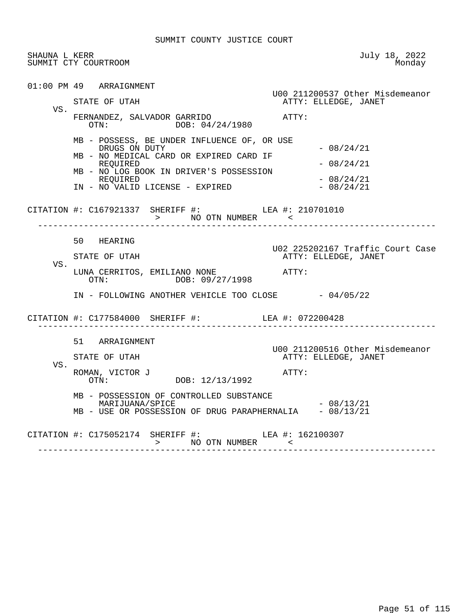| SHAUNA L KERR<br>SUMMIT CTY COURTROOM |                                                                                                                                                                                                               | July 18, 2022<br>Monday                                           |
|---------------------------------------|---------------------------------------------------------------------------------------------------------------------------------------------------------------------------------------------------------------|-------------------------------------------------------------------|
| 01:00 PM 49 ARRAIGNMENT<br>VS.        | STATE OF UTAH<br>FERNANDEZ, SALVADOR GARRIDO<br>OTN: DOB: 04/24/1980                                                                                                                                          | U00 211200537 Other Misdemeanor<br>ATTY: ELLEDGE, JANET<br>ATTY:  |
|                                       | MB - POSSESS, BE UNDER INFLUENCE OF, OR USE<br>DRUGS ON DUTY<br>MB - NO MEDICAL CARD OR EXPIRED CARD IF<br>REOUIRED<br>MB - NO LOG BOOK IN DRIVER'S POSSESSION<br>REQUIRED<br>IN - NO VALID LICENSE - EXPIRED | $-08/24/21$<br>$-08/24/21$<br>$-08/24/21$<br>$-08/24/21$          |
|                                       | CITATION #: C167921337 SHERIFF #: LEA #: 210701010<br>> NO OTN NUMBER ----- "<<br>-------------------------                                                                                                   |                                                                   |
| VS.                                   | 50 HEARING<br>STATE OF UTAH<br>LUNA CERRITOS, EMILIANO NONE<br>OTN: DOB: 09/27/1998                                                                                                                           | U02 225202167 Traffic Court Case<br>ATTY: ELLEDGE, JANET<br>ATTY: |
|                                       | IN - FOLLOWING ANOTHER VEHICLE TOO CLOSE - 04/05/22<br>CITATION #: C177584000 SHERIFF #: LEA #: 072200428                                                                                                     |                                                                   |
| VS.                                   | 51 ARRAIGNMENT<br>STATE OF UTAH<br>ROMAN, VICTOR J $\texttt{DOB: } 12/13/1992$                                                                                                                                | U00 211200516 Other Misdemeanor<br>ATTY: ELLEDGE, JANET<br>ATTY:  |
|                                       | MB - POSSESSION OF CONTROLLED SUBSTANCE<br>MARIJUANA/SPICE<br>MB - USE OR POSSESSION OF DRUG PARAPHERNALIA - 08/13/21                                                                                         | $-08/13/21$                                                       |
|                                       | CITATION #: C175052174 SHERIFF #: LEA #: 162100307                                                                                                                                                            |                                                                   |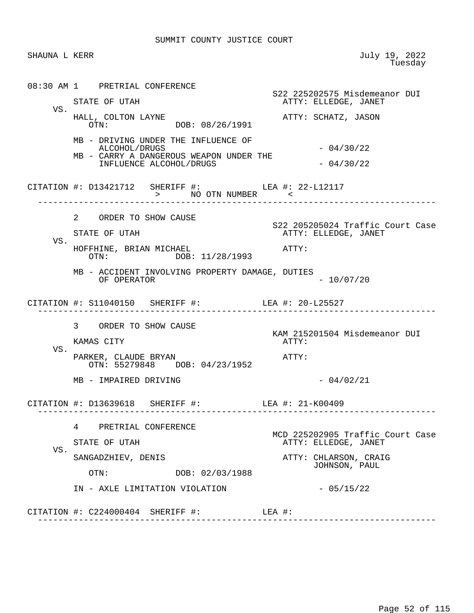SHAUNA L KERR July 19, 2022<br>Tuesday en de la construcción de la construcción de la construcción de la construcción de la construcción de la construcción de la construcción de la construcción de la construcción de la construcción de la construcción de la cons 08:30 AM 1 PRETRIAL CONFERENCE S22 225202575 Misdemeanor DUI<br>STATE OF UTAH THE STATE ATTY: ELLEDGE, JANET ATTY: ELLEDGE, JANET VS.<br>HALL, COLTON LAYNE HALL, COLTON LAYNE ATTY: SCHATZ, JASON DOB: 08/26/1991 MB - DRIVING UNDER THE INFLUENCE OF ALCOHOL/DRUGS - 04/30/22 MB - CARRY A DANGEROUS WEAPON UNDER THE INFLUENCE ALCOHOL/DRUGS  $-04/30/22$ CITATION #: D13421712 SHERIFF #: LEA #: 22-L12117 > NO OTN NUMBER ------------------------------------------------------------------------------ 2 ORDER TO SHOW CAUSE S22 205205024 Traffic Court Case<br>STATE OF UTAH TRIES ATTY: ELLEDGE, JANET ATTY: ELLEDGE, JANET VS. HOFFHINE, BRIAN MICHAEL **ATTY:** OTN: DOB: 11/28/1993 MB - ACCIDENT INVOLVING PROPERTY DAMAGE, DUTIES OF OPERATOR  $- 10/07/20$  CITATION #: S11040150 SHERIFF #: LEA #: 20-L25527 ------------------------------------------------------------------------------ 3 ORDER TO SHOW CAUSE KAM 215201504 Misdemeanor DUI KAMAS CITY VS. PARKER, CLAUDE BRYAN METRIC ATTY: OTN: 55279848 DOB: 04/23/1952  $MB - IMPAIRED DRIVING - 04/02/21$  CITATION #: D13639618 SHERIFF #: LEA #: 21-K00409 ------------------------------------------------------------------------------ 4 PRETRIAL CONFERENCE MCD 225202905 Traffic Court Case<br>
ATTY: ELLEDGE, JANET ATTY: ELLEDGE, JANET VS.<br>SANGADZHIEV, DENIS ATTY: CHLARSON, CRAIG OTN: DOB: 02/03/1988 JOHNSON, PAUL OTN: DOB: 02/03/1988 IN - AXLE LIMITATION VIOLATION  $-$  05/15/22 CITATION #: C224000404 SHERIFF #: LEA #: ------------------------------------------------------------------------------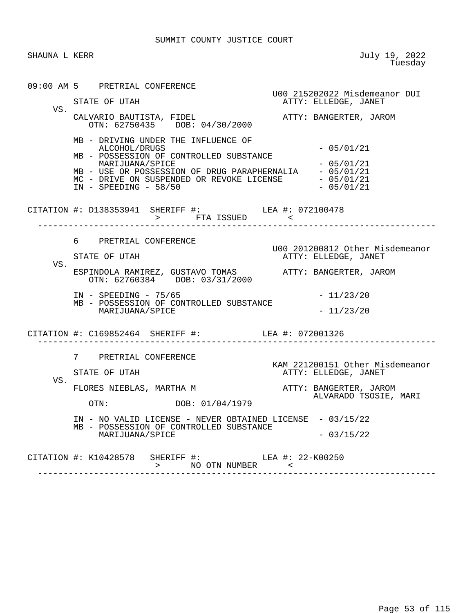SHAUNA L KERR July 19, 2022<br>Tuesday en de la construcción de la construcción de la construcción de la construcción de la construcción de la construcción de la construcción de la construcción de la construcción de la construcción de la construcción de la cons 09:00 AM 5 PRETRIAL CONFERENCE U00 215202022 Misdemeanor DUI ATTY: ELLEDGE, JANET VS. CALVARIO BAUTISTA, FIDEL ATTY: BANGERTER, JAROM OTN: 62750435 DOB: 04/30/2000 MB - DRIVING UNDER THE INFLUENCE OF ALCOHOL/DRUGS - 05/01/21 MB - POSSESSION OF CONTROLLED SUBSTANCE  $MARIJUANA/SPICE$   $- 05/01/21$ MB - USE OR POSSESSION OF DRUG PARAPHERNALIA - 05/01/21 MC - DRIVE ON SUSPENDED OR REVOKE LICENSE - 05/01/21<br>IN - SPEEDING - 58/50 - 05/01/21  $IN - SPEEDING - 58/50$ CITATION #: D138353941 SHERIFF #: > FTA ISSUED < ------------------------------------------------------------------------------ 6 PRETRIAL CONFERENCE U00 201200812 Other Misdemeanor ATTY: ELLEDGE, JANET VS. ESPINDOLA RAMIREZ, GUSTAVO TOMAS ATTY: BANGERTER, JAROM OTN: 62760384 DOB: 03/31/2000 IN - SPEEDING - 75/65 - 21/23/20 MB - POSSESSION OF CONTROLLED SUBSTANCE MARIJUANA/SPICE  $-11/23/20$  CITATION #: C169852464 SHERIFF #: LEA #: 072001326 ------------------------------------------------------------------------------ 7 PRETRIAL CONFERENCE KAM 221200151 Other Misdemeanor STATE OF UTAH **ATTY: ELLEDGE, JANET**  VS. FLORES NIEBLAS, MARTHA M ATTY: BANGERTER, JAROM ALVARADO TSOSIE, MARI DOB: 01/04/1979 IN - NO VALID LICENSE - NEVER OBTAINED LICENSE - 03/15/22 MB - POSSESSION OF CONTROLLED SUBSTANCE MARIJUANA/SPICE - 03/15/22 CITATION #: K10428578 SHERIFF #: LEA #: 22-K00250

 > NO OTN NUMBER < ------------------------------------------------------------------------------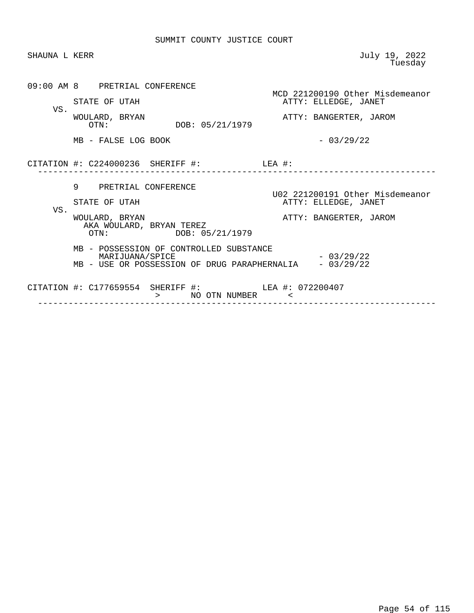| SHAUNA L KERR |                                                                                                            | July 19, 2022<br>Tuesday                                                          |
|---------------|------------------------------------------------------------------------------------------------------------|-----------------------------------------------------------------------------------|
|               | 09:00 AM 8 PRETRIAL CONFERENCE<br>STATE OF UTAH                                                            | MCD 221200190 Other Misdemeanor<br>ATTY: ELLEDGE, JANET                           |
| VS.           | WOULARD, BRYAN<br>DOB: 05/21/1979<br>OTN:                                                                  | ATTY: BANGERTER, JAROM                                                            |
|               | MB - FALSE LOG BOOK                                                                                        | $-03/29/22$                                                                       |
|               | CITATION #: $C224000236$ SHERIFF #: LEA #:                                                                 |                                                                                   |
| VS.           | 9 PRETRIAL CONFERENCE<br>STATE OF UTAH                                                                     | U02 221200191 Other Misdemeanor<br>ATTY: ELLEDGE, JANET<br>ATTY: BANGERTER, JAROM |
|               | WOULARD, BRYAN<br>AKA WOULARD, BRYAN TEREZ<br>DOB: 05/21/1979<br>OTN:                                      |                                                                                   |
|               | MB - POSSESSION OF CONTROLLED SUBSTANCE<br>MARIJUANA/SPICE<br>MB - USE OR POSSESSION OF DRUG PARAPHERNALIA | $-03/29/22$<br>$-03/29/22$                                                        |
|               | CITATION #: C177659554 SHERIFF #: LEA #: 072200407<br>> NO OTN NUMBER <                                    |                                                                                   |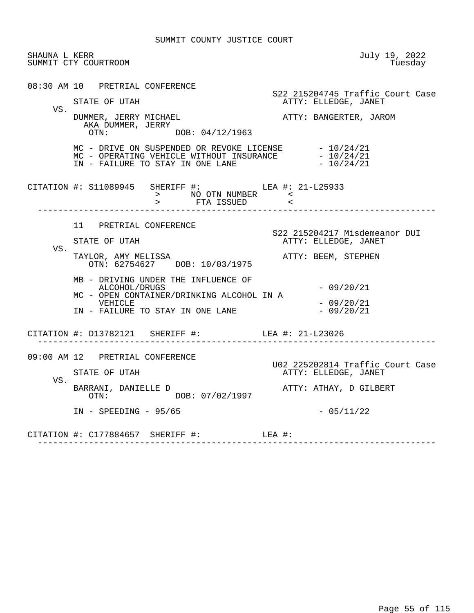| SHAUNA L KERR | SUMMIT CTY COURTROOM                                                                                                                                          | July 19, 2022<br>Tuesday                                 |
|---------------|---------------------------------------------------------------------------------------------------------------------------------------------------------------|----------------------------------------------------------|
|               | 08:30 AM 10 PRETRIAL CONFERENCE<br>STATE OF UTAH                                                                                                              | S22 215204745 Traffic Court Case<br>ATTY: ELLEDGE, JANET |
| VS.           | DUMMER, JERRY MICHAEL<br>AKA DUMMER, JERRY<br>OTN: DOB: 04/12/1963                                                                                            | ATTY: BANGERTER, JAROM                                   |
|               | MC - DRIVE ON SUSPENDED OR REVOKE LICENSE $-10/24/21$<br>MC - OPERATING VEHICLE WITHOUT INSURANCE $-10/24/21$<br>IN - FAILURE TO STAY IN ONE LANE $-10/24/21$ |                                                          |
|               | CITATION #: S11089945 SHERIFF #: LEA #: 21-L25933<br>______________________                                                                                   |                                                          |
|               | 11 PRETRIAL CONFERENCE                                                                                                                                        | S22 215204217 Misdemeanor DUI                            |
| VS.           | STATE OF UTAH                                                                                                                                                 | ATTY: ELLEDGE, JANET                                     |
|               | TAYLOR, AMY MELISSA<br>OTN: 62754627 DOB: 10/03/1975                                                                                                          | ATTY: BEEM, STEPHEN                                      |
|               | MB - DRIVING UNDER THE INFLUENCE OF<br>ALCOHOL/DRUGS<br>MC - OPEN CONTAINER/DRINKING ALCOHOL IN A                                                             | $-09/20/21$                                              |
|               | VEHICLE<br>IN - FAILURE TO STAY IN ONE LANE                                                                                                                   | $-09/20/21$<br>$-09/20/21$                               |
|               | CITATION #: D13782121 SHERIFF #: LEA #: 21-L23026                                                                                                             |                                                          |
|               | 09:00 AM 12 PRETRIAL CONFERENCE                                                                                                                               | U02 225202814 Traffic Court Case                         |
|               | STATE OF UTAH                                                                                                                                                 | ATTY: ELLEDGE, JANET                                     |
| VS.           | BARRANI, DANIELLE D<br>OTN: DOB: 07/02/1997                                                                                                                   | ATTY: ATHAY, D GILBERT                                   |
|               | $IN - SPEEDING - 95/65$                                                                                                                                       | $-05/11/22$                                              |
|               | CITATION #: C177884657 SHERIFF #: LEA #:                                                                                                                      |                                                          |
|               |                                                                                                                                                               |                                                          |

Page 55 of 115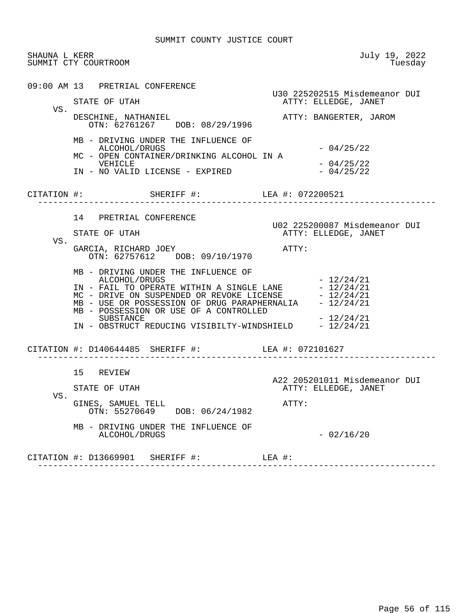| VS. | 09:00 AM 13 PRETRIAL CONFERENCE<br>STATE OF UTAH<br>DESCHINE, NATHANIEL<br>OTN: 62761267 DOB: 08/29/1996<br>MB - DRIVING UNDER THE INFLUENCE OF<br>ALCOHOL/DRUGS<br>MC - OPEN CONTAINER/DRINKING ALCOHOL IN A<br>VEHICLE<br>IN - NO VALID LICENSE - EXPIRED                                                                             | U30 225202515 Misdemeanor DUI<br>ATTY: ELLEDGE, JANET<br>ATTY: BANGERTER, JAROM<br>$-04/25/22$<br>$-04/25/22$<br>$-04/25/22$ |
|-----|-----------------------------------------------------------------------------------------------------------------------------------------------------------------------------------------------------------------------------------------------------------------------------------------------------------------------------------------|------------------------------------------------------------------------------------------------------------------------------|
|     | CITATION #: SHERIFF #: LEA #: 072200521                                                                                                                                                                                                                                                                                                 |                                                                                                                              |
| VS. | 14 PRETRIAL CONFERENCE<br>STATE OF UTAH<br>GARCIA, RICHARD JOEY<br>OTN: 62757612 DOB: 09/10/1970                                                                                                                                                                                                                                        | U02 225200087 Misdemeanor DUI<br>ATTY: ELLEDGE, JANET<br>ATTY:                                                               |
|     | MB - DRIVING UNDER THE INFLUENCE OF<br>ALCOHOL/DRUGS<br>IN - FAIL TO OPERATE WITHIN A SINGLE LANE $-12/24/21$<br>MC - DRIVE ON SUSPENDED OR REVOKE LICENSE $-12/24/21$<br>MB - USE OR POSSESSION OF DRUG PARAPHERNALIA<br>MB - POSSESSION OR USE OF A CONTROLLED<br>SUBSTANCE<br>IN - OBSTRUCT REDUCING VISIBILTY-WINDSHIELD - 12/24/21 | $-12/24/21$<br>$-12/24/21$<br>$-12/24/21$                                                                                    |
|     | CITATION #: D140644485 SHERIFF #: LEA #: 072101627<br>______________________________                                                                                                                                                                                                                                                    |                                                                                                                              |
| VS. | 15 REVIEW<br>STATE OF UTAH<br>GINES, SAMUEL TELL<br>OTN: 55270649 DOB: 06/24/1982                                                                                                                                                                                                                                                       | A22 205201011 Misdemeanor DUI<br>ATTY: ELLEDGE, JANET<br>ATTY:                                                               |
|     | MB - DRIVING UNDER THE INFLUENCE OF<br>ALCOHOL/DRUGS<br>CITATION #: D13669901 SHERIFF #:<br>$LEA$ #:                                                                                                                                                                                                                                    | $-02/16/20$                                                                                                                  |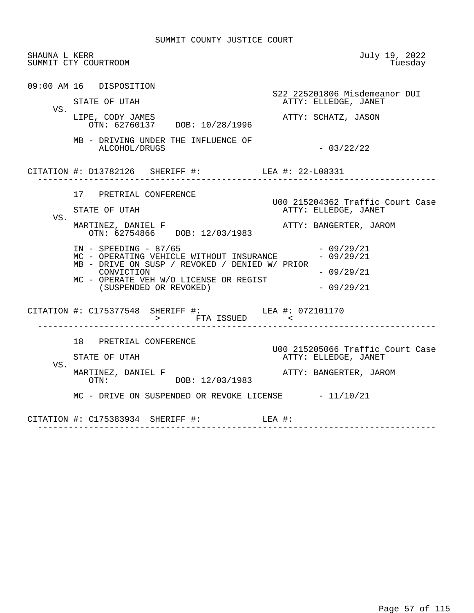| SHAUNA L KERR | SUMMIT CTY COURTROOM                                                                                                                                                                                                                     | July 19, 2022<br>Tuesday                                                           |
|---------------|------------------------------------------------------------------------------------------------------------------------------------------------------------------------------------------------------------------------------------------|------------------------------------------------------------------------------------|
| VS.           | 09:00 AM 16 DISPOSITION<br>STATE OF UTAH<br>LIPE, CODY JAMES<br>OTN: 62760137 DOB: 10/28/1996                                                                                                                                            | S22 225201806 Misdemeanor DUI<br>ATTY: ELLEDGE, JANET<br>ATTY: SCHATZ, JASON       |
|               | MB - DRIVING UNDER THE INFLUENCE OF<br>ALCOHOL/DRUGS                                                                                                                                                                                     | $-03/22/22$                                                                        |
|               | CITATION #: D13782126 SHERIFF #: LEA #: 22-L08331<br>_____________________                                                                                                                                                               |                                                                                    |
| VS.           | 17 PRETRIAL CONFERENCE<br>STATE OF UTAH<br>MARTINEZ, DANIEL F                                                                                                                                                                            | U00 215204362 Traffic Court Case<br>ATTY: ELLEDGE, JANET<br>ATTY: BANGERTER, JAROM |
|               | OTN: 62754866 DOB: 12/03/1983<br>$IN - SPEEDING - 87/65$<br>MC - OPERATING VEHICLE WITHOUT INSURANCE<br>MB - DRIVE ON SUSP / REVOKED / DENIED W/ PRIOR<br>CONVICTION<br>MC - OPERATE VEH W/O LICENSE OR REGIST<br>(SUSPENDED OR REVOKED) | $-09/29/21$<br>$-09/29/21$<br>$-09/29/21$<br>$-09/29/21$                           |
|               | CITATION #: C175377548 SHERIFF #: LEA #: 072101170<br>> FTA ISSUED                                                                                                                                                                       |                                                                                    |
| VS.           | 18 PRETRIAL CONFERENCE<br>STATE OF UTAH                                                                                                                                                                                                  | U00 215205066 Traffic Court Case<br>ATTY: ELLEDGE, JANET                           |
|               | MARTINEZ, DANIEL F<br>OTN: DOB: 12/03/1983<br>$MC$ - DRIVE ON SUSPENDED OR REVOKE LICENSE $-11/10/21$                                                                                                                                    | ATTY: BANGERTER, JAROM                                                             |
|               | CITATION #: $C175383934$ SHERIFF #: LEA #:                                                                                                                                                                                               |                                                                                    |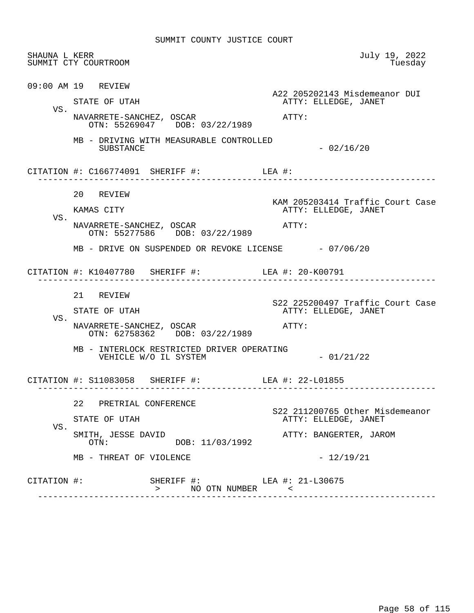| SHAUNA L KERR | SUMMIT CTY COURTROOM                                                                                                                        | July 19, 2022<br>Tuesday                                                          |
|---------------|---------------------------------------------------------------------------------------------------------------------------------------------|-----------------------------------------------------------------------------------|
| VS.           | 09:00 AM 19 REVIEW<br>STATE OF UTAH<br>NAVARRETE-SANCHEZ, OSCAR<br>OTN: 55269047 DOB: 03/22/1989                                            | A22 205202143 Misdemeanor DUI<br>ATTY: ELLEDGE, JANET<br>ATTY:                    |
|               | MB - DRIVING WITH MEASURABLE CONTROLLED<br>SUBSTANCE                                                                                        | $-02/16/20$                                                                       |
|               | CITATION #: $C166774091$ SHERIFF #: LEA #:                                                                                                  |                                                                                   |
| VS.           | 20 REVIEW<br>KAMAS CITY<br>NAVARRETE-SANCHEZ, OSCAR<br>OTN: 55277586 DOB: 03/22/1989                                                        | KAM 205203414 Traffic Court Case<br>ATTY: ELLEDGE, JANET<br>ATTY:                 |
|               | MB - DRIVE ON SUSPENDED OR REVOKE LICENSE $-07/06/20$<br>CITATION #: K10407780 SHERIFF #: LEA #: 20-K00791<br>. _ _ _ _ _ _ _ _ _ _ _ _ _ _ |                                                                                   |
| VS.           | 21 REVIEW<br>STATE OF UTAH<br>NAVARRETE-SANCHEZ, OSCAR<br>OTN: 62758362 DOB: 03/22/1989                                                     | S22 225200497 Traffic Court Case<br>ATTY: ELLEDGE, JANET<br>ATTY:                 |
|               | MB - INTERLOCK RESTRICTED DRIVER OPERATING<br>VEHICLE W/O IL SYSTEM                                                                         | $-01/21/22$                                                                       |
|               | CITATION #: S11083058 SHERIFF #:                                                                                                            | LEA #: 22-L01855                                                                  |
| VS.           | 22 PRETRIAL CONFERENCE<br>STATE OF UTAH<br>SMITH, JESSE DAVID<br>DOB: 11/03/1992<br>OTN:                                                    | S22 211200765 Other Misdemeanor<br>ATTY: ELLEDGE, JANET<br>ATTY: BANGERTER, JAROM |
|               | MB - THREAT OF VIOLENCE                                                                                                                     | $-12/19/21$                                                                       |
| CITATION #:   | SHERIFF #: LEA #: 21-L30675<br>NO OTN NUMBER<br>$\geq$                                                                                      | $\sim$ $\sim$                                                                     |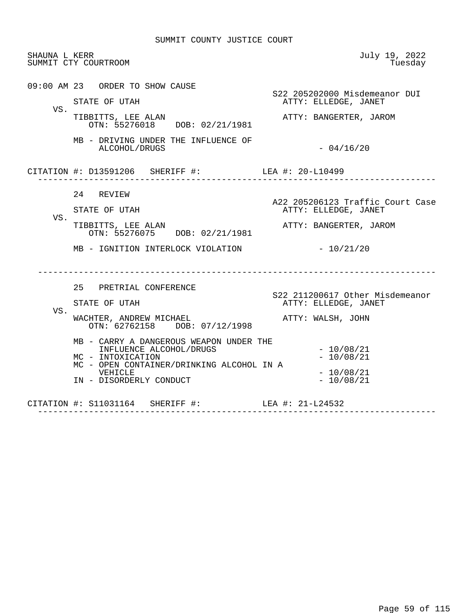| SHAUNA L KERR | SUMMIT CTY COURTROOM                                                                                                                                                                                                                                                              | July 19, 2022<br>Tuesday                                                                                                                 |
|---------------|-----------------------------------------------------------------------------------------------------------------------------------------------------------------------------------------------------------------------------------------------------------------------------------|------------------------------------------------------------------------------------------------------------------------------------------|
| VS.           | 09:00 AM 23 ORDER TO SHOW CAUSE<br>STATE OF UTAH<br>TIBBITTS, LEE ALAN<br>OTN: 55276018 DOB: 02/21/1981                                                                                                                                                                           | S22 205202000 Misdemeanor DUI<br>ATTY: ELLEDGE, JANET<br>ATTY: BANGERTER, JAROM                                                          |
|               | MB - DRIVING UNDER THE INFLUENCE OF<br>ALCOHOL/DRUGS                                                                                                                                                                                                                              | $-04/16/20$                                                                                                                              |
|               | CITATION #: D13591206 SHERIFF #: LEA #: 20-L10499                                                                                                                                                                                                                                 |                                                                                                                                          |
| VS.           | 24 REVIEW<br>STATE OF UTAH<br>TIBBITTS, LEE ALAN<br>OTN: 55276075 DOB: 02/21/1981<br>MB - IGNITION INTERLOCK VIOLATION                                                                                                                                                            | A22 205206123 Traffic Court Case<br>ATTY: ELLEDGE, JANET<br>ATTY: BANGERTER, JAROM<br>$-10/21/20$                                        |
| VS.           | 25 PRETRIAL CONFERENCE<br>STATE OF UTAH<br>WACHTER, ANDREW MICHAEL<br>OTN: 62762158 DOB: 07/12/1998<br>MB - CARRY A DANGEROUS WEAPON UNDER THE<br>INFLUENCE ALCOHOL/DRUGS<br>MC - INTOXICATION<br>MC - OPEN CONTAINER/DRINKING ALCOHOL IN A<br>VEHICLE<br>IN - DISORDERLY CONDUCT | S22 211200617 Other Misdemeanor<br>ATTY: ELLEDGE, JANET<br>ATTY: WALSH, JOHN<br>$-10/08/21$<br>$-10/08/21$<br>$-10/08/21$<br>$-10/08/21$ |
|               | CITATION #: S11031164 SHERIFF #:                                                                                                                                                                                                                                                  | LEA #: 21-L24532                                                                                                                         |

------------------------------------------------------------------------------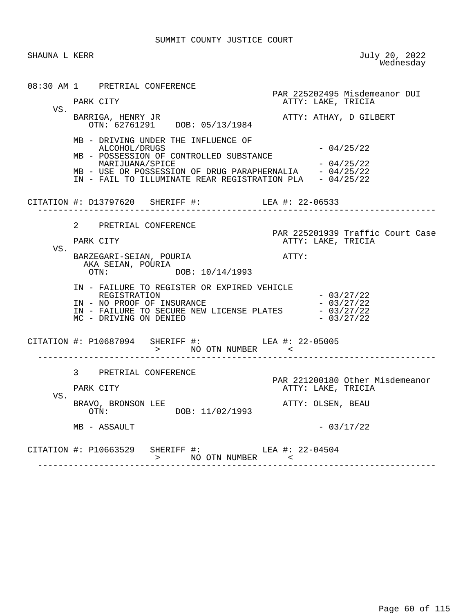SHAUNA L KERR July 20, 2022<br>Wednesday wednesday and the contract of the Mednesday of the Mednesday of the Mednesday of the Mednesday of the  $\sim$ 

 08:30 AM 1 PRETRIAL CONFERENCE PAR 225202495 Misdemeanor DUI ATTY: LAKE, TRICIA VS. BARRIGA, HENRY JR **ATTY: ATHAY, D GILBERT**  OTN: 62761291 DOB: 05/13/1984 MB - DRIVING UNDER THE INFLUENCE OF  $ALCOHOL/DRUGS$   $-04/25/22$  MB - POSSESSION OF CONTROLLED SUBSTANCE MARIJUANA/SPICE - 04/25/22 MB - USE OR POSSESSION OF DRUG PARAPHERNALIA IN - FAIL TO ILLUMINATE REAR REGISTRATION PLA - 04/25/22 CITATION #: D13797620 SHERIFF #: LEA #: 22-06533 ------------------------------------------------------------------------------ 2 PRETRIAL CONFERENCE PAR 225201939 Traffic Court Case<br>PARK CITY ATTY: LAKE, TRICIA ATTY: LAKE, TRICIA VS. BARZEGARI-SEIAN, POURIA **ATTY:** AKA SEIAN, POURIA<br>OTN: DO DOB: 10/14/1993 IN - FAILURE TO REGISTER OR EXPIRED VEHICLE REGISTRATION - 03/27/22 IN - NO PROOF OF INSURANCE<br>
IN - FAILURE TO SECURE NEW LICENSE PLATES - 03/27/22<br>
MC - DRIVING ON DENIED - 03/27/22 IN - FAILURE TO SECURE NEW LICENSE PLATES MC - DRIVING ON DENIED CITATION #: P10687094 SHERIFF #: LEA #: 22-05005 > NO OTN NUMBER < ------------------------------------------------------------------------------ 3 PRETRIAL CONFERENCE PAR 221200180 Other Misdemeanor ATTY: LAKE, TRICIA VS. BRAVO, BRONSON LEE<br>
OTN: DOB: 11/02/1993<br>
ATTY: OLSEN, BEAU DOB: 11/02/1993  $MB - ASSAULT$  - 03/17/22 CITATION #: P10663529 SHERIFF #: LEA #: 22-04504 > NO OTN NUMBER < ------------------------------------------------------------------------------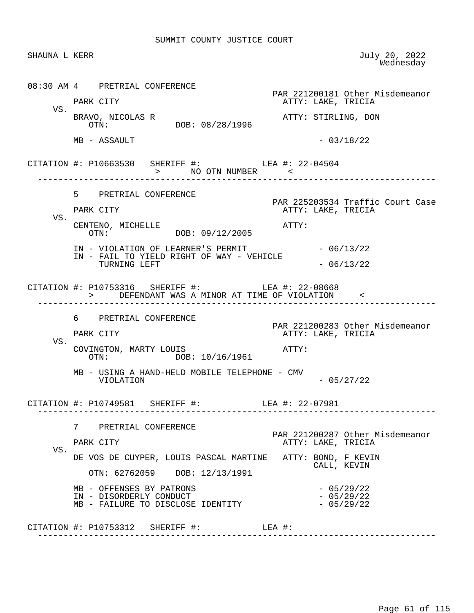SHAUNA L KERR JULY 20, 2022<br>Wednesday wednesday and the contract of the Mednesday of the Mednesday of the Mednesday of the Mednesday of the  $\sim$  08:30 AM 4 PRETRIAL CONFERENCE PAR 221200181 Other Misdemeanor<br>PARK CITY CITY CARE, TRICIA ATTY: LAKE, TRICIA VS.<br>BRAVO, NICOLAS R BRAVO, NICOLAS R ATTY: STIRLING, DON DOB: 08/28/1996  $MB - ASSAULT$  - 03/18/22 CITATION #: P10663530 SHERIFF #: LEA #: 22-04504 > NO OTN NUMBER < ------------------------------------------------------------------------------ 5 PRETRIAL CONFERENCE PAR 225203534 Traffic Court Case<br>PARK CITY COURT ATTY: LAKE, TRICIA ATTY: LAKE, TRICIA VS. CENTENO, MICHELLE  $OTN:$  OTN:  $O9/12/2005$ DOB: 09/12/2005 IN - VIOLATION OF LEARNER'S PERMIT - 06/13/22 IN - FAIL TO YIELD RIGHT OF WAY - VEHICLE TURNING LEFT  $- 06/13/22$  CITATION #: P10753316 SHERIFF #: LEA #: 22-08668 > DEFENDANT WAS A MINOR AT TIME OF VIOLATION < ------------------------------------------------------------------------------ 6 PRETRIAL CONFERENCE PAR 221200283 Other Misdemeanor ATTY: LAKE, TRICIA VS. COVINGTON, MARTY LOUIS<br>
OTN: DOB: 10/16/1961 DOB: 10/16/1961 MB - USING A HAND-HELD MOBILE TELEPHONE - CMV  $-05/27/22$ CITATION #: P10749581 SHERIFF #: LEA #: 22-07981 ------------------------------------------------------------------------------ 7 PRETRIAL CONFERENCE PAR 221200287 Other Misdemeanor PARK CITY ATTY: LAKE, TRICIA VS. DE VOS DE CUYPER, LOUIS PASCAL MARTINE ATTY: BOND, F KEVIN CALL, KEVIN OTN: 62762059 DOB: 12/13/1991 MB - OFFENSES BY PATRONS<br>IN - DISORDERLY CONDUCT - 05/29/22 IN - DISORDERLY CONDUCT<br>
MB - FAILURE TO DISCLOSE IDENTITY -- 05/29/22 MB - FAILURE TO DISCLOSE IDENTITY CITATION #: P10753312 SHERIFF #: LEA #: ------------------------------------------------------------------------------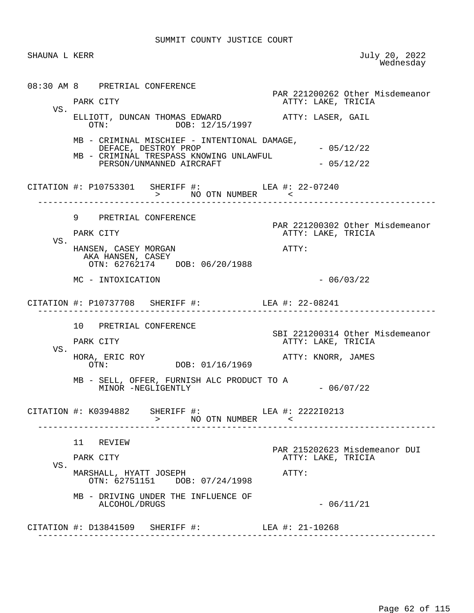SHAUNA L KERR July 20, 2022<br>Wednesday wednesday and the contract of the Mednesday of the Mednesday of the Mednesday of the Mednesday of the  $\sim$  08:30 AM 8 PRETRIAL CONFERENCE PAR 221200262 Other Misdemeanor ATTY: LAKE, TRICIA VS. ELLIOTT, DUNCAN THOMAS EDWARD **ATTY: LASER, GAIL**<br>OTN: DOB: 12/15/1997 DOB: 12/15/1997 MB - CRIMINAL MISCHIEF - INTENTIONAL DAMAGE,  $DEFACE,$   $DEFACE,$   $DEFACY$   $PROP$   $\longrightarrow$   $05/12/22$  MB - CRIMINAL TRESPASS KNOWING UNLAWFUL PERSON/UNMANNED AIRCRAFT - 05/12/22 CITATION #: P10753301 SHERIFF #: LEA #: 22-07240 > NO OTN NUMBER ------------------------------------------------------------------------------ 9 PRETRIAL CONFERENCE PAR 221200302 Other Misdemeanor<br>PARK CITY CITY CONSERVATIVE: LAKE, TRICIA ATTY: LAKE, TRICIA VS. HANSEN, CASEY MORGAN **ATTY:**  AKA HANSEN, CASEY OTN: 62762174 DOB: 06/20/1988  $MC - INTOXICATION$  - 06/03/22 CITATION #: P10737708 SHERIFF #: LEA #: 22-08241 ------------------------------------------------------------------------------ 10 PRETRIAL CONFERENCE SBI 221200314 Other Misdemeanor ATTY: LAKE, TRICIA VS. HORA, ERIC ROY **DOR: 01/16/1969** ATTY: KNORR, JAMES DOB: 01/16/1969 MB - SELL, OFFER, FURNISH ALC PRODUCT TO A MINOR -NEGLIGENTLY - 06/07/22 CITATION #: K0394882 SHERIFF #: LEA #: 2222I0213 > NO OTN NUMBER < ------------------------------------------------------------------------------ 11 REVIEW PAR 215202623 Misdemeanor DUI<br>PARK CITY CITY CONTROL ATTY: LAKE, TRICIA ATTY: LAKE, TRICIA VS. MARSHALL, HYATT JOSEPH ATTY: OTN: 62751151 DOB: 07/24/1998 MB - DRIVING UNDER THE INFLUENCE OF ALCOHOL/DRUGS - 06/11/21 CITATION #: D13841509 SHERIFF #: LEA #: 21-10268 ------------------------------------------------------------------------------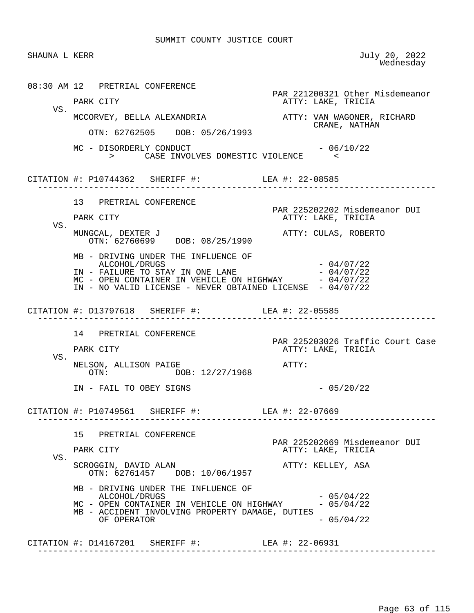| SHAUNA L KERR |                                                                                                                                                                                                                                                                     | July 20, 2022<br>Wednesday                                               |
|---------------|---------------------------------------------------------------------------------------------------------------------------------------------------------------------------------------------------------------------------------------------------------------------|--------------------------------------------------------------------------|
|               | 08:30 AM 12 PRETRIAL CONFERENCE<br>PARK CITY                                                                                                                                                                                                                        | PAR 221200321 Other Misdemeanor<br>ATTY: LAKE, TRICIA                    |
| VS.           | MCCORVEY, BELLA ALEXANDRIA<br>OTN: 62762505 DOB: 05/26/1993                                                                                                                                                                                                         | ATTY: VAN WAGONER, RICHARD<br>CRANE, NATHAN                              |
|               | MC - DISORDERLY CONDUCT<br>> CASE INVOLVES DOMESTIC VIOLENCE                                                                                                                                                                                                        | $-06/10/22$<br>$\prec$                                                   |
|               | CITATION #: P10744362 SHERIFF #: LEA #: 22-08585                                                                                                                                                                                                                    |                                                                          |
| VS.           | 13 PRETRIAL CONFERENCE<br>PARK CITY                                                                                                                                                                                                                                 | PAR 225202202 Misdemeanor DUI<br>ATTY: LAKE, TRICIA                      |
|               | MUNGCAL, DEXTER J<br>OTN: 62760699 DOB: 08/25/1990<br>MB - DRIVING UNDER THE INFLUENCE OF<br>ALCOHOL/DRUGS<br>IN - FAILURE TO STAY IN ONE LANE<br>MC - OPEN CONTAINER IN VEHICLE ON HIGHWAY - 04/07/22<br>IN - NO VALID LICENSE - NEVER OBTAINED LICENSE - 04/07/22 | ATTY: CULAS, ROBERTO<br>$-04/07/22$<br>$-04/07/22$                       |
|               | CITATION #: D13797618 SHERIFF #: LEA #: 22-05585                                                                                                                                                                                                                    |                                                                          |
| VS.           | 14 PRETRIAL CONFERENCE<br>PARK CITY<br>NELSON, ALLISON PAIGE<br>OTN: DOB: 12/27/1968                                                                                                                                                                                | PAR 225203026 Traffic Court Case<br>ATTY: LAKE, TRICIA<br>ATTY:          |
|               | IN - FAIL TO OBEY SIGNS                                                                                                                                                                                                                                             | $-05/20/22$                                                              |
|               | CITATION #: P10749561 SHERIFF #: LEA #: 22-07669                                                                                                                                                                                                                    |                                                                          |
| VS.           | 15 PRETRIAL CONFERENCE<br>PARK CITY<br>SCROGGIN, DAVID ALAN                                                                                                                                                                                                         | PAR 225202669 Misdemeanor DUI<br>ATTY: LAKE, TRICIA<br>ATTY: KELLEY, ASA |
|               | OTN: 62761457 DOB: 10/06/1957<br>MB - DRIVING UNDER THE INFLUENCE OF<br>ALCOHOL/DRUGS<br>MC - OPEN CONTAINER IN VEHICLE ON HIGHWAY<br>MB - ACCIDENT INVOLVING PROPERTY DAMAGE, DUTIES<br>OF OPERATOR                                                                | $-05/04/22$<br>$-05/04/22$<br>$-05/04/22$                                |
|               |                                                                                                                                                                                                                                                                     |                                                                          |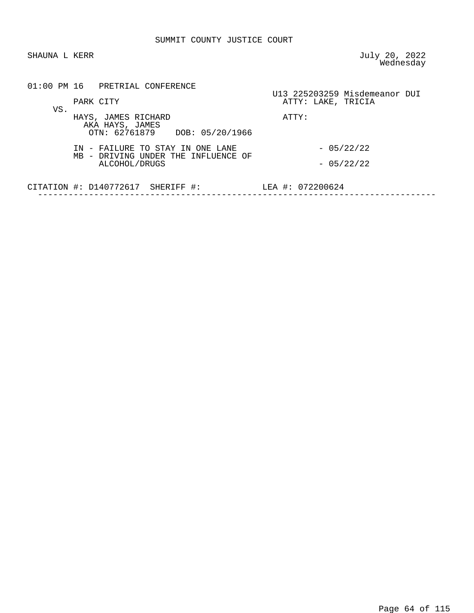SHAUNA L KERR JULY 20, 2022 wednesday and the contract of the Mednesday of the Mednesday of the Mednesday of the Mednesday of the  $\sim$ 

|     |           | 01:00 PM 16 PRETRIAL CONFERENCE                   |                                     |       |                    |                               |  |
|-----|-----------|---------------------------------------------------|-------------------------------------|-------|--------------------|-------------------------------|--|
| VS. | PARK CITY |                                                   |                                     |       | ATTY: LAKE, TRICIA | U13 225203259 Misdemeanor DUI |  |
|     |           | HAYS, JAMES RICHARD<br>AKA HAYS, JAMES            | OTN: 62761879 DOB: 05/20/1966       | ATTY: |                    |                               |  |
|     |           | IN - FAILURE TO STAY IN ONE LANE<br>ALCOHOL/DRUGS | MB - DRIVING UNDER THE INFLUENCE OF |       |                    | $-05/22/22$<br>$-05/22/22$    |  |
|     |           | CITATION $\#$ : D140772617 SHERIFF $\#$ :         |                                     |       | LEA #: 072200624   |                               |  |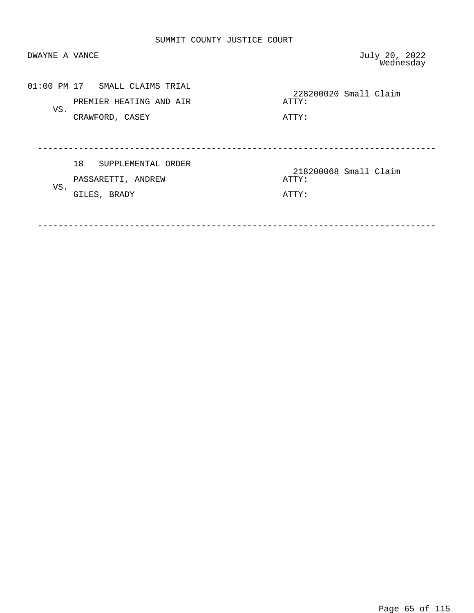| DWAYNE A VANCE |                                                                              | July 20, 2022<br>Wednesday              |
|----------------|------------------------------------------------------------------------------|-----------------------------------------|
| VS.            | 01:00 PM 17 SMALL CLAIMS TRIAL<br>PREMIER HEATING AND AIR<br>CRAWFORD, CASEY | 228200020 Small Claim<br>ATTY:<br>ATTY: |
| VS.            | 18<br>SUPPLEMENTAL ORDER<br>PASSARETTI, ANDREW<br>GILES, BRADY               | 218200068 Small Claim<br>ATTY:<br>ATTY: |

------------------------------------------------------------------------------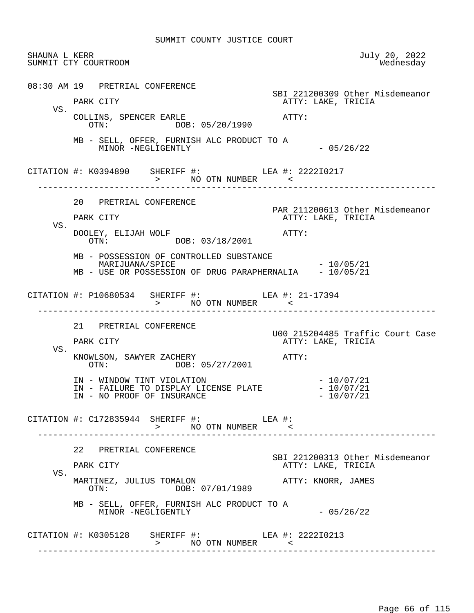| SHAUNA L KERR | SUMMIT CTY COURTROOM                                                                                                                 | July 20, 2022<br>Wednesday                                                  |
|---------------|--------------------------------------------------------------------------------------------------------------------------------------|-----------------------------------------------------------------------------|
|               | 08:30 AM 19 PRETRIAL CONFERENCE<br>PARK CITY                                                                                         | SBI 221200309 Other Misdemeanor<br>ATTY: LAKE, TRICIA                       |
| VS.           | COLLINS, SPENCER EARLE<br>OTN: DOB: 05/20/1990                                                                                       | ATTY:                                                                       |
|               | MB - SELL, OFFER, FURNISH ALC PRODUCT TO A<br>MINOR -NEGLIGENTLY                                                                     | $-05/26/22$                                                                 |
|               | CITATION #: K0394890 SHERIFF #: LEA #: 222210217<br>> NO OTN NUMBER <                                                                |                                                                             |
| VS.           | 20 PRETRIAL CONFERENCE<br>PARK CITY<br>DOOLEY, ELIJAH WOLF<br>OTN: DOB: 03/18/2001                                                   | PAR 211200613 Other Misdemeanor<br>ATTY: LAKE, TRICIA<br>ATTY:              |
|               | MB - POSSESSION OF CONTROLLED SUBSTANCE<br>MARIJUANA/SPICE<br>MB - USE OR POSSESSION OF DRUG PARAPHERNALIA - 10/05/21                | $-10/05/21$                                                                 |
|               | CITATION #: P10680534 SHERIFF #: LEA #: 21-17394<br>> NO OTN NUMBER <                                                                |                                                                             |
| VS.           | 21 PRETRIAL CONFERENCE<br>PARK CITY<br>KNOWLSON, SAWYER ZACHERY                                                                      | U00 215204485 Traffic Court Case<br>ATTY: LAKE, TRICIA<br>ATTY:             |
|               | OTN: DOB: 05/27/2001<br>IN - WINDOW TINT VIOLATION<br>IN - FAILURE TO DISPLAY LICENSE PLATE - 10/07/21<br>IN - NO PROOF OF INSURANCE | $-10/07/21$<br>$-10/07/21$                                                  |
|               | CITATION #: $C172835944$ SHERIFF #: LEA #:<br>> NO OTN NUMBER <                                                                      |                                                                             |
| VS.           | 22 PRETRIAL CONFERENCE<br>PARK CITY<br>MARTINEZ, JULIUS TOMALON                                                                      | SBI 221200313 Other Misdemeanor<br>ATTY: LAKE, TRICIA<br>ATTY: KNORR, JAMES |
|               | DOB: 07/01/1989<br>OTN:<br>MB - SELL, OFFER, FURNISH ALC PRODUCT TO A<br>MINOR -NEGLIGENTLY                                          | $-05/26/22$                                                                 |
|               | CITATION #: K0305128 SHERIFF #: LEA #: 222210213<br>> NO OTN NUMBER <                                                                |                                                                             |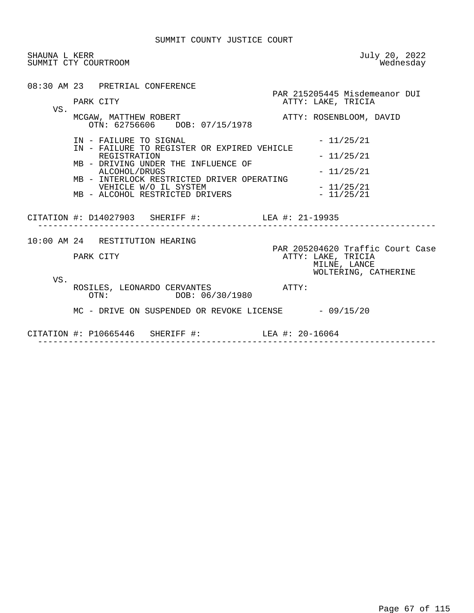| SHAUNA L KERR | SUMMIT CTY COURTROOM                                                                                                                                                                                                                                    | July 20, 2022<br>Wednesday                                                                     |
|---------------|---------------------------------------------------------------------------------------------------------------------------------------------------------------------------------------------------------------------------------------------------------|------------------------------------------------------------------------------------------------|
| VS.           | 08:30 AM 23 PRETRIAL CONFERENCE<br>PARK CITY<br>MCGAW, MATTHEW ROBERT<br>OTN: 62756606 DOB: 07/15/1978                                                                                                                                                  | PAR 215205445 Misdemeanor DUI<br>ATTY: LAKE, TRICIA<br>ATTY: ROSENBLOOM, DAVID                 |
|               | IN - FAILURE TO SIGNAL<br>IN - FAILURE TO REGISTER OR EXPIRED VEHICLE<br>REGISTRATION<br>MB - DRIVING UNDER THE INFLUENCE OF<br>ALCOHOL/DRUGS<br>MB - INTERLOCK RESTRICTED DRIVER OPERATING<br>VEHICLE W/O IL SYSTEM<br>MB - ALCOHOL RESTRICTED DRIVERS | $-11/25/21$<br>$-11/25/21$<br>$-11/25/21$<br>$-11/25/21$<br>$-11/25/21$                        |
|               | CITATION #: D14027903 SHERIFF #: LEA #: 21-19935                                                                                                                                                                                                        |                                                                                                |
|               | 10:00 AM 24 RESTITUTION HEARING<br>PARK CITY                                                                                                                                                                                                            | PAR 205204620 Traffic Court Case<br>ATTY: LAKE, TRICIA<br>MILNE, LANCE<br>WOLTERING, CATHERINE |
| VS.           | ROSILES, LEONARDO CERVANTES<br>OTN: DOB: 06/30/1980                                                                                                                                                                                                     | АТТҮ:                                                                                          |
|               | $MC$ - DRIVE ON SUSPENDED OR REVOKE LICENSE $-09/15/20$<br>CITATION #: P10665446 SHERIFF #: LEA #: 20-16064<br>-------------------------------------                                                                                                    |                                                                                                |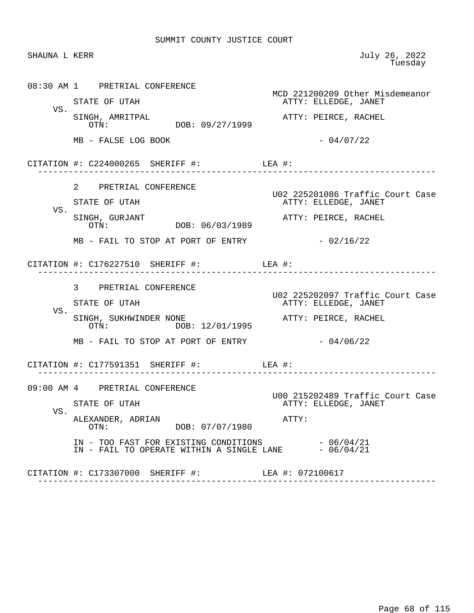| SHAUNA L KERR |                                                                                                                                      | July 26, 2022<br>Tuesday                                                         |
|---------------|--------------------------------------------------------------------------------------------------------------------------------------|----------------------------------------------------------------------------------|
| VS.           | 08:30 AM 1 PRETRIAL CONFERENCE<br>STATE OF UTAH<br>SINGH, AMRITPAL<br>DOB: 09/27/1999<br>OTN:                                        | MCD 221200209 Other Misdemeanor<br>ATTY: ELLEDGE, JANET<br>ATTY: PEIRCE, RACHEL  |
|               | MB - FALSE LOG BOOK                                                                                                                  | $-04/07/22$                                                                      |
|               | CITATION #: $C224000265$ SHERIFF #: LEA #:<br>- - - - - - - - - - - - - - - -                                                        |                                                                                  |
| VS.           | 2 PRETRIAL CONFERENCE<br>STATE OF UTAH                                                                                               | U02 225201086 Traffic Court Case<br>ATTY: ELLEDGE, JANET                         |
|               | SINGH, GURJANT<br>DOB: 06/03/1989<br>OTN:<br>MB - FAIL TO STOP AT PORT OF ENTRY                                                      | ATTY: PEIRCE, RACHEL<br>$-02/16/22$                                              |
|               | CITATION #: $C176227510$ SHERIFF #: LEA #:                                                                                           |                                                                                  |
| VS.           | 3 PRETRIAL CONFERENCE<br>STATE OF UTAH<br>SINGH, SUKHWINDER NONE                                                                     | U02 225202097 Traffic Court Case<br>ATTY: ELLEDGE, JANET<br>ATTY: PEIRCE, RACHEL |
|               | OTN: DOB: 12/01/1995<br>MB - FAIL TO STOP AT PORT OF ENTRY                                                                           | $-04/06/22$                                                                      |
|               | CITATION #: $C177591351$ SHERIFF #: LEA #:                                                                                           |                                                                                  |
| VS.           | 09:00 AM 4 PRETRIAL CONFERENCE<br>STATE OF UTAH<br>ALEXANDER, ADRIAN                                                                 | U00 215202489 Traffic Court Case<br>ATTY: ELLEDGE, JANET<br>ATTY:                |
|               | DOB: 07/07/1980<br>OTN:<br>IN - TOO FAST FOR EXISTING CONDITIONS - 06/04/21<br>IN - FAIL TO OPERATE WITHIN A SINGLE LANE $-06/04/21$ |                                                                                  |
|               | CITATION #: C173307000 SHERIFF #:                                                                                                    | LEA #: 072100617                                                                 |

Page 68 of 115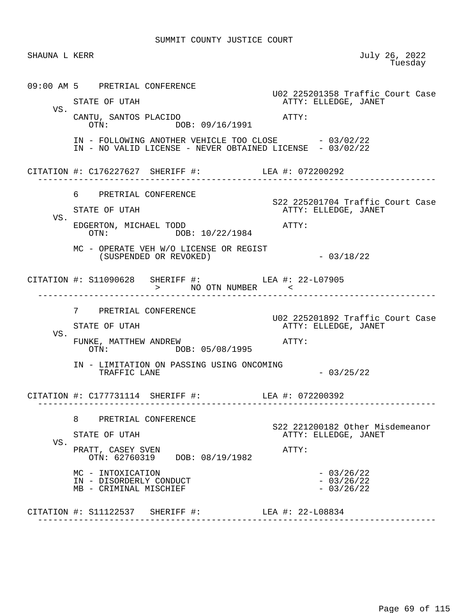| SHAUNA L KERR |                                                                                                                  | July 26, 2022<br>Tuesday                                          |
|---------------|------------------------------------------------------------------------------------------------------------------|-------------------------------------------------------------------|
|               | 09:00 AM 5 PRETRIAL CONFERENCE                                                                                   | U02 225201358 Traffic Court Case                                  |
| VS.           | STATE OF UTAH<br>CANTU, SANTOS PLACIDO<br>OTN: DOB: 09/16/1991                                                   | ATTY: ELLEDGE, JANET<br>ATTY:                                     |
|               | IN - FOLLOWING ANOTHER VEHICLE TOO CLOSE - 03/02/22<br>IN - NO VALID LICENSE - NEVER OBTAINED LICENSE - 03/02/22 |                                                                   |
|               | CITATION #: C176227627 SHERIFF #: LEA #: 072200292                                                               |                                                                   |
| VS.           | 6 PRETRIAL CONFERENCE<br>STATE OF UTAH<br>EDGERTON, MICHAEL TODD<br>OTN: DOB: 10/22/1984                         | S22 225201704 Traffic Court Case<br>ATTY: ELLEDGE, JANET<br>ATTY: |
|               | MC - OPERATE VEH W/O LICENSE OR REGIST<br>(SUSPENDED OR REVOKED)                                                 | $-03/18/22$                                                       |
|               | CITATION #: S11090628 SHERIFF #: LEA #: 22-L07905<br>> NO OTN NUMBER <                                           |                                                                   |
| VS.           | 7 PRETRIAL CONFERENCE<br>STATE OF UTAH<br>FUNKE, MATTHEW ANDREW                                                  | U02 225201892 Traffic Court Case<br>ATTY: ELLEDGE, JANET<br>ATTY: |
|               | OTN: DOB: 05/08/1995<br>IN - LIMITATION ON PASSING USING ONCOMING<br>TRAFFIC LANE                                | $-03/25/22$                                                       |
|               | CITATION #: C177731114 SHERIFF #: LEA #: 072200392                                                               |                                                                   |
| VS.           | 8<br>PRETRIAL CONFERENCE<br>STATE OF UTAH                                                                        | S22 221200182 Other Misdemeanor<br>ATTY: ELLEDGE, JANET           |
|               | PRATT, CASEY SVEN<br>OTN: 62760319 DOB: 08/19/1982                                                               | ATTY:                                                             |
|               | MC - INTOXICATION<br>IN - DISORDERLY CONDUCT<br>MB - CRIMINAL MISCHIEF                                           | $-03/26/22$<br>$-03/26/22$<br>$-03/26/22$                         |
|               | CITATION #: S11122537 SHERIFF #: LEA #: 22-L08834                                                                |                                                                   |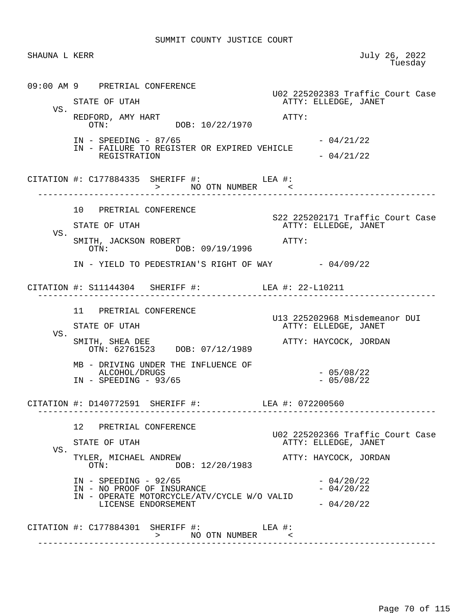| SHAUNA L KERR |                                                                                                                                     | July 26, 2022<br>Tuesday                                                          |
|---------------|-------------------------------------------------------------------------------------------------------------------------------------|-----------------------------------------------------------------------------------|
|               | 09:00 AM 9 PRETRIAL CONFERENCE<br>STATE OF UTAH                                                                                     | U02 225202383 Traffic Court Case<br>ATTY: ELLEDGE, JANET                          |
| VS.           | REDFORD, AMY HART<br>OTN: DOB: 10/22/1970                                                                                           | ATTY:                                                                             |
|               | $IN - SPEEDING - 87/65$<br>IN - FAILURE TO REGISTER OR EXPIRED VEHICLE<br>REGISTRATION                                              | $-04/21/22$<br>$-04/21/22$                                                        |
|               | CITATION #: C177884335 SHERIFF #: LEA #: LEA #: > NO OTN NUMBER <                                                                   |                                                                                   |
| VS.           | 10 PRETRIAL CONFERENCE<br>STATE OF UTAH                                                                                             | S22 225202171 Traffic Court Case<br>ATTY: ELLEDGE, JANET                          |
|               | SMITH, JACKSON ROBERT<br>OTN: DOB: 09/19/1996<br>IN - YIELD TO PEDESTRIAN'S RIGHT OF WAY - 04/09/22                                 | ATTY:                                                                             |
|               | CITATION #: S11144304 SHERIFF #: LEA #: 22-L10211                                                                                   |                                                                                   |
| VS.           | 11 PRETRIAL CONFERENCE<br>STATE OF UTAH                                                                                             | U13 225202968 Misdemeanor DUI<br>ATTY: ELLEDGE, JANET<br>ATTY: HAYCOCK, JORDAN    |
|               | SMITH, SHEA DEE<br>OTN: 62761523 DOB: 07/12/1989<br>MB - DRIVING UNDER THE INFLUENCE OF<br>ALCOHOL/DRUGS<br>$IN - SPEEDING - 93/65$ | $-05/08/22$<br>$-05/08/22$                                                        |
|               | CITATION #: D140772591 SHERIFF #:                                                                                                   | LEA #: 072200560                                                                  |
| VS.           | 12 PRETRIAL CONFERENCE<br>STATE OF UTAH<br>TYLER, MICHAEL ANDREW<br>DOB: 12/20/1983<br>OTN:                                         | U02 225202366 Traffic Court Case<br>ATTY: ELLEDGE, JANET<br>ATTY: HAYCOCK, JORDAN |
|               | $IN - SPEEDING - 92/65$<br>IN - NO PROOF OF INSURANCE<br>IN - OPERATE MOTORCYCLE/ATV/CYCLE W/O VALID<br>LICENSE ENDORSEMENT         | $-04/20/22$<br>$-04/20/22$<br>$-04/20/22$                                         |
|               | CITATION #: $C177884301$ SHERIFF #: LEA #:<br>> NO OTN NUMBER <                                                                     |                                                                                   |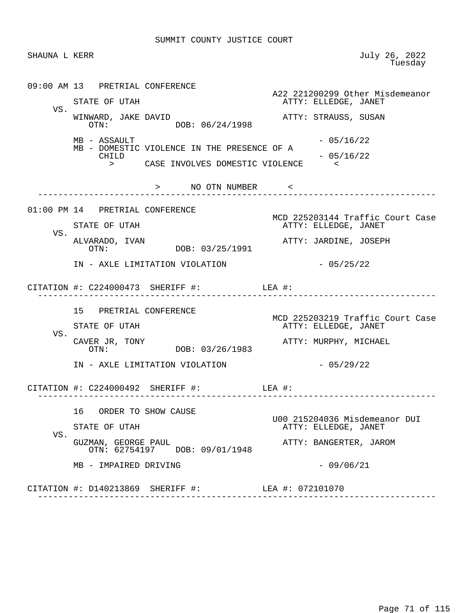SHAUNA L KERR July 26, 2022<br>Tuesday en de la construcción de la construcción de la construcción de la construcción de la construcción de la construcción de la construcción de la construcción de la construcción de la construcción de la construcción de la cons

 09:00 AM 13 PRETRIAL CONFERENCE A22 221200299 Other Misdemeanor<br>ATTY: ELLEDGE, JANET ATTY: ELLEDGE, JANET VS. WINWARD, JAKE DAVID<br>
OTN:  $OR: 06/24/1998$ <br>
ATTY: STRAUSS, SUSAN DOB: 06/24/1998  $MB - ASSAULT$  - 05/16/22 MB - DOMESTIC VIOLENCE IN THE PRESENCE OF A  $-05/16/22$  > CASE INVOLVES DOMESTIC VIOLENCE < > NO OTN NUMBER < ------------------------------------------------------------------------------ 01:00 PM 14 PRETRIAL CONFERENCE MCD 225203144 Traffic Court Case ATTY: ELLEDGE, JANET VS.<br>ALVARADO, IVAN ALVARADO, IVAN ATTY: JARDINE, JOSEPH DOB: 03/25/1991 IN - AXLE LIMITATION VIOLATION - 05/25/22 CITATION #: C224000473 SHERIFF #: LEA #: ------------------------------------------------------------------------------ 15 PRETRIAL CONFERENCE MCD 225203219 Traffic Court Case<br>
MCD 225203219 Traffic Court Case<br>
ATTY: ELLEDGE, JANET ATTY: ELLEDGE, JANET VS.<br>CAVER JR, TONY CAVER JR, TONY ATTY: MURPHY, MICHAEL DOB: 03/26/1983 IN - AXLE LIMITATION VIOLATION  $-$  05/29/22 CITATION #: C224000492 SHERIFF #: LEA #: ------------------------------------------------------------------------------ 16 ORDER TO SHOW CAUSE U00 215204036 Misdemeanor DUI ATTY: ELLEDGE, JANET VS. GUZMAN, GEORGE PAUL ATTY: BANGERTER, JAROM OTN: 62754197 DOB: 09/01/1948  $MB - IMPAIRED DRIVING - 09/06/21$  CITATION #: D140213869 SHERIFF #: LEA #: 072101070 ------------------------------------------------------------------------------

Page 71 of 115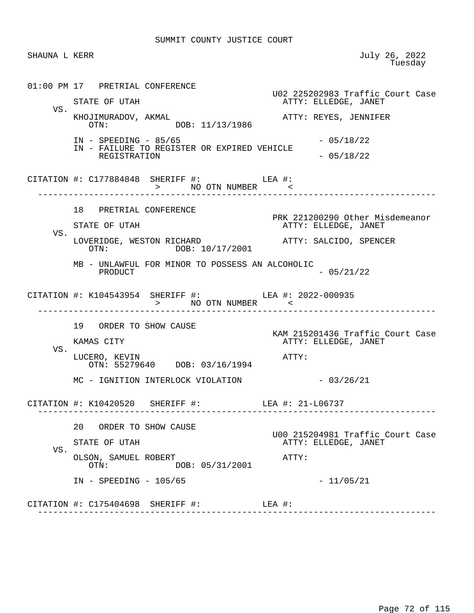SHAUNA L KERR July 26, 2022<br>Tuesday en de la construcción de la construcción de la construcción de la construcción de la construcción de la construcción de la construcción de la construcción de la construcción de la construcción de la construcción de la cons 01:00 PM 17 PRETRIAL CONFERENCE U02 225202983 Traffic Court Case ATTY: ELLEDGE, JANET VS. KHOJIMURADOV, AKMAL <br>OTN: DOB: 11/13/1986 ATTY: REYES, JENNIFER DOB: 11/13/1986 IN - SPEEDING - 85/65 - 05/18/22 IN - FAILURE TO REGISTER OR EXPIRED VEHICLE REGISTRATION  $-05/18/22$  CITATION #: C177884848 SHERIFF #: LEA #: > NO OTN NUMBER < ------------------------------------------------------------------------------ 18 PRETRIAL CONFERENCE PRK 221200290 Other Misdemeanor<br>
PRK 221200290 Other Misdemeanor<br>
ATTY: ELLEDGE, JANET ATTY: ELLEDGE, JANET VS. LOVERIDGE, WESTON RICHARD <br>OTN: DOB: 10/17/2001 <br>OTN: DOB: 10/17/2001 DOB: 10/17/2001 MB - UNLAWFUL FOR MINOR TO POSSESS AN ALCOHOLIC  $-05/21/22$  CITATION #: K104543954 SHERIFF #: LEA #: 2022-000935 > NO OTN NUMBER < ------------------------------------------------------------------------------ 19 ORDER TO SHOW CAUSE KAM 215201436 Traffic Court Case ATTY: ELLEDGE, JANET VS. LUCERO, KEVIN **ATTY:**  OTN: 55279640 DOB: 03/16/1994 MC - IGNITION INTERLOCK VIOLATION - 03/26/21 CITATION #: K10420520 SHERIFF #: LEA #: 21-L06737 ------------------------------------------------------------------------------ 20 ORDER TO SHOW CAUSE U00 215204981 Traffic Court Case ATTY: ELLEDGE, JANET VS. OLSON, SAMUEL ROBERT ATTY: OTN: DOB: 05/31/2001 IN - SPEEDING - 105/65 - 11/05/21 CITATION #: C175404698 SHERIFF #: LEA #: ------------------------------------------------------------------------------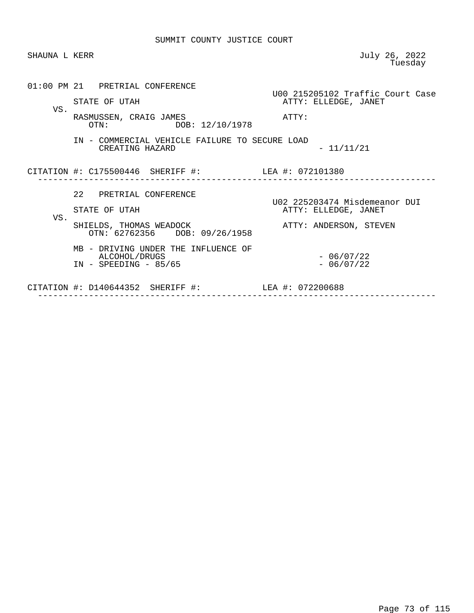| SHAUNA L KERR |                                                                                                                                            | July 26, 2022<br>Tuesday                                                        |
|---------------|--------------------------------------------------------------------------------------------------------------------------------------------|---------------------------------------------------------------------------------|
| VS.           | 01:00 PM 21 PRETRIAL CONFERENCE<br>STATE OF UTAH<br>RASMUSSEN, CRAIG JAMES<br>DOB: 12/10/1978<br>OTN:                                      | U00 215205102 Traffic Court Case<br>ATTY: ELLEDGE, JANET<br>ATTY:               |
|               | IN - COMMERCIAL VEHICLE FAILURE TO SECURE LOAD<br>CREATING HAZARD                                                                          | $-11/11/21$                                                                     |
|               | CITATION #: C175500446 SHERIFF #: LEA #: 072101380                                                                                         |                                                                                 |
| VS.           | 22 PRETRIAL CONFERENCE<br>STATE OF UTAH<br>SHIELDS, THOMAS WEADOCK<br>OTN: 62762356 DOB: 09/26/1958<br>MB - DRIVING UNDER THE INFLUENCE OF | U02 225203474 Misdemeanor DUI<br>ATTY: ELLEDGE, JANET<br>ATTY: ANDERSON, STEVEN |
|               | ALCOHOL/DRUGS<br>$IN - SPEEDING - 85/65$                                                                                                   | $-06/07/22$<br>$-06/07/22$                                                      |
|               | CITATION #: D140644352 SHERIFF #:                                                                                                          | LEA #: 072200688                                                                |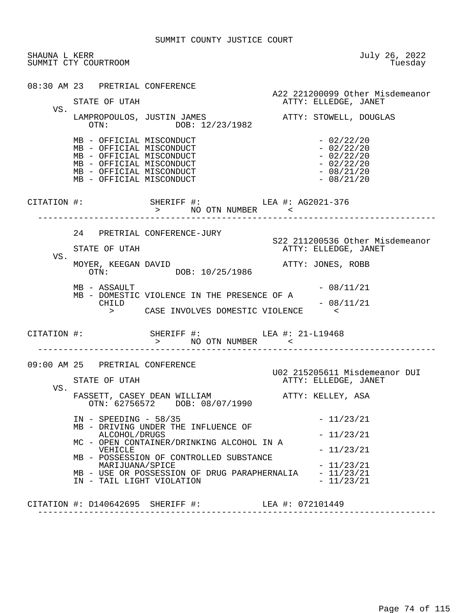| SHAUNA L KERR | SUMMIT CTY COURTROOM                                                                                                                                                 |                                                                                                                                                                                                                                             | July 26, 2022<br>Tuesday                                                                                    |
|---------------|----------------------------------------------------------------------------------------------------------------------------------------------------------------------|---------------------------------------------------------------------------------------------------------------------------------------------------------------------------------------------------------------------------------------------|-------------------------------------------------------------------------------------------------------------|
|               | 08:30 AM 23 PRETRIAL CONFERENCE<br>STATE OF UTAH                                                                                                                     |                                                                                                                                                                                                                                             | A22 221200099 Other Misdemeanor<br>ATTY: ELLEDGE, JANET                                                     |
| VS.           |                                                                                                                                                                      | LAMPROPOULOS, JUSTIN JAMES<br>OTN: DOB: 12/23/1982                                                                                                                                                                                          | ATTY: STOWELL, DOUGLAS                                                                                      |
|               | MB - OFFICIAL MISCONDUCT<br>MB - OFFICIAL MISCONDUCT<br>MB - OFFICIAL MISCONDUCT<br>MB - OFFICIAL MISCONDUCT<br>MB - OFFICIAL MISCONDUCT<br>MB - OFFICIAL MISCONDUCT |                                                                                                                                                                                                                                             | $-02/22/20$<br>$-02/22/20$<br>$-02/22/20$<br>$-02/22/20$<br>$-08/21/20$<br>$-08/21/20$                      |
|               |                                                                                                                                                                      | CITATION #: SHERIFF #: LEA #: AG2021-376<br>> NO OTN NUMBER <                                                                                                                                                                               |                                                                                                             |
|               | STATE OF UTAH                                                                                                                                                        | 24 PRETRIAL CONFERENCE-JURY                                                                                                                                                                                                                 | S22 211200536 Other Misdemeanor<br>ATTY: ELLEDGE, JANET                                                     |
| VS.           | MOYER, KEEGAN DAVID                                                                                                                                                  | OTN: DOB: 10/25/1986                                                                                                                                                                                                                        | ATTY: JONES, ROBB                                                                                           |
|               | MB - ASSAULT<br>CHILD                                                                                                                                                | MB - DOMESTIC VIOLENCE IN THE PRESENCE OF A<br>> CASE INVOLVES DOMESTIC VIOLENCE                                                                                                                                                            | $-08/11/21$<br>$-08/11/21$                                                                                  |
|               | CITATION #:                                                                                                                                                          | SHERIFF #: LEA #: 21-L19468<br>> NO OTN NUMBER <                                                                                                                                                                                            |                                                                                                             |
| VS.           | 09:00 AM 25 PRETRIAL CONFERENCE<br>STATE OF UTAH                                                                                                                     |                                                                                                                                                                                                                                             | U02 215205611 Misdemeanor DUI<br>ATTY: ELLEDGE, JANET                                                       |
|               | $IN - SPEEDING - 58/35$<br>ALCOHOL/DRUGS<br>VEHICLE<br>MARIJUANA/SPICE<br>IN - TAIL LIGHT VIOLATION                                                                  | FASSETT, CASEY DEAN WILLIAM<br>OTN: 62756572 DOB: 08/07/1990<br>MB - DRIVING UNDER THE INFLUENCE OF<br>MC - OPEN CONTAINER/DRINKING ALCOHOL IN A<br>MB - POSSESSION OF CONTROLLED SUBSTANCE<br>MB - USE OR POSSESSION OF DRUG PARAPHERNALIA | ATTY: KELLEY, ASA<br>$-11/23/21$<br>$-11/23/21$<br>$-11/23/21$<br>$-11/23/21$<br>$-11/23/21$<br>$-11/23/21$ |
|               |                                                                                                                                                                      |                                                                                                                                                                                                                                             |                                                                                                             |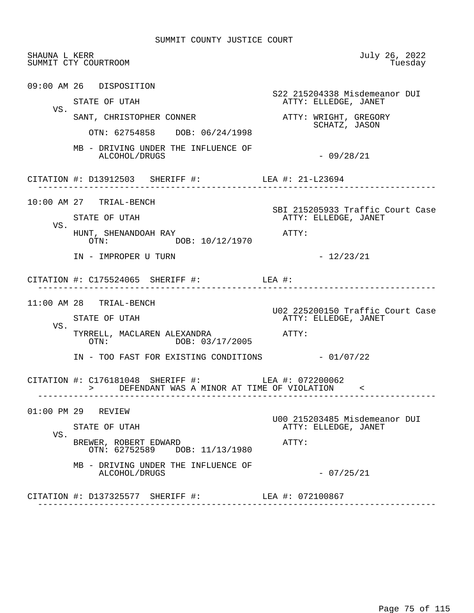| SHAUNA L KERR | SUMMIT CTY COURTROOM                                                                                 | July 26, 2022<br>Tuesday                                 |
|---------------|------------------------------------------------------------------------------------------------------|----------------------------------------------------------|
|               | 09:00 AM 26 DISPOSITION<br>STATE OF UTAH                                                             | S22 215204338 Misdemeanor DUI<br>ATTY: ELLEDGE, JANET    |
| VS.           | SANT, CHRISTOPHER CONNER                                                                             | ATTY: WRIGHT, GREGORY                                    |
|               | OTN: 62754858 DOB: 06/24/1998                                                                        | SCHATZ, JASON                                            |
|               | MB - DRIVING UNDER THE INFLUENCE OF<br>ALCOHOL/DRUGS                                                 | $-09/28/21$                                              |
|               | CITATION #: D13912503 SHERIFF #: LEA #: 21-L23694                                                    |                                                          |
|               | 10:00 AM 27 TRIAL-BENCH                                                                              | SBI 215205933 Traffic Court Case                         |
| VS.           | STATE OF UTAH                                                                                        | ATTY: ELLEDGE, JANET                                     |
|               | HUNT, SHENANDOAH RAY<br>OTN: DOB: 10/12/1970                                                         | ATTY:                                                    |
|               | IN - IMPROPER U TURN                                                                                 | $-12/23/21$                                              |
|               | CITATION #: $C175524065$ SHERIFF #: LEA #:                                                           |                                                          |
|               | $11:00$ AM 28 TRIAL-BENCH                                                                            |                                                          |
|               | STATE OF UTAH                                                                                        | U02 225200150 Traffic Court Case<br>ATTY: ELLEDGE, JANET |
| VS.           | TYRRELL, MACLAREN ALEXANDRA<br>OTN: DOB: 03/17/2005                                                  | $\mathtt{ATTY}$ :                                        |
|               | IN - TOO FAST FOR EXISTING CONDITIONS - 01/07/22                                                     |                                                          |
|               | CITATION #: C176181048 SHERIFF #: LEA #: 072200062<br>> DEFENDANT WAS A MINOR AT TIME OF VIOLATION < |                                                          |
|               | 01:00 PM 29 REVIEW                                                                                   |                                                          |
|               | STATE OF UTAH                                                                                        | U00 215203485 Misdemeanor DUI<br>ATTY: ELLEDGE, JANET    |
| VS.           | BREWER, ROBERT EDWARD<br>OTN: 62752589 DOB: 11/13/1980                                               | ATTY:                                                    |
|               | MB - DRIVING UNDER THE INFLUENCE OF<br>ALCOHOL/DRUGS                                                 | $-07/25/21$                                              |
|               |                                                                                                      |                                                          |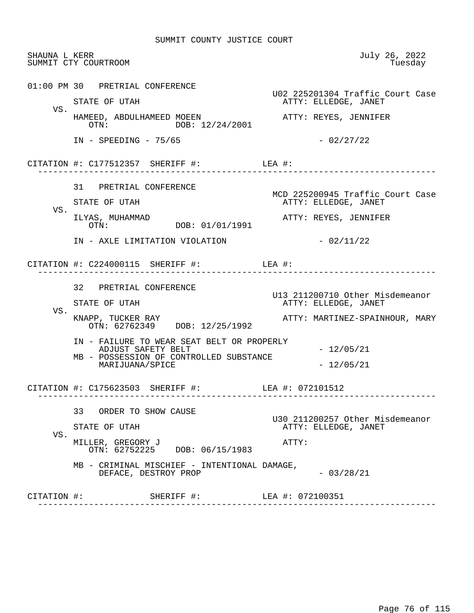| SHAUNA L KERR | SUMMIT CTY COURTROOM                                                                                                                                                                 | July 26, 2022<br>Tuesday                                                                  |
|---------------|--------------------------------------------------------------------------------------------------------------------------------------------------------------------------------------|-------------------------------------------------------------------------------------------|
|               | 01:00 PM 30 PRETRIAL CONFERENCE<br>STATE OF UTAH                                                                                                                                     | U02 225201304 Traffic Court Case<br>ATTY: ELLEDGE, JANET                                  |
| VS.           | HAMEED, ABDULHAMEED MOEEN<br>OTN: DOB: 12/24/2001                                                                                                                                    | ATTY: REYES, JENNIFER                                                                     |
|               | $IN - SPEEDING - 75/65$                                                                                                                                                              | $-02/27/22$                                                                               |
|               | CITATION #: $C177512357$ SHERIFF #: LEA #:                                                                                                                                           | __________________                                                                        |
| VS.           | 31 PRETRIAL CONFERENCE<br>STATE OF UTAH<br>ILYAS, MUHAMMAD<br>DOB: 01/01/1991<br>$\cap \text{TN}$ :                                                                                  | MCD 225200945 Traffic Court Case<br>ATTY: ELLEDGE, JANET<br>ATTY: REYES, JENNIFER         |
|               | IN - AXLE LIMITATION VIOLATION                                                                                                                                                       | $-02/11/22$                                                                               |
|               | CITATION #: $C224000115$ SHERIFF #: LEA #:<br>____________________                                                                                                                   |                                                                                           |
| VS.           | 32 PRETRIAL CONFERENCE<br>STATE OF UTAH                                                                                                                                              | U13 211200710 Other Misdemeanor<br>ATTY: ELLEDGE, JANET<br>ATTY: MARTINEZ-SPAINHOUR, MARY |
|               | KNAPP, TUCKER RAY<br>OTN: 62762349 DOB: 12/25/1992<br>IN - FAILURE TO WEAR SEAT BELT OR PROPERLY<br>ADJUST SAFETY BELT<br>MB - POSSESSION OF CONTROLLED SUBSTANCE<br>MARIJUANA/SPICE | $-12/05/21$<br>$-12/05/21$                                                                |
|               | CITATION #: C175623503 SHERIFF #: LEA #: 072101512<br>---------------------                                                                                                          |                                                                                           |
| VS.           | 33 ORDER TO SHOW CAUSE<br>STATE OF UTAH<br>MILLER, GREGORY J<br>OTN: 62752225 DOB: 06/15/1983<br>MB - CRIMINAL MISCHIEF - INTENTIONAL DAMAGE,<br>DEFACE, DESTROY PROP                | U30 211200257 Other Misdemeanor<br>ATTY: ELLEDGE, JANET<br>ATTY:<br>$-03/28/21$           |
| CITATION #:   | SHERIFF #:                                                                                                                                                                           | LEA #: 072100351                                                                          |
|               |                                                                                                                                                                                      |                                                                                           |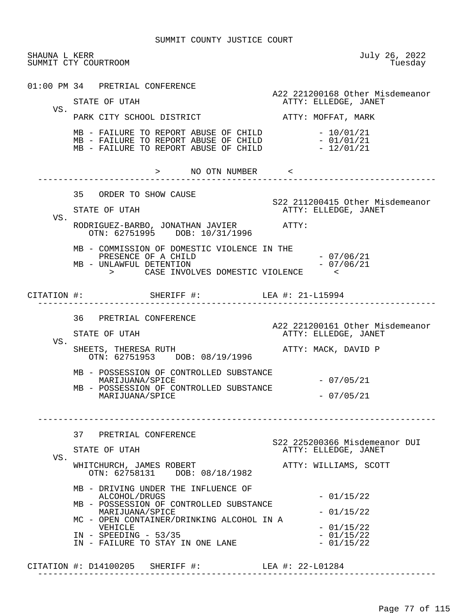| SHAUNA L KERR | SUMMIT CTY COURTROOM                                                                                                                                                                                                                                                                                                                                 | July 26, 2022<br>Tuesday                                                                                                                                  |
|---------------|------------------------------------------------------------------------------------------------------------------------------------------------------------------------------------------------------------------------------------------------------------------------------------------------------------------------------------------------------|-----------------------------------------------------------------------------------------------------------------------------------------------------------|
| VS.           | 01:00 PM 34 PRETRIAL CONFERENCE<br>STATE OF UTAH<br>PARK CITY SCHOOL DISTRICT<br>MB - FAILURE TO REPORT ABUSE OF CHILD $-10/01/21$<br>MB - FAILURE TO REPORT ABUSE OF CHILD $-01/01/21$<br>$MB$ - FAILURE TO REPORT ABUSE OF CHILD $-12/01/21$                                                                                                       | A22 221200168 Other Misdemeanor<br>ATTY: ELLEDGE, JANET<br>ATTY: MOFFAT, MARK                                                                             |
|               | > NO OTN NUMBER <                                                                                                                                                                                                                                                                                                                                    | ---------                                                                                                                                                 |
| VS.           | 35 ORDER TO SHOW CAUSE<br>STATE OF UTAH<br>RODRIGUEZ-BARBO, JONATHAN JAVIER ATTY:<br>OTN: 62751995 DOB: 10/31/1996                                                                                                                                                                                                                                   | S22 211200415 Other Misdemeanor<br>ATTY: ELLEDGE, JANET                                                                                                   |
|               | MB - COMMISSION OF DOMESTIC VIOLENCE IN THE<br>PRESENCE OF A CHILD<br>MB - UNLAWFUL DETENTION<br>> CASE INVOLVES DOMESTIC VIOLENCE <                                                                                                                                                                                                                 | - 07/06/21<br>$-07/06/21$                                                                                                                                 |
|               | CITATION #: SHERIFF #: LEA #: 21-L15994                                                                                                                                                                                                                                                                                                              |                                                                                                                                                           |
| VS.           | 36 PRETRIAL CONFERENCE<br>STATE OF UTAH<br>SHEETS, THERESA RUTH<br>OTN: 62751953 DOB: 08/19/1996<br>MB - POSSESSION OF CONTROLLED SUBSTANCE<br>MARIJUANA/SPICE<br>MB - POSSESSION OF CONTROLLED SUBSTANCE<br>MARIJUANA/SPICE                                                                                                                         | A22 221200161 Other Misdemeanor<br>ATTY: ELLEDGE, JANET<br>ATTY: MACK, DAVID P<br>$-07/05/21$<br>$-07/05/21$                                              |
| VS.           | 37<br>PRETRIAL CONFERENCE<br>STATE OF UTAH<br>WHITCHURCH, JAMES ROBERT<br>OTN: 62758131 DOB: 08/18/1982<br>MB - DRIVING UNDER THE INFLUENCE OF<br>ALCOHOL/DRUGS<br>MB - POSSESSION OF CONTROLLED SUBSTANCE<br>MARIJUANA/SPICE<br>MC - OPEN CONTAINER/DRINKING ALCOHOL IN A<br>VEHICLE<br>$IN - SPEEDING - 53/35$<br>IN - FAILURE TO STAY IN ONE LANE | S22 225200366 Misdemeanor DUI<br>ATTY: ELLEDGE, JANET<br>ATTY: WILLIAMS, SCOTT<br>$-01/15/22$<br>$-01/15/22$<br>$-01/15/22$<br>$-01/15/22$<br>$-01/15/22$ |

CITATION #: D14100205 SHERIFF #: LEA #: 22-L01284

------------------------------------------------------------------------------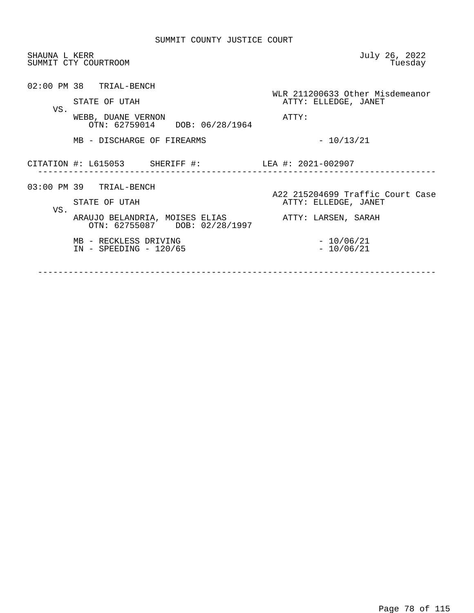| SHAUNA L KERR | SUMMIT CTY COURTROOM                                            | July 26, 2022<br>Tuesday                                 |
|---------------|-----------------------------------------------------------------|----------------------------------------------------------|
| VS.           | 02:00 PM 38 TRIAL-BENCH<br>STATE OF UTAH                        | WLR 211200633 Other Misdemeanor<br>ATTY: ELLEDGE, JANET  |
|               | WEBB, DUANE VERNON<br>OTN: 62759014 DOB: 06/28/1964             | ATTY:                                                    |
|               | MB - DISCHARGE OF FIREARMS                                      | $-10/13/21$                                              |
|               | CITATION #: L615053 SHERIFF #:                                  | LEA #: 2021-002907                                       |
| VS.           | 03:00 PM 39 TRIAL-BENCH<br>STATE OF UTAH                        | A22 215204699 Traffic Court Case<br>ATTY: ELLEDGE, JANET |
|               | ARAUJO BELANDRIA, MOISES ELIAS<br>OTN: 62755087 DOB: 02/28/1997 | ATTY: LARSEN, SARAH                                      |
|               | MB - RECKLESS DRIVING<br>$IN - SPEEDING - 120/65$               | $-10/06/21$<br>$-10/06/21$                               |
|               |                                                                 |                                                          |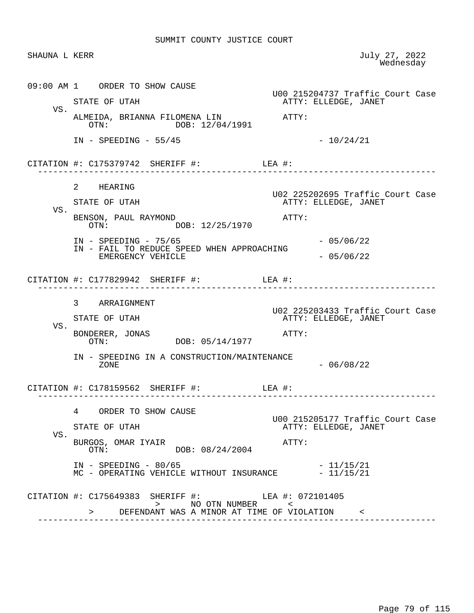| SHAUNA L KERR |                                                                                | July 27, 2022<br>Wednesday       |
|---------------|--------------------------------------------------------------------------------|----------------------------------|
|               | 09:00 AM 1 ORDER TO SHOW CAUSE                                                 | U00 215204737 Traffic Court Case |
| VS.           | STATE OF UTAH                                                                  | ATTY: ELLEDGE, JANET             |
|               | ALMEIDA, BRIANNA FILOMENA LIN XITTY:<br>OTN: DOB: 12/04/1991                   |                                  |
|               | $IN - SPEEDING - 55/45$                                                        | $-10/24/21$                      |
|               | CITATION #: $C175379742$ SHERIFF #: LEA #:                                     |                                  |
|               | 2 HEARING                                                                      | U02 225202695 Traffic Court Case |
|               | STATE OF UTAH                                                                  | ATTY: ELLEDGE, JANET             |
| VS.           | BENSON, PAUL RAYMOND<br>DOB: 12/25/1970<br>OTN:                                | ATTY:                            |
|               | $IN - SPEEDING - 75/65$                                                        | $-05/06/22$                      |
|               | IN - FAIL TO REDUCE SPEED WHEN APPROACHING<br>EMERGENCY VEHICLE                | $-05/06/22$                      |
|               | CITATION #: $C177829942$ SHERIFF #: LEA #:                                     |                                  |
|               | 3 ARRAIGNMENT                                                                  | U02 225203433 Traffic Court Case |
|               | STATE OF UTAH                                                                  | ATTY: ELLEDGE, JANET             |
| VS.           | BONDERER, JONAS<br>DOB: 05/14/1977<br>OTN:                                     | ATTY:                            |
|               | IN - SPEEDING IN A CONSTRUCTION/MAINTENANCE<br>ZONE                            | $-06/08/22$                      |
|               | CITATION #: $C178159562$ SHERIFF #: LEA #:                                     |                                  |
|               | 4 ORDER TO SHOW CAUSE                                                          | U00 215205177 Traffic Court Case |
| VS.           | STATE OF UTAH                                                                  | ATTY: ELLEDGE, JANET             |
|               | BURGOS, OMAR IYAIR<br>DOB: 08/24/2004<br>OTN:                                  | ATTY:                            |
|               | $IN - SPEEDING - 80/65$<br>MC - OPERATING VEHICLE WITHOUT INSURANCE - 11/15/21 | - 11/15/21                       |
|               |                                                                                |                                  |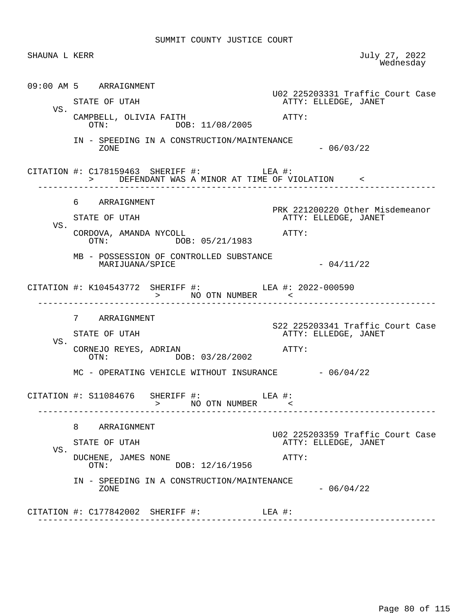SHAUNA L KERR July 27, 2022<br>Wednesday wednesday and the contract of the Mednesday of the Mednesday of the Mednesday of the Mednesday of the  $\sim$  09:00 AM 5 ARRAIGNMENT U02 225203331 Traffic Court Case ATTY: ELLEDGE, JANET VS. CAMPBELL, OLIVIA FAITH  $\overline{O}$ TN:  $\overline{O}$ OR: 11/08/2005 ATTY: DOB: 11/08/2005 IN - SPEEDING IN A CONSTRUCTION/MAINTENANCE  $-06/03/22$  CITATION #: C178159463 SHERIFF #: LEA #: > DEFENDANT WAS A MINOR AT TIME OF VIOLATION < ------------------------------------------------------------------------------ 6 ARRAIGNMENT PRK 221200220 Other Misdemeanor<br>ATTY: ELLEDGE, JANET ATTY: ELLEDGE, JANET VS. CORDOVA, AMANDA NYCOLL<br>
OTN: DOB: 05/21/1983<br>
ATTY: DOB: 05/21/1983 MB - POSSESSION OF CONTROLLED SUBSTANCE  $MARIJUANA/SPICE$   $-04/11/22$  CITATION #: K104543772 SHERIFF #: LEA #: 2022-000590 > NO OTN NUMBER < ------------------------------------------------------------------------------ 7 ARRAIGNMENT S22 225203341 Traffic Court Case ATTY: ELLEDGE, JANET VS. CORNEJO REYES, ADRIAN <br>
OTN: DOB: 03/28/2002<br>
OTN: DOB: 03/28/2002 MC - OPERATING VEHICLE WITHOUT INSURANCE - 06/04/22 CITATION #: S11084676 SHERIFF #: LEA #: > NO OTN NUMBER < ------------------------------------------------------------------------------ 8 ARRAIGNMENT U02 225203359 Traffic Court Case ATTY: ELLEDGE, JANET VS. DUCHENE, JAMES NONE **ATTY:**  OTN: DOB: 12/16/1956 IN - SPEEDING IN A CONSTRUCTION/MAINTENANCE  $-06/04/22$  CITATION #: C177842002 SHERIFF #: LEA #: ------------------------------------------------------------------------------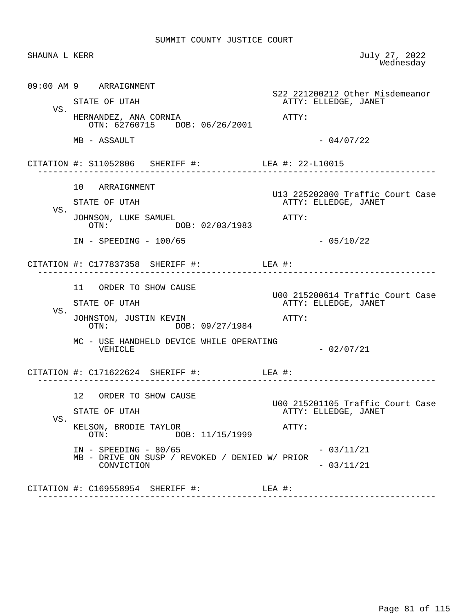| SHAUNA L KERR |                                                                           |                                                          | July 27, 2022<br>Wednesday |
|---------------|---------------------------------------------------------------------------|----------------------------------------------------------|----------------------------|
|               | 09:00 AM 9 ARRAIGNMENT                                                    | S22 221200212 Other Misdemeanor                          |                            |
| VS.           | STATE OF UTAH                                                             | ATTY: ELLEDGE, JANET                                     |                            |
|               | HERNANDEZ, ANA CORNIA<br>OTN: 62760715 DOB: 06/26/2001                    | ATTY:                                                    |                            |
|               | MB - ASSAULT                                                              | $-04/07/22$                                              |                            |
|               | CITATION #: S11052806 SHERIFF #: LEA #: 22-L10015                         |                                                          |                            |
|               | 10 ARRAIGNMENT                                                            |                                                          |                            |
| VS.           | STATE OF UTAH                                                             | U13 225202800 Traffic Court Case<br>ATTY: ELLEDGE, JANET |                            |
|               | JOHNSON, LUKE SAMUEL<br>DOB: 02/03/1983<br>OTN:                           | ATTY:                                                    |                            |
|               | $IN - SPEEDING - 100/65$                                                  | $-05/10/22$                                              |                            |
|               | CITATION #: $C177837358$ SHERIFF #: LEA #:                                |                                                          |                            |
|               | 11 ORDER TO SHOW CAUSE                                                    | U00 215200614 Traffic Court Case                         |                            |
| VS.           | STATE OF UTAH                                                             | ATTY: ELLEDGE, JANET                                     |                            |
|               | JOHNSTON, JUSTIN KEVIN<br>OTN: DOB: 09/27/1984                            | ATTY:                                                    |                            |
|               | MC - USE HANDHELD DEVICE WHILE OPERATING<br>VEHICLE                       | $-02/07/21$                                              |                            |
|               | CITATION #: $C171622624$ SHERIFF #: LEA #:                                |                                                          |                            |
|               | 12 <sub>2</sub><br>ORDER TO SHOW CAUSE                                    |                                                          |                            |
| VS.           | STATE OF UTAH                                                             | U00 215201105 Traffic Court Case<br>ATTY: ELLEDGE, JANET |                            |
|               | KELSON, BRODIE TAYLOR<br>DOB: 11/15/1999<br>OTN:                          | ATTY:                                                    |                            |
|               | $IN - SPEEDING - 80/65$<br>MB - DRIVE ON SUSP / REVOKED / DENIED W/ PRIOR | $-03/11/21$                                              |                            |
|               | CONVICTION                                                                | $-03/11/21$                                              |                            |
|               | CITATION $\#$ : C169558954 SHERIFF $\#$ : LEA $\#$ :                      |                                                          |                            |
|               |                                                                           |                                                          |                            |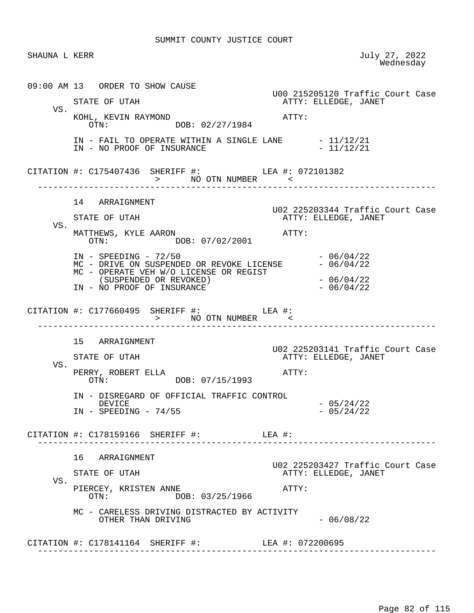| SHAUNA L KERR |                                                                                                                                                                                   | July 27, 2022<br>Wednesday                                        |
|---------------|-----------------------------------------------------------------------------------------------------------------------------------------------------------------------------------|-------------------------------------------------------------------|
| VS.           | 09:00 AM 13 ORDER TO SHOW CAUSE<br>STATE OF UTAH<br>KOHL, KEVIN RAYMOND<br>OTN: DOB: 02/27/1984<br>IN - FAIL TO OPERATE WITHIN A SINGLE LANE $-11/12/21$                          | U00 215205120 Traffic Court Case<br>ATTY: ELLEDGE, JANET<br>ATTY: |
|               | IN - NO PROOF OF INSURANCE<br>CITATION #: C175407436 SHERIFF #: LEA #: 072101382<br>> NO OTN NUMBER                                                                               | $-11/12/21$                                                       |
| VS.           | 14 ARRAIGNMENT<br>STATE OF UTAH<br>MATTHEWS, KYLE AARON<br>OTN: DOB: 07/02/2001                                                                                                   | U02 225203344 Traffic Court Case<br>ATTY: ELLEDGE, JANET<br>ATTY: |
|               | $IN - SPEEDING - 72/50$<br>MC - DRIVE ON SUSPENDED OR REVOKE LICENSE - 06/04/22<br>MC - OPERATE VEH W/O LICENSE OR REGIST<br>(SUSPENDED OR REVOKED)<br>IN - NO PROOF OF INSURANCE | $-06/04/22$<br>$-06/04/22$<br>$-06/04/22$                         |
|               | CITATION #: $C177660495$ SHERIFF #: LEA #:<br>> NO OTN NUMBER                                                                                                                     |                                                                   |
| VS.           | 15 ARRAIGNMENT<br>STATE OF UTAH<br>PERRY, ROBERT ELLA<br>OTN: DOB: 07/15/1993                                                                                                     | U02 225203141 Traffic Court Case<br>ATTY: ELLEDGE, JANET<br>ATTY: |
|               | IN - DISREGARD OF OFFICIAL TRAFFIC CONTROL<br>DEVICE<br>$IN$ - SPEEDING - 74/55                                                                                                   | $-05/24/22$<br>$-05/24/22$                                        |
|               | CITATION #: C178159166 SHERIFF #: LEA #:                                                                                                                                          |                                                                   |
| VS.           | 16 ARRAIGNMENT<br>STATE OF UTAH<br>PIERCEY, KRISTEN ANNE<br>DOB: 03/25/1966<br>OTN:                                                                                               | U02 225203427 Traffic Court Case<br>ATTY: ELLEDGE, JANET<br>ATTY: |
|               | MC - CARELESS DRIVING DISTRACTED BY ACTIVITY<br>OTHER THAN DRIVING                                                                                                                | $-06/08/22$                                                       |
|               |                                                                                                                                                                                   |                                                                   |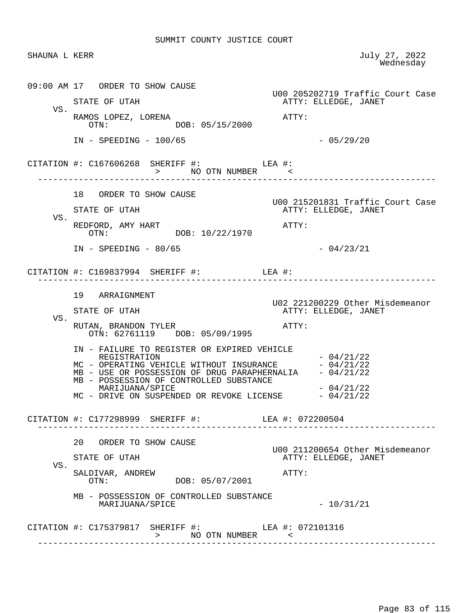SHAUNA L KERR JULY 27, 2022<br>Wednesday wednesday and the contract of the Mednesday of the Mednesday of the Mednesday of the Mednesday of the  $\sim$  09:00 AM 17 ORDER TO SHOW CAUSE U00 205202719 Traffic Court Case ATTY: ELLEDGE, JANET VS. RAMOS LOPEZ, LORENA  $\overline{O}$ TN:  $\overline{O}$   $\overline{O}$ R: 05/15/2000  $\overline{O}$ DOB: 05/15/2000 IN - SPEEDING - 100/65 - 200 - 201 - 201 - 201 - 201 - 202 - 202 - 202 - 202 - 202 - 202 - 202 - 202 - 202 - 20 CITATION #: C167606268 SHERIFF #: LEA #: > NO OTN NUMBER < ------------------------------------------------------------------------------ 18 ORDER TO SHOW CAUSE U00 215201831 Traffic Court Case ATTY: ELLEDGE, JANET VS. REDFORD, AMY HART  $OTN:$  OTN:  $O/N$ :  $O/N$ :  $10/22/1970$ DOB: 10/22/1970  $IN - SPEEDING - 80/65$  - 04/23/21 CITATION #: C169837994 SHERIFF #: LEA #: ------------------------------------------------------------------------------ 19 ARRAIGNMENT U02 221200229 Other Misdemeanor ATTY: ELLEDGE, JANET VS. RUTAN, BRANDON TYLER ATTY: OTN: 62761119 DOB: 05/09/1995 IN - FAILURE TO REGISTER OR EXPIRED VEHICLE REGISTRATION  $-04/21/22$ MC - OPERATING VEHICLE WITHOUT INSURANCE - 04/21/22 MB - USE OR POSSESSION OF DRUG PARAPHERNALIA - 04/21/22 MB - POSSESSION OF CONTROLLED SUBSTANCE  $MARIJUANA/SPICE$   $-04/21/22$  $MC$  - DRIVE ON SUSPENDED OR REVOKE LICENSE  $-04/21/22$  CITATION #: C177298999 SHERIFF #: LEA #: 072200504 ------------------------------------------------------------------------------ 20 ORDER TO SHOW CAUSE U00 211200654 Other Misdemeanor ATTY: ELLEDGE, JANET VS. SALDIVAR, ANDREW ATTY: DOB: 05/07/2001 MB - POSSESSION OF CONTROLLED SUBSTANCE  $MARIJUANA/SPICE$   $- 10/31/21$ CITATION #: C175379817 SHERIFF #: LEA #: 072101316 > NO OTN NUMBER < ------------------------------------------------------------------------------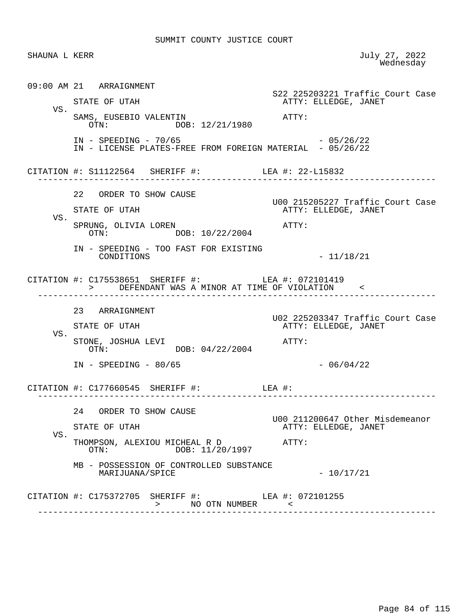| SHAUNA L KERR |                                                                                                      | July 27, 2022<br>Wednesday                               |
|---------------|------------------------------------------------------------------------------------------------------|----------------------------------------------------------|
|               | 09:00 AM 21 ARRAIGNMENT                                                                              | S22 225203221 Traffic Court Case                         |
| VS.           | STATE OF UTAH<br>SAMS, EUSEBIO VALENTIN<br>OTN: DOB: 12/21/1980                                      | ATTY: ELLEDGE, JANET<br>ATTY:                            |
|               | $IN - SPEEDING - 70/65$<br>IN - LICENSE PLATES-FREE FROM FOREIGN MATERIAL - 05/26/22                 | $-05/26/22$                                              |
|               | CITATION #: S11122564 SHERIFF #: LEA #: 22-L15832                                                    |                                                          |
| VS.           | 22 ORDER TO SHOW CAUSE<br>STATE OF UTAH                                                              | U00 215205227 Traffic Court Case<br>ATTY: ELLEDGE, JANET |
|               | SPRUNG, OLIVIA LOREN<br>OTN: DOB: 10/22/2004<br>IN - SPEEDING - TOO FAST FOR EXISTING                | $\mathtt{ATTY}$ :                                        |
|               | CONDITIONS                                                                                           | $-11/18/21$                                              |
|               | CITATION #: C175538651 SHERIFF #: LEA #: 072101419<br>> DEFENDANT WAS A MINOR AT TIME OF VIOLATION < |                                                          |
|               | 23 ARRAIGNMENT<br>STATE OF UTAH                                                                      | U02 225203347 Traffic Court Case<br>ATTY: ELLEDGE, JANET |
| VS.           | STONE, JOSHUA LEVI<br>OTN: DOB: 04/22/2004                                                           | ATTY:                                                    |
|               | $IN - SPEEDING - 80/65$                                                                              | $-06/04/22$                                              |
|               | CITATION #: $C177660545$ SHERIFF #: LEA #:                                                           |                                                          |
| VS.           | 24 ORDER TO SHOW CAUSE                                                                               | U00 211200647 Other Misdemeanor                          |
|               | STATE OF UTAH                                                                                        | ATTY: ELLEDGE, JANET                                     |
|               | THOMPSON, ALEXIOU MICHEAL R D<br>DOB: 11/20/1997<br>OTN:                                             | ATTY:                                                    |
|               | MB - POSSESSION OF CONTROLLED SUBSTANCE<br>MARIJUANA/SPICE                                           | $-10/17/21$                                              |
|               | CITATION #: C175372705 SHERIFF #: LEA #: 072101255<br>NO OTN NUMBER<br>$\geq$                        | $\prec$                                                  |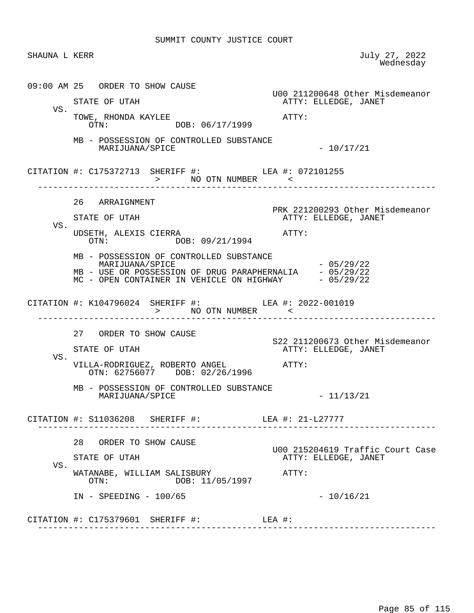SHAUNA L KERR July 27, 2022<br>Wednesday wednesday and the contract of the Mednesday of the Mednesday of the Mednesday of the Mednesday of the  $\sim$  09:00 AM 25 ORDER TO SHOW CAUSE U00 211200648 Other Misdemeanor ATTY: ELLEDGE, JANET VS. TOWE, RHONDA KAYLEE<br>
OTN: COTN: DOB: 06/17/1999 DOB: 06/17/1999 MB - POSSESSION OF CONTROLLED SUBSTANCE  $\text{MARIJUANA}/\text{SPICE}$   $-10/17/21$  CITATION #: C175372713 SHERIFF #: LEA #: 072101255 > NO OTN NUMBER  $\sim$  ------------------------------------------------------------------------------ 26 ARRAIGNMENT PRK 221200293 Other Misdemeanor<br>ATTY: ELLEDGE, JANET ATTY: ELLEDGE, JANET VS. UDSETH, ALEXIS CIERRA <br>OTN: DOB: 09/21/1994 <br>OTN: DOB: 09/21/1994 DOB: 09/21/1994 MB - POSSESSION OF CONTROLLED SUBSTANCE MARIJUANA/SPICE  $- 05/29/22$ MB - USE OR POSSESSION OF DRUG PARAPHERNALIA - 05/29/22 MC - OPEN CONTAINER IN VEHICLE ON HIGHWAY - 05/29/22 CITATION #: K104796024 SHERIFF #: LEA #: 2022-001019 > NO OTN NUMBER < ------------------------------------------------------------------------------ 27 ORDER TO SHOW CAUSE S22 211200673 Other Misdemeanor ATTY: ELLEDGE, JANET VS. VILLA-RODRIGUEZ, ROBERTO ANGEL ATTY: OTN: 62756077 DOB: 02/26/1996 MB - POSSESSION OF CONTROLLED SUBSTANCE MARIJUANA/SPICE - 11/13/21 CITATION #: S11036208 SHERIFF #: LEA #: 21-L27777 ------------------------------------------------------------------------------ 28 ORDER TO SHOW CAUSE U00 215204619 Traffic Court Case ATTY: ELLEDGE, JANET VS. WATANABE, WILLIAM SALISBURY<br>
OTN: DOR: 11/05/1997 DOB: 11/05/1997 IN - SPEEDING - 100/65 - 2001 - 2002 - 100/16/21 CITATION #: C175379601 SHERIFF #: LEA #: ------------------------------------------------------------------------------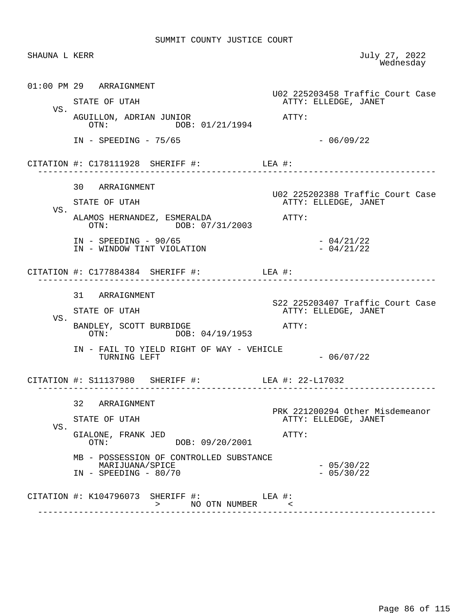| SHAUNA L KERR |                                                                                       | July 27, 2022<br>Wednesday                               |
|---------------|---------------------------------------------------------------------------------------|----------------------------------------------------------|
|               | 01:00 PM 29 ARRAIGNMENT                                                               |                                                          |
|               | STATE OF UTAH                                                                         | U02 225203458 Traffic Court Case<br>ATTY: ELLEDGE, JANET |
| VS.           | AGUILLON, ADRIAN JUNIOR<br>OTN: DOB: 01/21/1994                                       | ATTY:                                                    |
|               | $IN - SPEEDING - 75/65$                                                               | $-06/09/22$                                              |
|               | CITATION #: $C178111928$ SHERIFF #: LEA #:                                            |                                                          |
|               | 30 ARRAIGNMENT                                                                        | U02 225202388 Traffic Court Case                         |
| VS.           | STATE OF UTAH                                                                         | ATTY: ELLEDGE, JANET                                     |
|               | ALAMOS HERNANDEZ, ESMERALDA<br>OTN: DOB: 07/31/2003                                   | ATTY:                                                    |
|               | $IN - SPEEDING - 90/65$<br>IN - WINDOW TINT VIOLATION                                 | $-04/21/22$<br>$-04/21/22$                               |
|               | CITATION #: C177884384 SHERIFF #: LEA #:                                              |                                                          |
|               | 31 ARRAIGNMENT                                                                        | S22 225203407 Traffic Court Case                         |
| VS.           | STATE OF UTAH                                                                         | ATTY: ELLEDGE, JANET                                     |
|               | BANDLEY, SCOTT BURBIDGE<br>OTN: DOB: 04/19/1953                                       | ATTY:                                                    |
|               | IN - FAIL TO YIELD RIGHT OF WAY - VEHICLE<br>TURNING LEFT                             | $-06/07/22$                                              |
|               | CITATION #: S11137980 SHERIFF #: LEA #: 22-L17032                                     |                                                          |
|               | 32 ARRAIGNMENT                                                                        |                                                          |
|               | STATE OF UTAH                                                                         | PRK 221200294 Other Misdemeanor<br>ATTY: ELLEDGE, JANET  |
| VS.           | GIALONE, FRANK JED<br>DOB: 09/20/2001<br>OTN:                                         | ATTY:                                                    |
|               | MB - POSSESSION OF CONTROLLED SUBSTANCE<br>MARIJUANA/SPICE<br>$IN - SPEEDING - 80/70$ | $-05/30/22$<br>$-05/30/22$                               |
|               | CITATION #: K104796073 SHERIFF #: LEA #:<br>> NO OTN NUMBER <                         |                                                          |

Page 86 of 115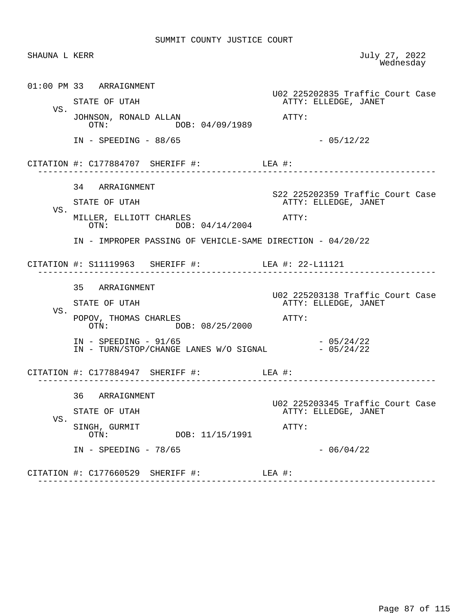| SHAUNA L KERR |                                                                                                                               | July 27, 2022<br>Wednesday                                        |
|---------------|-------------------------------------------------------------------------------------------------------------------------------|-------------------------------------------------------------------|
|               | 01:00 PM 33 ARRAIGNMENT<br>STATE OF UTAH                                                                                      | U02 225202835 Traffic Court Case<br>ATTY: ELLEDGE, JANET          |
| VS.           | JOHNSON, RONALD ALLAN<br>DOB: 04/09/1989<br>OTN:                                                                              | ATTY:                                                             |
|               | $IN - SPEEDING - 88/65$                                                                                                       | $-05/12/22$                                                       |
|               | CITATION #: $C177884707$ SHERIFF #: LEA #:<br>_____________________________                                                   |                                                                   |
| VS.           | 34 ARRAIGNMENT<br>STATE OF UTAH                                                                                               | S22 225202359 Traffic Court Case<br>ATTY: ELLEDGE, JANET          |
|               | MILLER, ELLIOTT CHARLES<br>DOB: 04/14/2004<br>OTN:                                                                            | ATTY:                                                             |
|               | IN - IMPROPER PASSING OF VEHICLE-SAME DIRECTION - 04/20/22                                                                    |                                                                   |
|               | CITATION #: S11119963 SHERIFF #: LEA #: 22-L11121                                                                             |                                                                   |
| VS.           | 35 ARRAIGNMENT<br>STATE OF UTAH                                                                                               | U02 225203138 Traffic Court Case<br>ATTY: ELLEDGE, JANET          |
|               | POPOV, THOMAS CHARLES<br>OTN: DOB: 08/25/2000<br>$IN - SPEEDING - 91/65$<br>IN - TURN/STOP/CHANGE LANES W/O SIGNAL - 05/24/22 | ATTY:<br>$-05/24/22$                                              |
|               | CITATION #: $C177884947$ SHERIFF #: LEA #:                                                                                    |                                                                   |
| VS.           | 36<br>ARRAIGNMENT<br>STATE OF UTAH<br>SINGH, GURMIT                                                                           | U02 225203345 Traffic Court Case<br>ATTY: ELLEDGE, JANET<br>ATTY: |
|               | DOB: 11/15/1991<br>OTN:<br>$IN$ - SPEEDING - 78/65                                                                            | $-06/04/22$                                                       |
|               | CITATION #: C177660529 SHERIFF #:                                                                                             | LEA #:                                                            |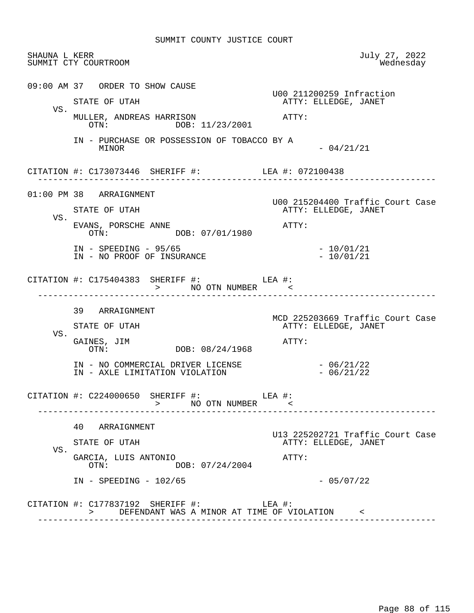| SHAUNA L KERR | SUMMIT CTY COURTROOM                                                | July 27, 2022<br>Wednesday                               |
|---------------|---------------------------------------------------------------------|----------------------------------------------------------|
|               | 09:00 AM 37 ORDER TO SHOW CAUSE                                     | U00 211200259 Infraction                                 |
| VS.           | STATE OF UTAH                                                       | ATTY: ELLEDGE, JANET                                     |
|               | MULLER, ANDREAS HARRISON<br>OTN: DOB: 11/23/2001                    | ATTY:                                                    |
|               | IN - PURCHASE OR POSSESSION OF TOBACCO BY A<br>MINOR                | $-04/21/21$                                              |
|               | CITATION #: C173073446 SHERIFF #: LEA #: 072100438                  |                                                          |
|               | 01:00 PM 38 ARRAIGNMENT                                             | U00 215204400 Traffic Court Case                         |
|               | STATE OF UTAH                                                       | ATTY: ELLEDGE, JANET                                     |
| VS.           | EVANS, PORSCHE ANNE<br>OTN: DOB: 07/01/1980                         | ATTY:                                                    |
|               | $IN - SPEEDING - 95/65$<br>IN - NO PROOF OF INSURANCE               | $-10/01/21$<br>$-10/01/21$                               |
|               | CITATION #: $C175404383$ SHERIFF #: LEA #:<br>> NO OTN NUMBER <     |                                                          |
|               | 39 ARRAIGNMENT                                                      |                                                          |
|               | STATE OF UTAH                                                       | MCD 225203669 Traffic Court Case<br>ATTY: ELLEDGE, JANET |
| VS.           | GAINES, JIM<br>DOB: 08/24/1968<br>OTN:                              | ATTY:                                                    |
|               | IN - NO COMMERCIAL DRIVER LICENSE<br>IN - AXLE LIMITATION VIOLATION | $-06/21/22$<br>$-06/21/22$                               |
|               | CITATION #: $C224000650$ SHERIFF #: LEA #:<br>> NO OTN NUMBER <     |                                                          |
|               | 40 ARRAIGNMENT                                                      |                                                          |
|               | STATE OF UTAH                                                       | U13 225202721 Traffic Court Case<br>ATTY: ELLEDGE, JANET |
| VS.           | GARCIA, LUIS ANTONIO<br>DOB: 07/24/2004<br>OTN:                     | ATTY:                                                    |
|               | $IN - SPEEDING - 102/65$                                            | $-05/07/22$                                              |
|               |                                                                     |                                                          |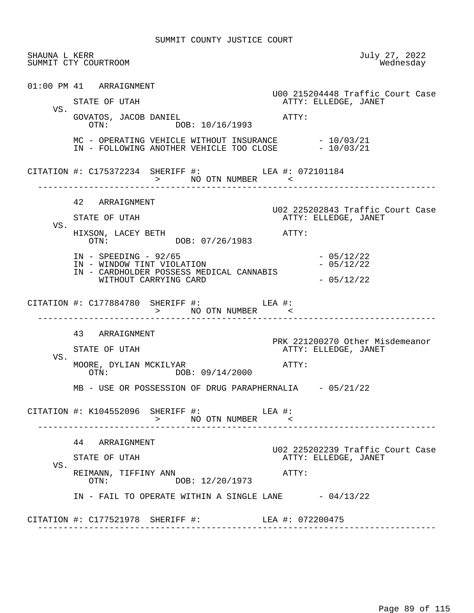|     | SHAUNA L KERR<br>SUMMIT CTY COURTROOM                                                                      | July 27, 2022<br>Wednesday                               |
|-----|------------------------------------------------------------------------------------------------------------|----------------------------------------------------------|
|     | 01:00 PM 41 ARRAIGNMENT                                                                                    | U00 215204448 Traffic Court Case                         |
| VS. | STATE OF UTAH                                                                                              | ATTY: ELLEDGE, JANET                                     |
|     | GOVATOS, JACOB DANIEL<br>OTN: DOB: 10/16/1993                                                              | ATTY:                                                    |
|     | MC - OPERATING VEHICLE WITHOUT INSURANCE - 10/03/21<br>IN - FOLLOWING ANOTHER VEHICLE TOO CLOSE - 10/03/21 |                                                          |
|     | CITATION #: C175372234 SHERIFF #: LEA #: 072101184                                                         |                                                          |
|     | 42 ARRAIGNMENT                                                                                             |                                                          |
|     | STATE OF UTAH                                                                                              | U02 225202843 Traffic Court Case<br>ATTY: ELLEDGE, JANET |
| VS. | HIXSON, LACEY BETH<br>OTN: DOB: 07/26/1983                                                                 | ATTY:                                                    |
|     | $IN$ - SPEEDING - 92/65<br>IN - WINDOW TINT VIOLATION                                                      | $-05/12/22$<br>$-05/12/22$                               |
|     | IN - CARDHOLDER POSSESS MEDICAL CANNABIS<br>WITHOUT CARRYING CARD                                          | $-05/12/22$                                              |
|     | CITATION #: $C177884780$ SHERIFF #: LEA #:<br>> NO OTN NUMBER <<br>-------------------------------------   | --------------------------------------                   |
|     | 43 ARRAIGNMENT                                                                                             |                                                          |
|     | STATE OF UTAH                                                                                              | PRK 221200270 Other Misdemeanor                          |
|     |                                                                                                            | ATTY: ELLEDGE, JANET                                     |
| VS. | MOORE, DYLIAN MCKILYAR<br>OTN: DOB: 09/14/2000                                                             | ATTY:                                                    |
|     | MB - USE OR POSSESSION OF DRUG PARAPHERNALIA - 05/21/22                                                    |                                                          |
|     | CITATION #: K104552096 SHERIFF #: LEA #:<br>> NO OTN NUMBER <                                              |                                                          |
|     | 44 ARRAIGNMENT                                                                                             |                                                          |
|     | STATE OF UTAH                                                                                              | ATTY: ELLEDGE, JANET                                     |
| VS. | REIMANN, TIFFINY ANN<br>DOB: 12/20/1973<br>$\cap T N$ :                                                    | ATTY:                                                    |
|     | IN - FAIL TO OPERATE WITHIN A SINGLE LANE $-04/13/22$                                                      | U02 225202239 Traffic Court Case                         |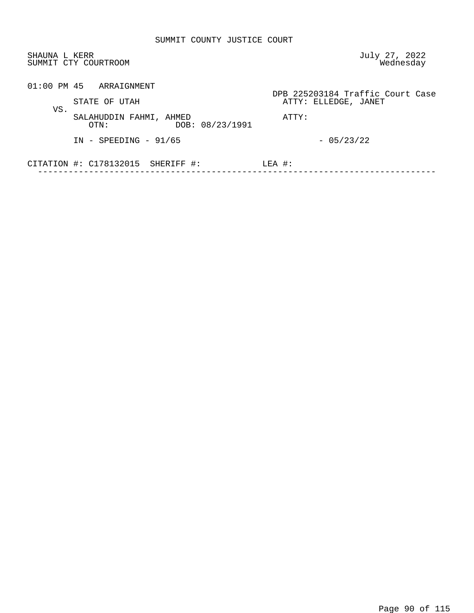| SHAUNA L KERR<br>SUMMIT CTY COURTROOM                     | July 27, 2022<br>Wednesday                               |
|-----------------------------------------------------------|----------------------------------------------------------|
| $01:00$ PM $45$ ARRAIGNMENT<br>STATE OF UTAH              | DPB 225203184 Traffic Court Case<br>ATTY: ELLEDGE, JANET |
| VS.<br>SALAHUDDIN FAHMI, AHMED<br>DOB: 08/23/1991<br>OTN: | ATTY:                                                    |
| $IN - SPEEDING - 91/65$                                   | $-05/23/22$                                              |
| CITATION #: C178132015 SHERIFF #:                         | $LEA$ #:                                                 |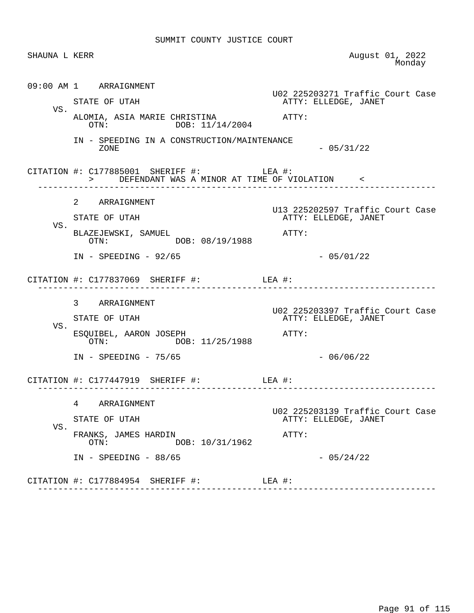| SHAUNA L KERR |                                                                                                                                                      | August 01, 2022<br>Monday                                                        |
|---------------|------------------------------------------------------------------------------------------------------------------------------------------------------|----------------------------------------------------------------------------------|
| VS.           | 09:00 AM 1 ARRAIGNMENT<br>STATE OF UTAH<br>ALOMIA, ASIA MARIE CHRISTINA ATTY:<br>OTN: DOB: 11/14/2004<br>IN - SPEEDING IN A CONSTRUCTION/MAINTENANCE | U02 225203271 Traffic Court Case<br>ATTY: ELLEDGE, JANET                         |
|               | ZONE<br>CITATION #: $C177885001$ SHERIFF #: LEA #:<br>> DEFENDANT WAS A MINOR AT TIME OF VIOLATION <                                                 | $-05/31/22$                                                                      |
| VS.           | 2 ARRAIGNMENT<br>STATE OF UTAH<br>BLAZEJEWSKI, SAMUEL<br>OTN: DOB: 08/19/1988<br>$IN - SPEEDING - 92/65$                                             | U13 225202597 Traffic Court Case<br>ATTY: ELLEDGE, JANET<br>ATTY:<br>$-05/01/22$ |
|               | CITATION #: $C177837069$ SHERIFF #: LEA #:                                                                                                           |                                                                                  |
| VS.           | 3 ARRAIGNMENT<br>STATE OF UTAH<br>ESQUIBEL, AARON JOSEPH<br>OTN: DOB: 11/25/1988                                                                     | U02 225203397 Traffic Court Case<br>ATTY: ELLEDGE, JANET<br>ATTY:                |
|               | $IN - SPEEDING - 75/65$<br>CITATION #: $C177447919$ SHERIFF #: LEA #:                                                                                | $-06/06/22$                                                                      |
| VS.           | 4<br>ARRAIGNMENT<br>STATE OF UTAH<br>FRANKS, JAMES HARDIN<br>DOB: 10/31/1962<br>OTN:<br>$IN$ - SPEEDING - 88/65                                      | U02 225203139 Traffic Court Case<br>ATTY: ELLEDGE, JANET<br>ATTY:<br>$-05/24/22$ |
|               | CITATION #: C177884954 SHERIFF #:                                                                                                                    | LEA #:                                                                           |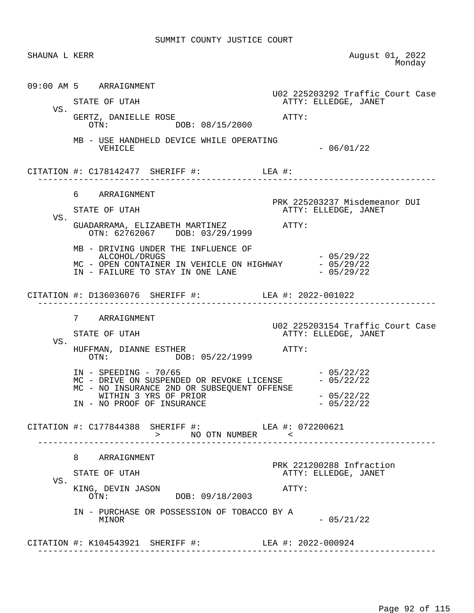| SHAUNA L KERR |                                                                                                                                                                                                                                                                          | August 01, 2022<br>Monday                                            |
|---------------|--------------------------------------------------------------------------------------------------------------------------------------------------------------------------------------------------------------------------------------------------------------------------|----------------------------------------------------------------------|
| VS.           | 09:00 AM 5 ARRAIGNMENT<br>STATE OF UTAH<br>GERTZ, DANIELLE ROSE<br>OTN: DOB: 08/15/2000<br>MB - USE HANDHELD DEVICE WHILE OPERATING                                                                                                                                      | U02 225203292 Traffic Court Case<br>ATTY: ELLEDGE, JANET<br>ATTY:    |
|               | VEHICLE<br>CITATION #: $C178142477$ SHERIFF #: LEA #:                                                                                                                                                                                                                    | $-06/01/22$                                                          |
| VS.           | 6 ARRAIGNMENT<br>STATE OF UTAH<br>GUADARRAMA, ELIZABETH MARTINEZ ATTY:<br>OTN: 62762067 DOB: 03/29/1999<br>MB - DRIVING UNDER THE INFLUENCE OF<br>ALCOHOL/DRUGS<br>MC - OPEN CONTAINER IN VEHICLE ON HIGHWAY $-05/29/22$<br>IN - FAILURE TO STAY IN ONE LANE $-05/29/22$ | PRK 225203237 Misdemeanor DUI<br>ATTY: ELLEDGE, JANET<br>$-05/29/22$ |
| VS.           | CITATION #: D136036076 SHERIFF #: LEA #: 2022-001022<br>7 ARRAIGNMENT<br>STATE OF UTAH                                                                                                                                                                                   | U02 225203154 Traffic Court Case<br>ATTY: ELLEDGE, JANET             |
|               | HUFFMAN, DIANNE ESTHER<br>DOB: 05/22/1999<br>OTN:<br>$IN - SPEEDING - 70/65$<br>MC - DRIVE ON SUSPENDED OR REVOKE LICENSE $-05/22/22$<br>MC - NO INSURANCE 2ND OR SUBSEQUENT OFFENSE<br>WITHIN 3 YRS OF PRIOR<br>IN - NO PROOF OF INSURANCE                              | ATTY:<br>$-05/22/22$<br>$-05/22/22$<br>$-05/22/22$                   |
|               | CITATION #: C177844388 SHERIFF #: LEA #: 072200621<br>> NO OTN NUMBER <                                                                                                                                                                                                  |                                                                      |
| VS.           | 8 ARRAIGNMENT<br>STATE OF UTAH<br>KING, DEVIN JASON<br>DOB: 09/18/2003<br>OTN:<br>IN - PURCHASE OR POSSESSION OF TOBACCO BY A                                                                                                                                            | PRK 221200288 Infraction<br>ATTY: ELLEDGE, JANET<br>ATTY:            |
|               | MINOR<br>CITATION #: K104543921 SHERIFF #: LEA #: 2022-000924                                                                                                                                                                                                            | $-05/21/22$                                                          |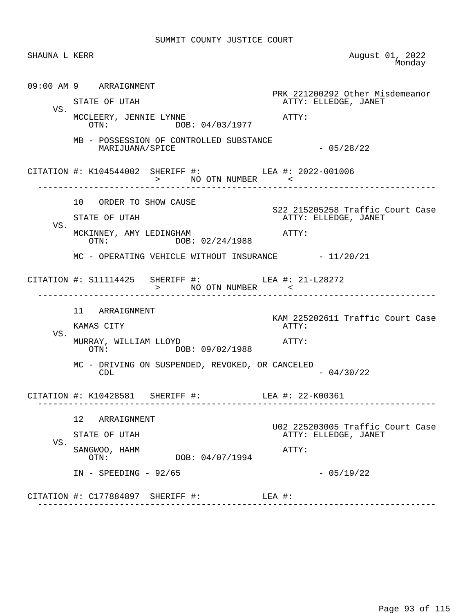| SHAUNA L KERR |                                                                            | August 01, 2022<br>Monday                                |
|---------------|----------------------------------------------------------------------------|----------------------------------------------------------|
|               | 09:00 AM 9 ARRAIGNMENT                                                     | PRK 221200292 Other Misdemeanor                          |
| VS.           | STATE OF UTAH                                                              | ATTY: ELLEDGE, JANET                                     |
|               | MCCLEERY, JENNIE LYNNE<br>OTN: DOB: 04/03/1977                             | $\mathtt{ATTY}$ :                                        |
|               | MB - POSSESSION OF CONTROLLED SUBSTANCE<br>MARIJUANA/SPICE                 | $-05/28/22$                                              |
|               | CITATION #: K104544002 SHERIFF #: LEA #: 2022-001006<br>> NO OTN NUMBER <  |                                                          |
|               | 10 ORDER TO SHOW CAUSE                                                     | S22 215205258 Traffic Court Case                         |
|               | STATE OF UTAH                                                              | ATTY: ELLEDGE, JANET                                     |
| VS.           | MCKINNEY, AMY LEDINGHAM<br>OTN: DOB: 02/24/1988                            | ATTY:                                                    |
|               | MC - OPERATING VEHICLE WITHOUT INSURANCE - 11/20/21                        |                                                          |
|               | CITATION #: $S11114425$ SHERIFF #: LEA #: $21-L28272$<br>> NO OTN NUMBER < | ________________________                                 |
|               | 11 ARRAIGNMENT                                                             | KAM 225202611 Traffic Court Case                         |
|               | KAMAS CITY                                                                 | ATTY:                                                    |
| VS.           | MURRAY, WILLIAM LLOYD<br>OTN: DOB: 09/02/1988                              | ATTY:                                                    |
|               | MC - DRIVING ON SUSPENDED, REVOKED, OR CANCELED<br>CDL                     | $-04/30/22$                                              |
|               | CITATION #: K10428581 SHERIFF #: LEA #: 22-K00361                          |                                                          |
|               | 12 <sub>2</sub><br>ARRAIGNMENT                                             |                                                          |
|               | STATE OF UTAH                                                              | U02 225203005 Traffic Court Case<br>ATTY: ELLEDGE, JANET |
| VS.           | SANGWOO, HAHM<br>DOB: 04/07/1994<br>OTN:                                   | ATTY:                                                    |
|               | $IN$ - SPEEDING - 92/65                                                    | $-05/19/22$                                              |
|               | CITATION #: C177884897 SHERIFF #:                                          | LEA #:                                                   |
|               |                                                                            |                                                          |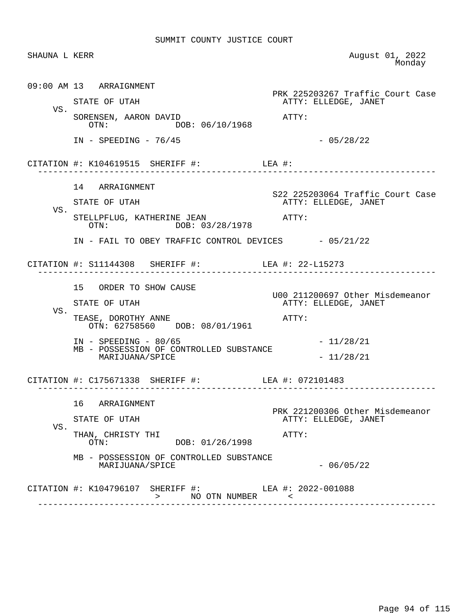| SHAUNA L KERR |                                                                                 | August 01, 2022<br>Monday                               |
|---------------|---------------------------------------------------------------------------------|---------------------------------------------------------|
|               | 09:00 AM 13 ARRAIGNMENT                                                         | PRK 225203267 Traffic Court Case                        |
|               | STATE OF UTAH                                                                   | ATTY: ELLEDGE, JANET                                    |
| VS.           | SORENSEN, AARON DAVID<br>DOB: 06/10/1968<br>OTN:                                | ATTY:                                                   |
|               | $IN - SPEEDING - 76/45$                                                         | $-05/28/22$                                             |
|               | CITATION #: $K104619515$ SHERIFF #: LEA #:<br>-<br>---------------------------- |                                                         |
|               | 14 ARRAIGNMENT                                                                  | S22 225203064 Traffic Court Case                        |
| VS.           | STATE OF UTAH                                                                   | ATTY: ELLEDGE, JANET                                    |
|               | STELLPFLUG, KATHERINE JEAN<br>OTN: DOB: 03/28/1978                              | $ATTY$ :                                                |
|               | IN - FAIL TO OBEY TRAFFIC CONTROL DEVICES - 05/21/22                            |                                                         |
|               | CITATION #: S11144308 SHERIFF #: LEA #: 22-L15273                               |                                                         |
|               | 15 ORDER TO SHOW CAUSE                                                          | U00 211200697 Other Misdemeanor                         |
|               | STATE OF UTAH                                                                   | ATTY: ELLEDGE, JANET                                    |
| VS.           | TEASE, DOROTHY ANNE<br>OTN: 62758560 DOB: 08/01/1961                            | ATTY:                                                   |
|               | $IN - SPEEDING - 80/65$<br>MB - POSSESSION OF CONTROLLED SUBSTANCE              | $-11/28/21$                                             |
|               | MARIJUANA/SPICE                                                                 | $-11/28/21$                                             |
|               | CITATION #: C175671338 SHERIFF #: LEA #: 072101483                              |                                                         |
|               | 16<br>ARRAIGNMENT                                                               |                                                         |
|               | STATE OF UTAH                                                                   | PRK 221200306 Other Misdemeanor<br>ATTY: ELLEDGE, JANET |
| VS.           | THAN, CHRISTY THI<br>DOB: 01/26/1998<br>OTN:                                    | ATTY:                                                   |
|               | MB - POSSESSION OF CONTROLLED SUBSTANCE<br>MARIJUANA/SPICE                      | $-06/05/22$                                             |
|               | CITATION #: K104796107 SHERIFF #: LEA #: 2022-001088                            |                                                         |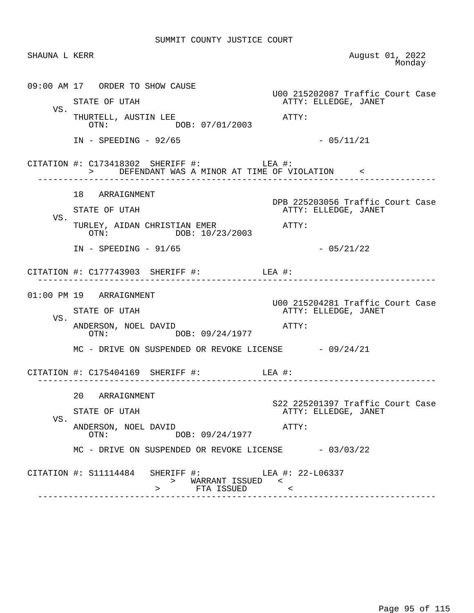| SHAUNA L KERR |                                                                                                 | August 01, 2022<br>Monday                                |
|---------------|-------------------------------------------------------------------------------------------------|----------------------------------------------------------|
|               | 09:00 AM 17 ORDER TO SHOW CAUSE<br>STATE OF UTAH                                                | U00 215202087 Traffic Court Case<br>ATTY: ELLEDGE, JANET |
| VS.           | THURTELL, AUSTIN LEE<br>OTN: DOB: 07/01/2003                                                    | ATTY:                                                    |
|               | $IN - SPEEDING - 92/65$                                                                         | $-05/11/21$                                              |
|               | CITATION #: $C173418302$ SHERIFF #: LEA #:<br>> DEFENDANT WAS A MINOR AT TIME OF VIOLATION <    |                                                          |
|               | 18 ARRAIGNMENT                                                                                  |                                                          |
| VS.           | STATE OF UTAH                                                                                   | DPB 225203056 Traffic Court Case<br>ATTY: ELLEDGE, JANET |
|               | TURLEY, AIDAN CHRISTIAN EMER<br>12/2002<br>DOB: 10/23/2003<br>OTN:                              |                                                          |
|               | $IN - SPEEDING - 91/65$                                                                         | $-05/21/22$                                              |
|               | CITATION #: $C177743903$ SHERIFF #: LEA #:                                                      |                                                          |
|               | 01:00 PM 19 ARRAIGNMENT                                                                         |                                                          |
| VS.           | STATE OF UTAH                                                                                   | U00 215204281 Traffic Court Case<br>ATTY: ELLEDGE, JANET |
|               | ANDERSON, NOEL DAVID<br>OTN: DOB: 09/24/1977                                                    | ATTY:                                                    |
|               | MC - DRIVE ON SUSPENDED OR REVOKE LICENSE $-09/24/21$                                           |                                                          |
|               | CITATION #: $C175404169$ SHERIFF #: LEA #:                                                      |                                                          |
|               | 20 ARRAIGNMENT                                                                                  |                                                          |
| VS.           | STATE OF UTAH                                                                                   | S22 225201397 Traffic Court Case<br>ATTY: ELLEDGE, JANET |
|               | ANDERSON, NOEL DAVID<br>DOB: 09/24/1977<br>$\cap T N$ :                                         | ATTY:                                                    |
|               | $MC$ - DRIVE ON SUSPENDED OR REVOKE LICENSE $-03/03/22$                                         |                                                          |
|               | CITATION #: S11114484 SHERIFF #: LEA #: 22-L06337<br>> WARRANT ISSUED <<br>FTA ISSUED<br>$\geq$ | $\sim$ $\sim$                                            |
|               |                                                                                                 |                                                          |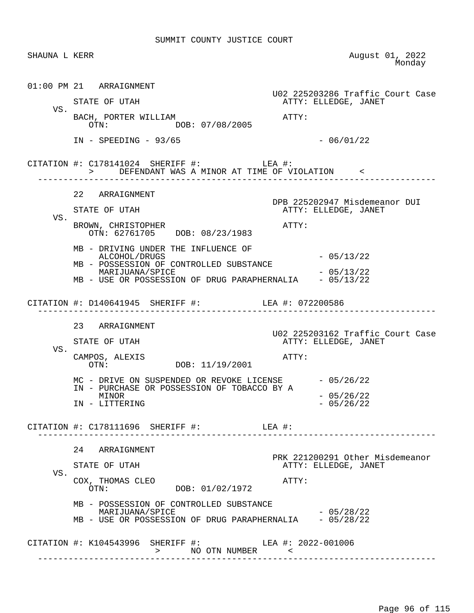| SHAUNA L KERR |                                                                                                                                                                                                                                      | August 01, 2022<br>Monday                                         |
|---------------|--------------------------------------------------------------------------------------------------------------------------------------------------------------------------------------------------------------------------------------|-------------------------------------------------------------------|
|               | 01:00 PM 21 ARRAIGNMENT<br>STATE OF UTAH                                                                                                                                                                                             | U02 225203286 Traffic Court Case<br>ATTY: ELLEDGE, JANET          |
| VS.           | BACH, PORTER WILLIAM<br>OTN: DOB: 07/08/2005                                                                                                                                                                                         | ATTY:                                                             |
|               | $IN - SPEEDING - 93/65$                                                                                                                                                                                                              | $-06/01/22$                                                       |
|               | CITATION #: $C178141024$ SHERIFF #: LEA #:<br>> DEFENDANT WAS A MINOR AT TIME OF VIOLATION <                                                                                                                                         |                                                                   |
| VS.           | 22 ARRAIGNMENT<br>STATE OF UTAH                                                                                                                                                                                                      | DPB 225202947 Misdemeanor DUI<br>ATTY: ELLEDGE, JANET<br>ATTY:    |
|               | BROWN, CHRISTOPHER<br>OTN: 62761705 DOB: 08/23/1983<br>MB - DRIVING UNDER THE INFLUENCE OF<br>ALCOHOL/DRUGS<br>MB - POSSESSION OF CONTROLLED SUBSTANCE<br>MARIJUANA/SPICE<br>MB - USE OR POSSESSION OF DRUG PARAPHERNALIA - 05/13/22 | $-05/13/22$<br>$-05/13/22$                                        |
|               | CITATION #: D140641945 SHERIFF #: LEA #: 072200586                                                                                                                                                                                   |                                                                   |
| VS.           | 23 ARRAIGNMENT<br>STATE OF UTAH<br>CAMPOS, ALEXIS<br>OTN: DOB: 11/19/2001                                                                                                                                                            | U02 225203162 Traffic Court Case<br>ATTY: ELLEDGE, JANET<br>ATTY: |
|               | MC - DRIVE ON SUSPENDED OR REVOKE LICENSE - 05/26/22<br>IN - PURCHASE OR POSSESSION OF TOBACCO BY A<br>MINOR<br>IN - LITTERING                                                                                                       | $-05/26/22$<br>$-05/26/22$                                        |
|               | CITATION #: $C178111696$ SHERIFF #: LEA #:                                                                                                                                                                                           |                                                                   |
|               | 24 ARRAIGNMENT<br>STATE OF UTAH                                                                                                                                                                                                      | PRK 221200291 Other Misdemeanor<br>ATTY: ELLEDGE, JANET           |
| VS.           | COX, THOMAS CLEO<br>DOB: 01/02/1972<br>OTN:                                                                                                                                                                                          | ATTY:                                                             |
|               | MB - POSSESSION OF CONTROLLED SUBSTANCE<br>MARIJUANA/SPICE<br>MB - USE OR POSSESSION OF DRUG PARAPHERNALIA - 05/28/22                                                                                                                | $-05/28/22$                                                       |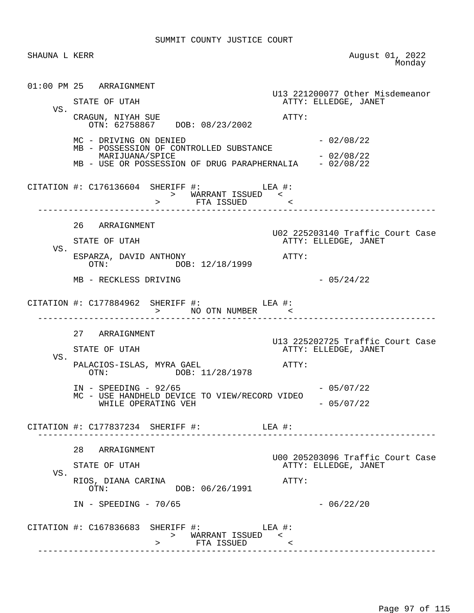SHAUNA L KERR August 01, 2022<br>Monday de a contra a construction of the Monday Monday of the Monday of the Monday of the Monday of the Monday of the  $\sim$  01:00 PM 25 ARRAIGNMENT U13 221200077 Other Misdemeanor ATTY: ELLEDGE, JANET VS. CRAGUN, NIYAH SUE ATTY: OTN: 62758867 DOB: 08/23/2002  $MC - DRIVING ON DENIED - 02/08/22$  MB - POSSESSION OF CONTROLLED SUBSTANCE MARIJUANA/SPICE - 02/08/22 MB - USE OR POSSESSION OF DRUG PARAPHERNALIA - 02/08/22 CITATION #: C176136604 SHERIFF #: LEA #: > WARRANT ISSUED < > FTA ISSUED < ------------------------------------------------------------------------------ 26 ARRAIGNMENT U02 225203140 Traffic Court Case ATTY: ELLEDGE, JANET VS. ESPARZA, DAVID ANTHONY ATTY: DOB: 12/18/1999  $MB - RECKLESS DRIVING$  - 05/24/22 CITATION #: C177884962 SHERIFF #: LEA #: > NO OTN NUMBER ------------------------------------------------------------------------------ 27 ARRAIGNMENT U13 225202725 Traffic Court Case ATTY: ELLEDGE, JANET VS. PALACIOS-ISLAS, MYRA GAEL ATTY: OTN: DOB: 11/28/1978 IN - SPEEDING - 92/65 - 2000 - 2010/22 MC - USE HANDHELD DEVICE TO VIEW/RECORD VIDEO WHILE OPERATING VEH  $-05/07/22$  CITATION #: C177837234 SHERIFF #: LEA #: ------------------------------------------------------------------------------ 28 ARRAIGNMENT U00 205203096 Traffic Court Case ATTY: ELLEDGE, JANET VS. RIOS, DIANA CARINA ATTY: OTN: DOB: 06/26/1991  $IN - SPEEDING - 70/65$  - 06/22/20 CITATION #: C167836683 SHERIFF #: LEA #: > WARRANT ISSUED < > FTA ISSUED < ------------------------------------------------------------------------------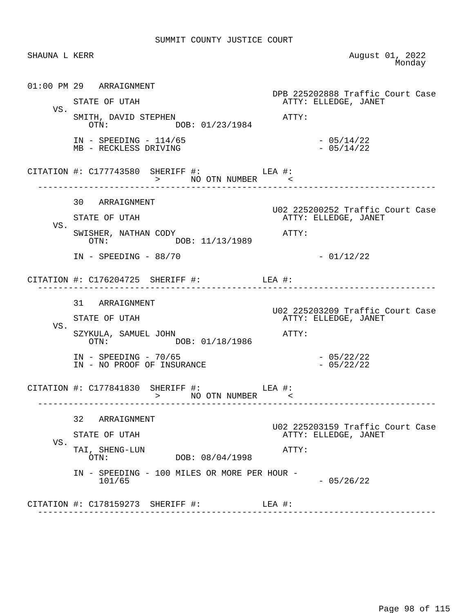| SHAUNA L KERR |                                                                | August 01, 2022<br>Monday                                |
|---------------|----------------------------------------------------------------|----------------------------------------------------------|
|               | 01:00 PM 29 ARRAIGNMENT                                        | DPB 225202888 Traffic Court Case                         |
| VS.           | STATE OF UTAH                                                  | ATTY: ELLEDGE, JANET                                     |
|               | SMITH, DAVID STEPHEN<br>OTN: DOB: 01/23/1984                   | ATTY:                                                    |
|               | $IN - SPEEDING - 114/65$<br>MB - RECKLESS DRIVING              | $-05/14/22$<br>$-05/14/22$                               |
|               | CITATION #: $C177743580$ SHERIFF #: LEA #:<br>> NO OTN NUMBER  |                                                          |
|               | 30 ARRAIGNMENT                                                 |                                                          |
|               | STATE OF UTAH                                                  | U02 225200252 Traffic Court Case<br>ATTY: ELLEDGE, JANET |
| VS.           | SWISHER, NATHAN CODY<br>OTN: DOB: 11/13/1989                   | ATTY:                                                    |
|               | $IN - SPEEDING - 88/70$                                        | $-01/12/22$                                              |
|               | CITATION #: $C176204725$ SHERIFF #: LEA #:<br>---------------- |                                                          |
|               | 31 ARRAIGNMENT                                                 |                                                          |
|               | STATE OF UTAH                                                  | U02 225203209 Traffic Court Case<br>ATTY: ELLEDGE, JANET |
| VS.           | SZYKULA, SAMUEL JOHN<br>OTN: DOB: 01/18/1986                   | ATTY:                                                    |
|               | $IN - SPEEDING - 70/65$<br>IN - NO PROOF OF INSURANCE          | $-05/22/22$<br>$-05/22/22$                               |
|               | CITATION #: C177841830 SHERIFF #: LEA #:<br>> NO OTN NUMBER <  |                                                          |
|               | 32<br>ARRAIGNMENT                                              |                                                          |
|               | STATE OF UTAH                                                  | U02 225203159 Traffic Court Case<br>ATTY: ELLEDGE, JANET |
| VS.           | TAI, SHENG-LUN<br>DOB: 08/04/1998<br>OTN:                      | ATTY:                                                    |
|               | IN - SPEEDING - 100 MILES OR MORE PER HOUR -<br>101/65         | $-05/26/22$                                              |
|               | CITATION #: C178159273 SHERIFF #:                              | LEA #:                                                   |
|               |                                                                |                                                          |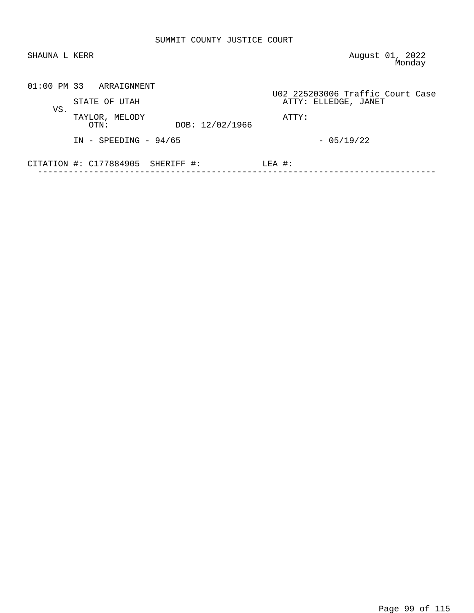| SHAUNA L KERR |                                            | August 01, 2022<br>Monday                                |
|---------------|--------------------------------------------|----------------------------------------------------------|
|               | $01:00$ PM 33 ARRAIGNMENT<br>STATE OF UTAH | U02 225203006 Traffic Court Case<br>ATTY: ELLEDGE, JANET |
| VS.           | TAYLOR, MELODY<br>DOB: 12/02/1966<br>OTN:  | ATTY:                                                    |
|               | $IN - SPEEDING - 94/65$                    | $-05/19/22$                                              |
|               | CITATION $\#$ : C177884905 SHERIFF $\#$ :  | $LEA$ #:                                                 |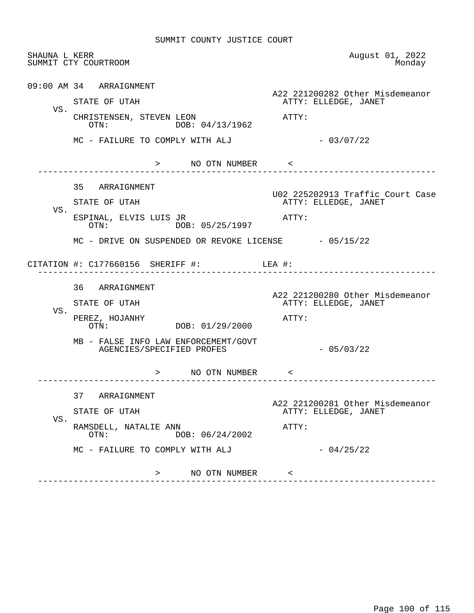|     | SHAUNA L KERR<br>SUMMIT CTY COURTROOM                             | August 01, 2022<br>Monday                                                         |
|-----|-------------------------------------------------------------------|-----------------------------------------------------------------------------------|
|     | 09:00 AM 34 ARRAIGNMENT<br>STATE OF UTAH                          | A22 221200282 Other Misdemeanor<br>ATTY: ELLEDGE, JANET                           |
| VS. | CHRISTENSEN, STEVEN LEON<br>DOB: 04/13/1962<br>OTN:               | ATTY:                                                                             |
|     | MC - FAILURE TO COMPLY WITH ALJ                                   | $-03/07/22$                                                                       |
|     | > NO OTN NUMBER <                                                 |                                                                                   |
|     | 35 ARRAIGNMENT<br>STATE OF UTAH                                   | U02 225202913 Traffic Court Case<br>ATTY: ELLEDGE, JANET                          |
| VS. | ESPINAL, ELVIS LUIS JR<br>DOB: 05/25/1997<br>OTN:                 | ATTY:                                                                             |
|     | MC - DRIVE ON SUSPENDED OR REVOKE LICENSE - 05/15/22              |                                                                                   |
|     | CITATION #: $C177660156$ SHERIFF #: LEA #:                        |                                                                                   |
|     | -----------------------------                                     |                                                                                   |
|     | 36 ARRAIGNMENT                                                    |                                                                                   |
| VS. | STATE OF UTAH<br>PEREZ, HOJANHY<br>OTN: DOB: 01/29/2000           | ATTY: ELLEDGE, JANET<br>ATTY:                                                     |
|     | MB - FALSE INFO LAW ENFORCEMEMT/GOVT<br>AGENCIES/SPECIFIED PROFES | $-05/03/22$                                                                       |
|     | > NO OTN NUMBER <                                                 |                                                                                   |
|     | 37<br>ARRAIGNMENT                                                 |                                                                                   |
|     | STATE OF UTAH                                                     | ATTY: ELLEDGE, JANET                                                              |
| VS. | RAMSDELL, NATALIE ANN<br>DOB: 06/24/2002<br>OTN:                  | ATTY:                                                                             |
|     | MC - FAILURE TO COMPLY WITH ALJ                                   | A22 221200280 Other Misdemeanor<br>A22 221200281 Other Misdemeanor<br>$-04/25/22$ |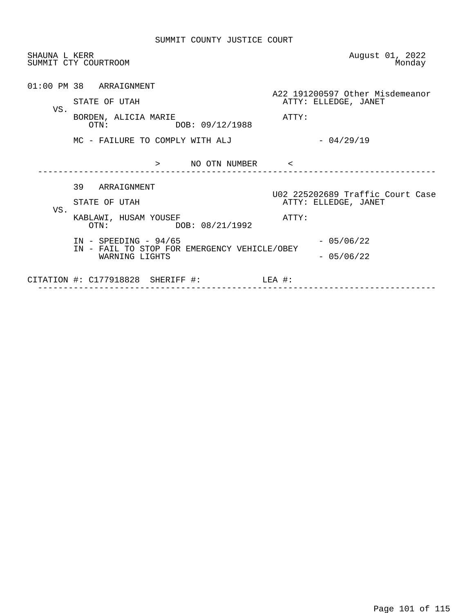| SHAUNA L KERR | SUMMIT CTY COURTROOM                                                                                                        | August 01, 2022<br>Monday                                                       |
|---------------|-----------------------------------------------------------------------------------------------------------------------------|---------------------------------------------------------------------------------|
| VS.           | 01:00 PM 38 ARRAIGNMENT<br>STATE OF UTAH<br>BORDEN, ALICIA MARIE<br>OTN: DOB: 09/12/1988<br>MC - FAILURE TO COMPLY WITH ALJ | A22 191200597 Other Misdemeanor<br>ATTY: ELLEDGE, JANET<br>ATTY:<br>$-04/29/19$ |
| VS.           | > NO OTN NUMBER <<br>39 ARRAIGNMENT<br>STATE OF UTAH<br>KABLAWI, HUSAM YOUSEF                                               | U02 225202689 Traffic Court Case<br>ATTY: ELLEDGE, JANET<br>ATTY:               |
|               | OTN: DOB: 08/21/1992<br>$IN - SPEEDING - 94/65$<br>IN - FAIL TO STOP FOR EMERGENCY VEHICLE/OBEY<br>WARNING LIGHTS           | $-05/06/22$<br>$-05/06/22$                                                      |
|               | CITATION #: $C177918828$ SHERIFF #: LEA #:                                                                                  |                                                                                 |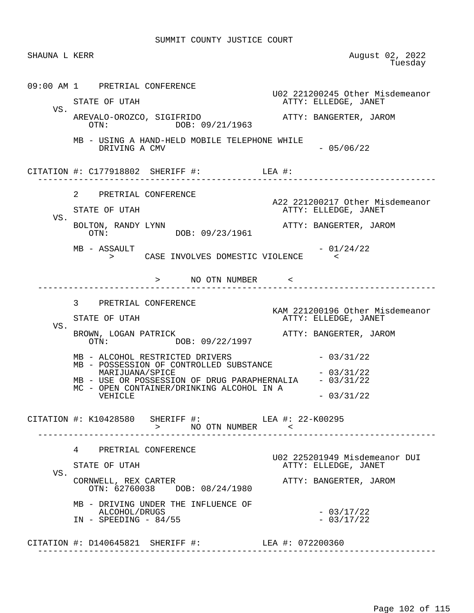| SHAUNA L KERR |                                                                                                                                                                                                                                                    | August 02, 2022<br>Tuesday                                                                                  |
|---------------|----------------------------------------------------------------------------------------------------------------------------------------------------------------------------------------------------------------------------------------------------|-------------------------------------------------------------------------------------------------------------|
| VS.           | 09:00 AM 1 PRETRIAL CONFERENCE<br>STATE OF UTAH                                                                                                                                                                                                    | U02 221200245 Other Misdemeanor<br>ATTY: ELLEDGE, JANET                                                     |
|               | AREVALO-OROZCO, SIGIFRIDO<br>DOB: 09/21/1963<br>OTN:                                                                                                                                                                                               | ATTY: BANGERTER, JAROM                                                                                      |
|               | MB - USING A HAND-HELD MOBILE TELEPHONE WHILE<br>DRIVING A CMV                                                                                                                                                                                     | $-05/06/22$                                                                                                 |
|               | CITATION #: $C177918802$ SHERIFF #: LEA #:<br>-----------------------                                                                                                                                                                              |                                                                                                             |
| VS.           | 2 PRETRIAL CONFERENCE<br>STATE OF UTAH<br>BOLTON, RANDY LYNN<br>DOB: 09/23/1961<br>OTN:<br>MB - ASSAULT<br>> CASE INVOLVES DOMESTIC VIOLENCE                                                                                                       | A22 221200217 Other Misdemeanor<br>ATTY: ELLEDGE, JANET<br>ATTY: BANGERTER, JAROM<br>$-01/24/22$<br>$\prec$ |
|               | > NO OTN NUMBER <                                                                                                                                                                                                                                  |                                                                                                             |
| VS.           | 3 PRETRIAL CONFERENCE<br>STATE OF UTAH<br>BROWN, LOGAN PATRICK                                                                                                                                                                                     | KAM 221200196 Other Misdemeanor<br>ATTY: ELLEDGE, JANET<br>ATTY: BANGERTER, JAROM                           |
|               | DOB: 09/22/1997<br>OTN:<br>MB - ALCOHOL RESTRICTED DRIVERS<br>MB - POSSESSION OF CONTROLLED SUBSTANCE<br>MARIJUANA/SPICE<br>MB - USE OR POSSESSION OF DRUG PARAPHERNALIA - 03/31/22<br>MC - OPEN CONTAINER/DRINKING ALCOHOL IN A<br><b>VEHICLE</b> | $-03/31/22$<br>$-03/31/22$<br>$-03/31/22$                                                                   |
|               | CITATION #: K10428580 SHERIFF #: LEA #: 22-K00295<br>> NO OTN NUMBER <                                                                                                                                                                             |                                                                                                             |
| VS.           | 4 PRETRIAL CONFERENCE<br>STATE OF UTAH<br>CORNWELL, REX CARTER<br>OTN: 62760038 DOB: 08/24/1980                                                                                                                                                    | U02 225201949 Misdemeanor DUI<br>ATTY: ELLEDGE, JANET<br>ATTY: BANGERTER, JAROM                             |
|               | MB - DRIVING UNDER THE INFLUENCE OF<br>ALCOHOL/DRUGS<br>$IN - SPEEDING - 84/55$                                                                                                                                                                    | $-03/17/22$<br>$-03/17/22$                                                                                  |
|               | CITATION #: D140645821 SHERIFF #: LEA #: 072200360                                                                                                                                                                                                 |                                                                                                             |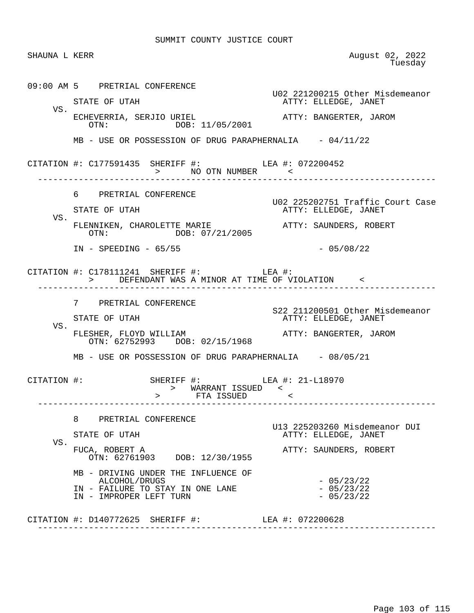| SHAUNA L KERR |                                                                                                                     | August 02, 2022<br>Tuesday                               |
|---------------|---------------------------------------------------------------------------------------------------------------------|----------------------------------------------------------|
|               | 09:00 AM 5 PRETRIAL CONFERENCE                                                                                      | U02 221200215 Other Misdemeanor                          |
| VS.           | STATE OF UTAH                                                                                                       | ATTY: ELLEDGE, JANET                                     |
|               | ECHEVERRIA, SERJIO URIEL<br>OTN: DOB: 11/05/2001                                                                    | ATTY: BANGERTER, JAROM                                   |
|               | $MB$ - USE OR POSSESSION OF DRUG PARAPHERNALIA $-04/11/22$                                                          |                                                          |
|               | CITATION #: C177591435 SHERIFF #: LEA #: 072200452<br>> NO OTN NUMBER <                                             |                                                          |
|               | 6 PRETRIAL CONFERENCE                                                                                               |                                                          |
| VS.           | STATE OF UTAH                                                                                                       | U02 225202751 Traffic Court Case<br>ATTY: ELLEDGE, JANET |
|               | FLENNIKEN, CHAROLETTE MARIE <a> </a> <a> </a> <a> ATTY: SAUNDERS, ROBERT</a> ROBERT  TE<br>OTN: DOB: 07/21/2005     |                                                          |
|               | $IN - SPEEDING - 65/55$                                                                                             | $-05/08/22$                                              |
|               | CITATION #: $C178111241$ SHERIFF #: LEA #:<br>> DEFENDANT WAS A MINOR AT TIME OF VIOLATION <                        |                                                          |
|               | 7 PRETRIAL CONFERENCE                                                                                               | S22 211200501 Other Misdemeanor                          |
| VS.           | STATE OF UTAH                                                                                                       | ATTY: ELLEDGE, JANET                                     |
|               |                                                                                                                     |                                                          |
|               | MB - USE OR POSSESSION OF DRUG PARAPHERNALIA - 08/05/21                                                             |                                                          |
| CITATION #:   | SHERIFF #: LEA #: 21-L18970<br>> WARRANT ISSUED <<br>FTA ISSUED                                                     | $\sim$ $\sim$ $\sim$                                     |
| VS.           | 8 PRETRIAL CONFERENCE                                                                                               |                                                          |
|               | STATE OF UTAH                                                                                                       | U13 225203260 Misdemeanor DUI<br>ATTY: ELLEDGE, JANET    |
|               | FUCA, ROBERT A<br>OTN: 62761903 DOB: 12/30/1955                                                                     | ATTY: SAUNDERS, ROBERT                                   |
|               | MB - DRIVING UNDER THE INFLUENCE OF<br>ALCOHOL/DRUGS<br>IN - FAILURE TO STAY IN ONE LANE<br>IN - IMPROPER LEFT TURN | $-05/23/22$<br>$-05/23/22$<br>$-05/23/22$                |
|               |                                                                                                                     |                                                          |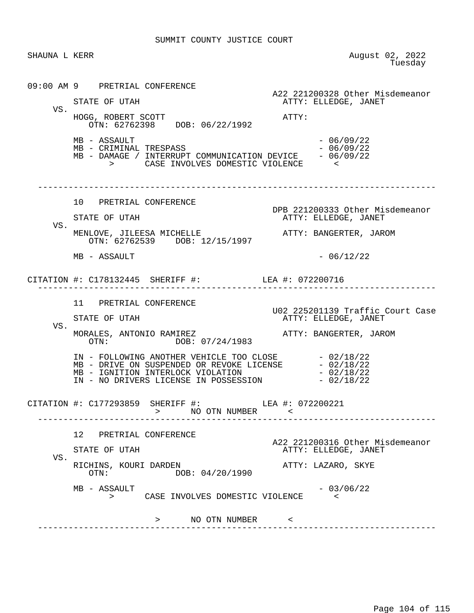SHAUNA L KERR August 02, 2022<br>Tuesday **The State of the Contract of the State of Tuesday**  09:00 AM 9 PRETRIAL CONFERENCE A22 221200328 Other Misdemeanor<br>ATTY: ELLEDGE, JANET ATTY: ELLEDGE, JANET VS. HOGG, ROBERT SCOTT ATTY: OTN: 62762398 DOB: 06/22/1992  $MB - ASSAULT$   $MB - CRIMINAL TRESPASS$   $- 06/09/22$   $- 06/09/22$ MB - CRIMINAL TRESPASS<br>
MB - DAMAGE / INTERRUPT COMMUNICATION DEVICE - 06/09/22 MB - DAMAGE / INTERRUPT COMMUNICATION DEVICE > CASE INVOLVES DOMESTIC VIOLENCE < ------------------------------------------------------------------------------ 10 PRETRIAL CONFERENCE DPB 221200333 Other Misdemeanor ATTY: ELLEDGE, JANET VS. MENLOVE, JILEESA MICHELLE **ATTY: BANGERTER, JAROM**  OTN: 62762539 DOB: 12/15/1997  $MB - ASSAULT$  - 06/12/22 CITATION #: C178132445 SHERIFF #: LEA #: 072200716 ------------------------------------------------------------------------------ 11 PRETRIAL CONFERENCE U02 225201139 Traffic Court Case ATTY: ELLEDGE, JANET VS. MORALES, ANTONIO RAMIREZ<br>OTN: DOB: 07/24/1983<br>
ATTY: BANGERTER, JAROM DOB: 07/24/1983 IN - FOLLOWING ANOTHER VEHICLE TOO CLOSE - 02/18/22<br>MB - DRIVE ON SUSPENDED OR REVOKE LICENSE - 02/18/22 MB - DRIVE ON SUSPENDED OR REVOKE LICENSE  $-02/18/22$ <br>MB - IGNITION INTERLOCK VIOLATION  $-02/18/22$ MB - IGNITION INTERLOCK VIOLATION - 02/18/22 IN - NO DRIVERS LICENSE IN POSSESSION - 02/18/22 CITATION #: C177293859 SHERIFF #: LEA #: 072200221 > NO OTN NUMBER < ------------------------------------------------------------------------------ 12 PRETRIAL CONFERENCE A22 221200316 Other Misdemeanor<br>ATTY: ELLEDGE, JANET ATTY: ELLEDGE, JANET VS. RICHINS, KOURI DARDEN **ATTY: LAZARO, SKYE**<br>OTN: DOB: 04/20/1990 DOB: 04/20/1990  $MB - ASSAULT$ <br>  $>$  CASE INVOLVES DOMESTIC VIOLENCE  $>$ CASE INVOLVES DOMESTIC VIOLENCE > NO OTN NUMBER < ------------------------------------------------------------------------------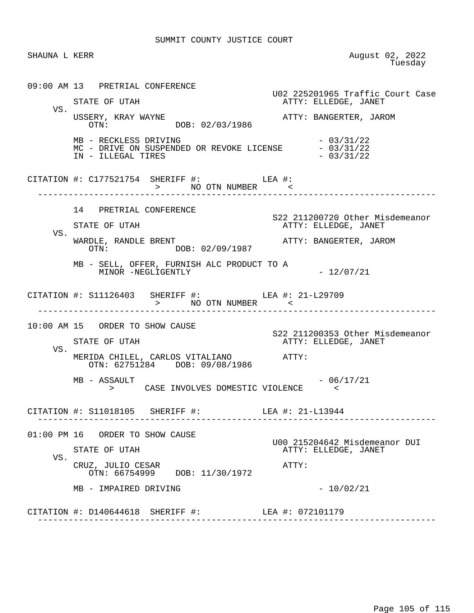SHAUNA L KERR August 02, 2022<br>Tuesday **The State of the Contract of the State of Tuesday**  09:00 AM 13 PRETRIAL CONFERENCE U02 225201965 Traffic Court Case ATTY: ELLEDGE, JANET VS.<br>USSERY, KRAY WAYNE USSERY, KRAY WAYNE ATTY: BANGERTER, JAROM OTN: DOB: 02/03/1986 MB - RECKLESS DRIVING<br>MC - DRIVE ON SUSPENDED OR REVOKE LICENSE - 03/31/22 MC - DRIVE ON SUSPENDED OR REVOKE LICENSE  $-03/31/22$ <br>IN - ILLEGAL TIRES IN - ILLEGAL TIRES CITATION #: C177521754 SHERIFF #: LEA #: > NO OTN NUMBER < ------------------------------------------------------------------------------ 14 PRETRIAL CONFERENCE S22 211200720 Other Misdemeanor ATTY: ELLEDGE, JANET VS. WARDLE, RANDLE BRENT<br>
OTN: DOB: 02/09/1987<br>
OTN: DOB: 02/09/1987 DOB: 02/09/1987 MB - SELL, OFFER, FURNISH ALC PRODUCT TO A MINOR -NEGLIGENTLY - 12/07/21 CITATION #: S11126403 SHERIFF #: LEA #: 21-L29709 > NO OTN NUMBER < ------------------------------------------------------------------------------ 10:00 AM 15 ORDER TO SHOW CAUSE S22 211200353 Other Misdemeanor ATTY: ELLEDGE, JANET VS. MERIDA CHILEL, CARLOS VITALIANO ATTY: OTN: 62751284 DOB: 09/08/1986  $MB - ASSAULT$  - 06/17/21 > CASE INVOLVES DOMESTIC VIOLENCE < CITATION #: S11018105 SHERIFF #: LEA #: 21-L13944 ------------------------------------------------------------------------------ 01:00 PM 16 ORDER TO SHOW CAUSE U00 215204642 Misdemeanor DUI ATTY: ELLEDGE, JANET VS. CRUZ, JULIO CESAR ATTY: OTN: 66754999 DOB: 11/30/1972  $MB - IMPAIRED DRIVING - 10/02/21$  CITATION #: D140644618 SHERIFF #: LEA #: 072101179 ------------------------------------------------------------------------------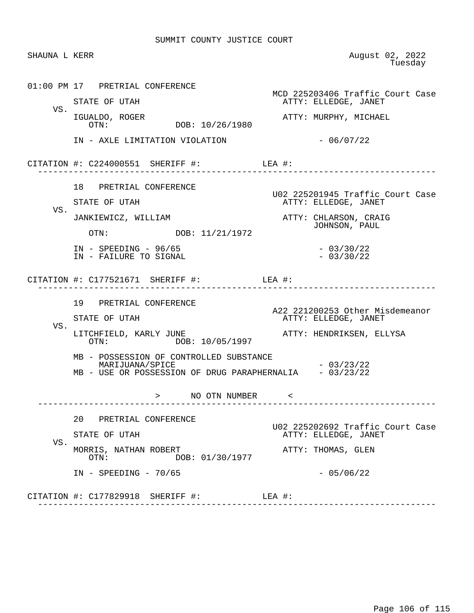| SHAUNA L KERR |                                                                                                                       | August 02, 2022<br>Tuesday                               |
|---------------|-----------------------------------------------------------------------------------------------------------------------|----------------------------------------------------------|
|               | 01:00 PM 17 PRETRIAL CONFERENCE                                                                                       | MCD 225203406 Traffic Court Case                         |
| VS.           | STATE OF UTAH                                                                                                         | ATTY: ELLEDGE, JANET                                     |
|               | IGUALDO, ROGER<br>DOB: 10/26/1980<br>OTN:                                                                             | ATTY: MURPHY, MICHAEL                                    |
|               | IN - AXLE LIMITATION VIOLATION                                                                                        | $-06/07/22$                                              |
|               | CITATION #: $C224000551$ SHERIFF #: LEA #:                                                                            |                                                          |
|               | 18 PRETRIAL CONFERENCE                                                                                                |                                                          |
| VS.           | STATE OF UTAH                                                                                                         | U02 225201945 Traffic Court Case<br>ATTY: ELLEDGE, JANET |
|               | JANKIEWICZ, WILLIAM                                                                                                   | ATTY: CHLARSON, CRAIG<br>JOHNSON, PAUL                   |
|               | OTN: DOB: 11/21/1972                                                                                                  |                                                          |
|               | $IN - SPEEDING - 96/65$<br>IN - FAILURE TO SIGNAL                                                                     | $-03/30/22$<br>$-03/30/22$                               |
|               | CITATION #: $C177521671$ SHERIFF #: LEA #:                                                                            | -----------------                                        |
|               | 19 PRETRIAL CONFERENCE                                                                                                |                                                          |
|               | STATE OF UTAH                                                                                                         | A22 221200253 Other Misdemeanor<br>ATTY: ELLEDGE, JANET  |
| VS.           | LITCHFIELD, KARLY JUNE<br>OTN: DOB: 10/05/1997                                                                        | ATTY: HENDRIKSEN, ELLYSA                                 |
|               | MB - POSSESSION OF CONTROLLED SUBSTANCE<br>MARIJUANA/SPICE<br>MB - USE OR POSSESSION OF DRUG PARAPHERNALIA - 03/23/22 | $-03/23/22$                                              |
|               | > NO OTN NUMBER <                                                                                                     |                                                          |
|               | 20 PRETRIAL CONFERENCE                                                                                                |                                                          |
|               | STATE OF UTAH                                                                                                         | U02 225202692 Traffic Court Case<br>ATTY: ELLEDGE, JANET |
| VS.           | MORRIS, NATHAN ROBERT<br>DOB: 01/30/1977<br>OTN:                                                                      | ATTY: THOMAS, GLEN                                       |
|               | $IN$ - SPEEDING - 70/65                                                                                               | $-05/06/22$                                              |
|               | CITATION #: C177829918 SHERIFF #:                                                                                     | LEA #:                                                   |
|               |                                                                                                                       |                                                          |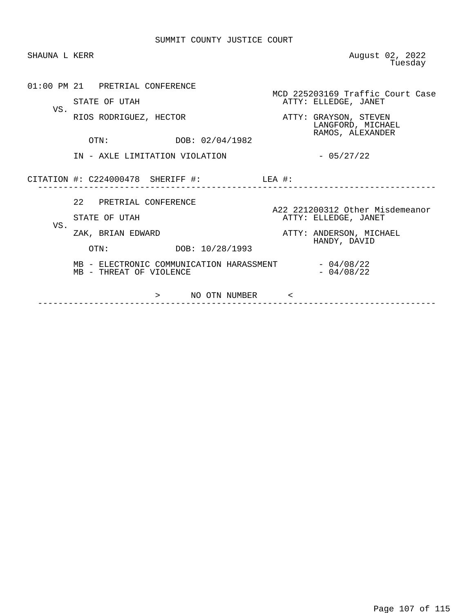| SHAUNA L KERR |                                                                     | August 02, 2022<br>Tuesday                                     |
|---------------|---------------------------------------------------------------------|----------------------------------------------------------------|
|               | 01:00 PM 21 PRETRIAL CONFERENCE<br>STATE OF UTAH                    | MCD 225203169 Traffic Court Case<br>ATTY: ELLEDGE, JANET       |
| VS.           | RIOS RODRIGUEZ, HECTOR                                              | ATTY: GRAYSON, STEVEN<br>LANGFORD, MICHAEL<br>RAMOS, ALEXANDER |
|               | OTN: DOB: 02/04/1982<br>IN - AXLE LIMITATION VIOLATION              | $-05/27/22$                                                    |
|               | CITATION #: C224000478 SHERIFF #:                                   | LEA #:                                                         |
| VS.           | 22 PRETRIAL CONFERENCE<br>STATE OF UTAH                             | A22 221200312 Other Misdemeanor<br>ATTY: ELLEDGE, JANET        |
|               | ZAK, BRIAN EDWARD<br>OTN: DOB: 10/28/1993                           | ATTY: ANDERSON, MICHAEL<br>HANDY, DAVID                        |
|               | MB - ELECTRONIC COMMUNICATION HARASSMENT<br>MB - THREAT OF VIOLENCE | $-04/08/22$<br>$-04/08/22$                                     |
|               | NO OTN NUMBER <<br>>                                                |                                                                |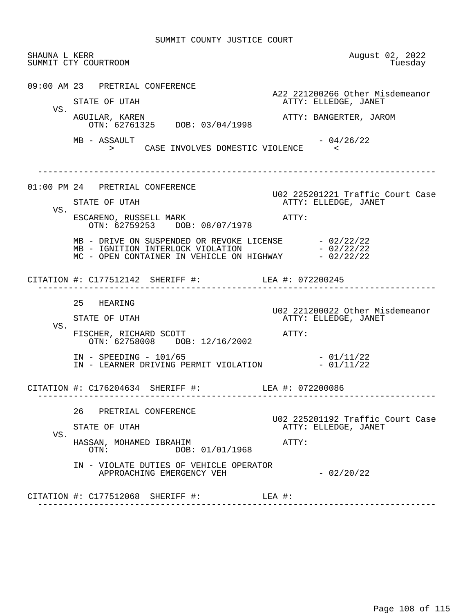|     | SHAUNA L KERR<br>SUMMIT CTY COURTROOM                                         | August 02, 2022<br>Tuesday                               |
|-----|-------------------------------------------------------------------------------|----------------------------------------------------------|
|     | 09:00 AM 23 PRETRIAL CONFERENCE<br>STATE OF UTAH                              | A22 221200266 Other Misdemeanor<br>ATTY: ELLEDGE, JANET  |
| VS. | AGUILAR, KAREN<br>OTN: 62761325 DOB: 03/04/1998                               | ATTY: BANGERTER, JAROM                                   |
|     | MB - ASSAULT<br>> CASE INVOLVES DOMESTIC VIOLENCE <                           | $-04/26/22$                                              |
|     | 01:00 PM 24 PRETRIAL CONFERENCE                                               |                                                          |
| VS. | STATE OF UTAH                                                                 | U02 225201221 Traffic Court Case<br>ATTY: ELLEDGE, JANET |
|     | ESCARENO, RUSSELL MARK<br>OTN: 62759253 DOB: 08/07/1978                       | $\mathtt{ATTY}$ :                                        |
|     |                                                                               |                                                          |
|     | CITATION #: C177512142 SHERIFF #: LEA #: 072200245                            |                                                          |
|     | 25 HEARING                                                                    | U02 221200022 Other Misdemeanor                          |
| VS. | STATE OF UTAH                                                                 | ATTY: ELLEDGE, JANET                                     |
|     | FISCHER, RICHARD SCOTT<br>OTN: 62758008 DOB: 12/16/2002                       | ATTY:                                                    |
|     | $IN - SPEEDING - 101/65$<br>IN - LEARNER DRIVING PERMIT VIOLATION $-01/11/22$ | $-01/11/22$                                              |
|     | CITATION #: C176204634 SHERIFF #: LEA #: 072200086                            |                                                          |
| VS. | 26 PRETRIAL CONFERENCE                                                        | U02 225201192 Traffic Court Case                         |
|     | STATE OF UTAH                                                                 | ATTY: ELLEDGE, JANET                                     |
|     | HASSAN, MOHAMED IBRAHIM<br>DOB: 01/01/1968<br>OTN:                            | ATTY:                                                    |
|     |                                                                               |                                                          |
|     | IN - VIOLATE DUTIES OF VEHICLE OPERATOR<br>APPROACHING EMERGENCY VEH          | $-02/20/22$                                              |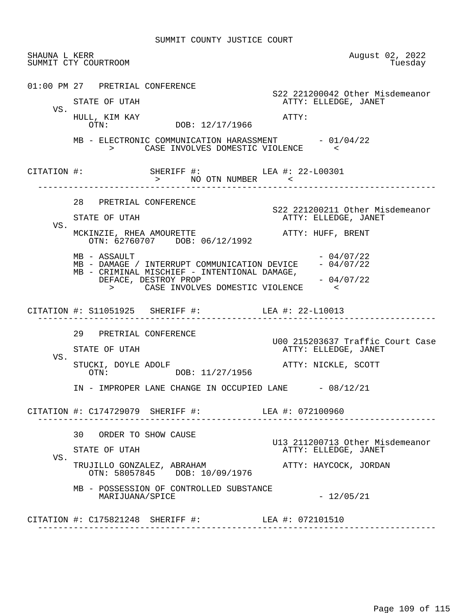| SHAUNA L KERR | SUMMIT CTY COURTROOM                                                                                                                                                                                                  | August 02, 2022<br>Tuesday                                                       |
|---------------|-----------------------------------------------------------------------------------------------------------------------------------------------------------------------------------------------------------------------|----------------------------------------------------------------------------------|
|               | 01:00 PM 27 PRETRIAL CONFERENCE<br>STATE OF UTAH                                                                                                                                                                      | S22 221200042 Other Misdemeanor<br>ATTY: ELLEDGE, JANET                          |
| VS.           | HULL, KIM KAY<br>OTN: DOB: 12/17/1966                                                                                                                                                                                 | ATTY:                                                                            |
|               | MB - ELECTRONIC COMMUNICATION HARASSMENT - 01/04/22<br>> CASE INVOLVES DOMESTIC VIOLENCE <                                                                                                                            |                                                                                  |
|               | CITATION #: SHERIFF #: LEA #: 22-L00301<br>> NO OTN NUMBER <                                                                                                                                                          |                                                                                  |
| VS.           | 28 PRETRIAL CONFERENCE<br>STATE OF UTAH<br>MCKINZIE, RHEA AMOURETTE AND ATTY: HUFF, BRENT                                                                                                                             | S22 221200211 Other Misdemeanor<br>ATTY: ELLEDGE, JANET                          |
|               | OTN: 62760707 DOB: 06/12/1992<br>MB - ASSAULT<br>MB - DAMAGE / INTERRUPT COMMUNICATION DEVICE - 04/07/22<br>MB - CRIMINAL MISCHIEF - INTENTIONAL DAMAGE,<br>DEFACE, DESTROY PROP<br>> CASE INVOLVES DOMESTIC VIOLENCE | $-04/07/22$<br>$-04/07/22$                                                       |
|               | CITATION #: S11051925 SHERIFF #: LEA #: 22-L10013<br>------------------------------------                                                                                                                             |                                                                                  |
| VS.           | 29 PRETRIAL CONFERENCE<br>STATE OF UTAH<br>STUCKI, DOYLE ADOLF<br>OTN: DOB: 11/27/1956                                                                                                                                | U00 215203637 Traffic Court Case<br>ATTY: ELLEDGE, JANET<br>ATTY: NICKLE, SCOTT  |
|               | IN - IMPROPER LANE CHANGE IN OCCUPIED LANE - 08/12/21                                                                                                                                                                 |                                                                                  |
|               | CITATION #: C174729079 SHERIFF #: LEA #: 072100960                                                                                                                                                                    |                                                                                  |
| VS.           | 30 ORDER TO SHOW CAUSE<br>STATE OF UTAH<br>TRUJILLO GONZALEZ, ABRAHAM<br>OTN: 58057845 DOB: 10/09/1976                                                                                                                | U13 211200713 Other Misdemeanor<br>ATTY: ELLEDGE, JANET<br>ATTY: HAYCOCK, JORDAN |
|               | MB - POSSESSION OF CONTROLLED SUBSTANCE<br>MARIJUANA/SPICE                                                                                                                                                            | $-12/05/21$                                                                      |
|               | CITATION #: C175821248 SHERIFF #: LEA #: 072101510                                                                                                                                                                    |                                                                                  |
|               |                                                                                                                                                                                                                       |                                                                                  |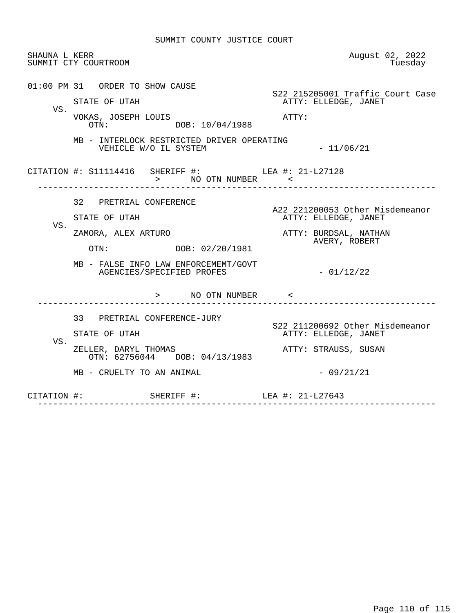| SHAUNA L KERR | SUMMIT CTY COURTROOM                                                 | August 02, 2022<br>Tuesday                               |  |  |  |
|---------------|----------------------------------------------------------------------|----------------------------------------------------------|--|--|--|
| VS.           | 01:00 PM 31 ORDER TO SHOW CAUSE<br>STATE OF UTAH                     | S22 215205001 Traffic Court Case<br>ATTY: ELLEDGE, JANET |  |  |  |
|               | VOKAS, JOSEPH LOUIS<br>DOB: 10/04/1988<br>OTN:                       | ATTY:                                                    |  |  |  |
|               | MB - INTERLOCK RESTRICTED DRIVER OPERATING<br>VEHICLE W/O IL SYSTEM  | $-11/06/21$                                              |  |  |  |
|               | CITATION #: S11114416 SHERIFF #: LEA #: 21-L27128<br>> NO OTN NUMBER |                                                          |  |  |  |
|               | 32 PRETRIAL CONFERENCE                                               | A22 221200053 Other Misdemeanor                          |  |  |  |
|               | STATE OF UTAH                                                        | ATTY: ELLEDGE, JANET                                     |  |  |  |
| VS.           | ZAMORA, ALEX ARTURO                                                  | ATTY: BURDSAL, NATHAN<br>AVERY, ROBERT                   |  |  |  |
|               | OTN: DOB: 02/20/1981                                                 |                                                          |  |  |  |
|               | MB - FALSE INFO LAW ENFORCEMEMT/GOVT<br>AGENCIES/SPECIFIED PROFES    | $-01/12/22$                                              |  |  |  |
|               | > NO OTN NUMBER <                                                    |                                                          |  |  |  |
|               | 33 PRETRIAL CONFERENCE-JURY                                          |                                                          |  |  |  |
|               | STATE OF UTAH                                                        | S22 211200692 Other Misdemeanor<br>ATTY: ELLEDGE, JANET  |  |  |  |
| VS.           | ZELLER, DARYL THOMAS<br>OTN: 62756044 DOB: 04/13/1983                | ATTY: STRAUSS, SUSAN                                     |  |  |  |
|               | MB - CRUELTY TO AN ANIMAL                                            | $-09/21/21$                                              |  |  |  |
|               | CITATION #: SHERIFF #: LEA #: 21-L27643                              |                                                          |  |  |  |
|               |                                                                      |                                                          |  |  |  |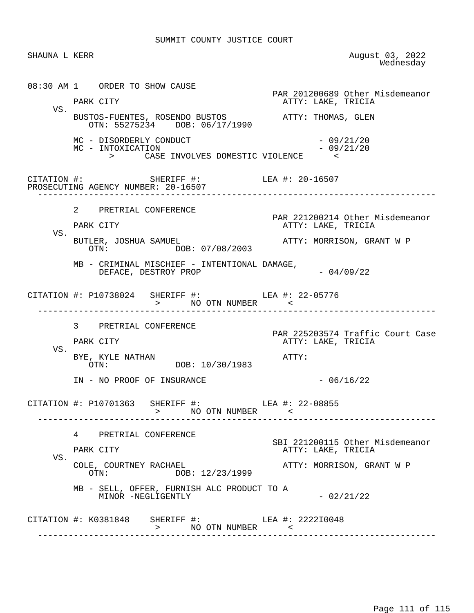SUMMIT COUNTY JUSTICE COURT

SHAUNA L KERR August 03, 2022<br>Wednesday wednesday and the media of the Mednesday of the Mednesday of the Mednesday of the Mednesday of the Media of the Media of the Media of the Media of the Media of the Media of the Media of the Media of the Media of the Media 08:30 AM 1 ORDER TO SHOW CAUSE PAR 201200689 Other Misdemeanor PARK CITY THE RESERVE TO A PARK CITY ATTY: LAKE, TRICIA VS. BUSTOS-FUENTES, ROSENDO BUSTOS ATTY: THOMAS, GLEN OTN: 55275234 DOB: 06/17/1990  $MC - DISORDERLY CONDUCT$  - 09/21/20<br>  $MC - INTOXICATION$  - 09/21/20 MC - INTOXICATION > CASE INVOLVES DOMESTIC VIOLENCE < CITATION #: SHERIFF #: LEA #: 20-16507 PROSECUTING AGENCY NUMBER: 20-16507 ------------------------------------------------------------------------------ 2 PRETRIAL CONFERENCE PAR 221200214 Other Misdemeanor ATTY: LAKE, TRICIA VS. BUTLER, JOSHUA SAMUEL<br>
OTN: DOB: 07/08/2003<br>
OTN: DOB: 07/08/2003 DOB: 07/08/2003 MB - CRIMINAL MISCHIEF - INTENTIONAL DAMAGE,  $DEFACE$ ,  $DESTROY$   $PROP$   $04/09/22$ CITATION #: P10738024 SHERIFF #: LEA #: 22-05776 > NO OTN NUMBER < ------------------------------------------------------------------------------ 3 PRETRIAL CONFERENCE PAR 225203574 Traffic Court Case<br>PARK CITY ATTY: LAKE, TRICIA ATTY: LAKE, TRICIA VS. BYE, KYLE NATHAN <br>OTN: 00B: 10/30/1983 DOB: 10/30/1983  $IN - NO PROOF OF INSURANCE - 06/16/22$  CITATION #: P10701363 SHERIFF #: LEA #: 22-08855 > NO OTN NUMBER < ------------------------------------------------------------------------------ 4 PRETRIAL CONFERENCE SBI 221200115 Other Misdemeanor ATTY: LAKE, TRICIA VS.<br>COLE, COURTNEY RACHAEL COLE, COURTNEY RACHAEL ATTY: MORRISON, GRANT W P DOB: 12/23/1999 MB - SELL, OFFER, FURNISH ALC PRODUCT TO A MINOR -NEGLIGENTLY  $-02/21/22$ CITATION #: K0381848 SHERIFF #: LEA #: 222210048 > NO OTN NUMBER < ------------------------------------------------------------------------------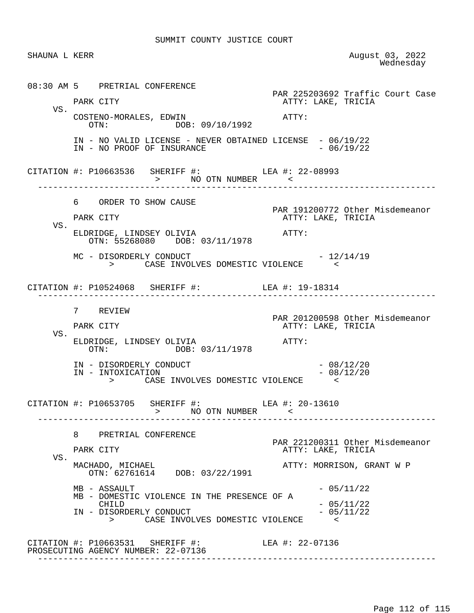SUMMIT COUNTY JUSTICE COURT

SHAUNA L KERR August 03, 2022<br>Wednesday wednesday and the media of the Mednesday of the Mednesday of the Mednesday of the Mednesday of the Media of the Media of the Media of the Media of the Media of the Media of the Media of the Media of the Media of the Media 08:30 AM 5 PRETRIAL CONFERENCE PAR 225203692 Traffic Court Case PARK CITY THE RESERVE TO A PARK CITY ATTY: LAKE, TRICIA VS. COSTENO-MORALES, EDWIN <br>
OTN: DOB: 09/10/1992<br>
OTN: DOB: 09/10/1992 IN - NO VALID LICENSE - NEVER OBTAINED LICENSE - 06/19/22<br>IN - NO PROOF OF INSURANCE IN - NO PROOF OF INSURANCE CITATION #: P10663536 SHERIFF #: LEA #: 22-08993 > NO OTN NUMBER ------------------------------------------------------------------------------ 6 ORDER TO SHOW CAUSE PAR 191200772 Other Misdemeanor ATTY: LAKE, TRICIA VS. ELDRIDGE, LINDSEY OLIVIA **ATTY:**  OTN: 55268080 DOB: 03/11/1978  $MC - DISORDERLY CONDUCT$  -  $12/14/19$  > CASE INVOLVES DOMESTIC VIOLENCE < CITATION #: P10524068 SHERIFF #: LEA #: 19-18314 ------------------------------------------------------------------------------ 7 REVIEW PAR 201200598 Other Misdemeanor<br>PARK CITY CITY CARE, TRICIA ATTY: LAKE, TRICIA VS. ELDRIDGE, LINDSEY OLIVIA **ATTY:**  OTN: DOB: 03/11/1978 IN - DISORDERLY CONDUCT - 08/12/20 IN - INTOXICATION - 08/12/20 > CASE INVOLVES DOMESTIC VIOLENCE < CITATION #: P10653705 SHERIFF #: LEA #: 20-13610 > NO OTN NUMBER < ------------------------------------------------------------------------------ 8 PRETRIAL CONFERENCE PAR 221200311 Other Misdemeanor ATTY: LAKE, TRICIA VS.<br>MACHADO, MICHAEL ATTY: MORRISON, GRANT W P OTN: 62761614 DOB: 03/22/1991  $MB - ASSAULT$  - 05/11/22 MB - DOMESTIC VIOLENCE IN THE PRESENCE OF A  $CHILD$  - 05/11/22 IN - DISORDERLY CONDUCT - 05/11/22 > CASE INVOLVES DOMESTIC VIOLENCE < CITATION #: P10663531 SHERIFF #: LEA #: 22-07136 PROSECUTING AGENCY NUMBER: 22-07136 ------------------------------------------------------------------------------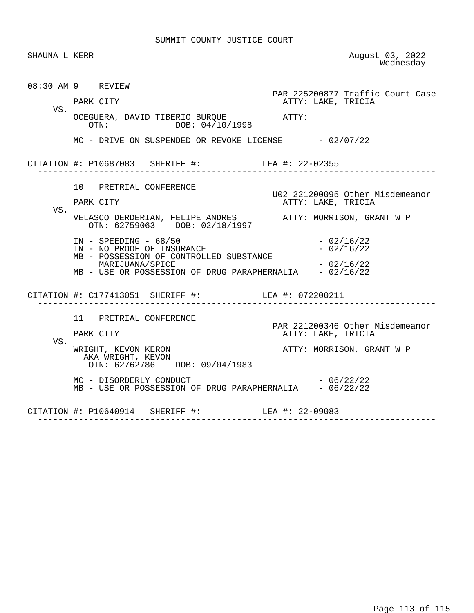SUMMIT COUNTY JUSTICE COURT

| SHAUNA L KERR |                                                                                                  | August 03, 2022<br>Wednesday                           |
|---------------|--------------------------------------------------------------------------------------------------|--------------------------------------------------------|
|               | 08:30 AM 9 REVIEW<br>PARK CITY                                                                   | PAR 225200877 Traffic Court Case<br>ATTY: LAKE, TRICIA |
| VS.           | OCEGUERA, DAVID TIBERIO BURQUE<br>ATTY:<br>OTN: DOB: 04/10/1998                                  |                                                        |
|               | MC - DRIVE ON SUSPENDED OR REVOKE LICENSE - 02/07/22                                             |                                                        |
|               | CITATION #: P10687083 SHERIFF #: LEA #: 22-02355                                                 |                                                        |
| VS.           | 10 PRETRIAL CONFERENCE<br>PARK CITY                                                              | U02 221200095 Other Misdemeanor<br>ATTY: LAKE, TRICIA  |
|               | VELASCO DERDERIAN, FELIPE ANDRES ATTY: MORRISON, GRANT W P OTN: 62759063 DOB: 02/18/1997         |                                                        |
|               | $IN - SPEEDING - 68/50$<br>IN - NO PROOF OF INSURANCE<br>MB - POSSESSION OF CONTROLLED SUBSTANCE | $-02/16/22$<br>$-02/16/22$                             |
|               | MARIJUANA/SPICE<br>MB - USE OR POSSESSION OF DRUG PARAPHERNALIA - 02/16/22                       | $-02/16/22$                                            |
|               | CITATION #: C177413051 SHERIFF #: LEA #: 072200211                                               |                                                        |
| VS.           | 11 PRETRIAL CONFERENCE<br>PARK CITY                                                              | PAR 221200346 Other Misdemeanor<br>ATTY: LAKE, TRICIA  |
|               | WRIGHT, KEVON KERON<br>AKA WRIGHT, KEVON<br>OTN: 62762786 DOB: 09/04/1983                        | ATTY: MORRISON, GRANT W P                              |
|               | MC - DISORDERLY CONDUCT<br>MB - USE OR POSSESSION OF DRUG PARAPHERNALIA - 06/22/22               | $-06/22/22$                                            |
|               | CITATION #: P10640914 SHERIFF #: LEA #: 22-09083                                                 |                                                        |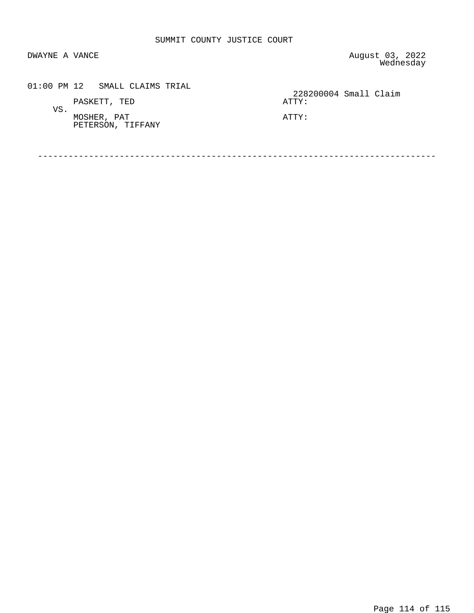DWAYNE A VANCE **AUGUST 2022** wednesday and the media of the Mednesday of the Mednesday of the Mednesday of the Mednesday of the Media of the Media of the Media of the Media of the Media of the Media of the Media of the Media of the Media of the Media

| 01:00 PM 12 SMALL CLAIMS TRIAL   | 228200004 Small Claim |
|----------------------------------|-----------------------|
| PASKETT, TED<br>VS.              | ATTY:                 |
| MOSHER, PAT<br>PETERSON, TIFFANY | ATTY:                 |

------------------------------------------------------------------------------

Page 114 of 115